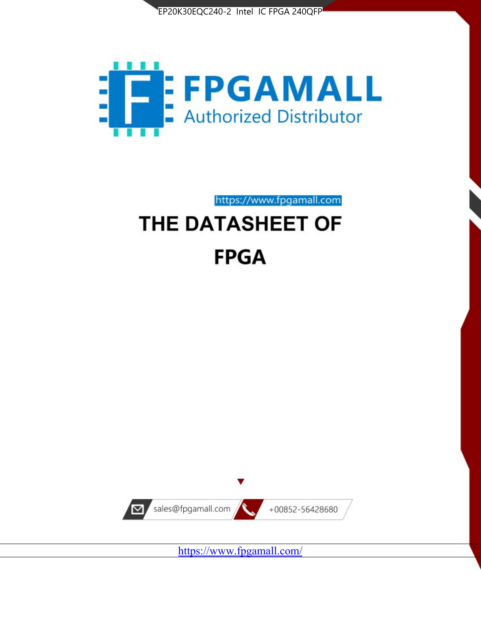



https://www.fpgamall.com

# THE DATASHEET OF **FPGA**



<https://www.fpgamall.com/>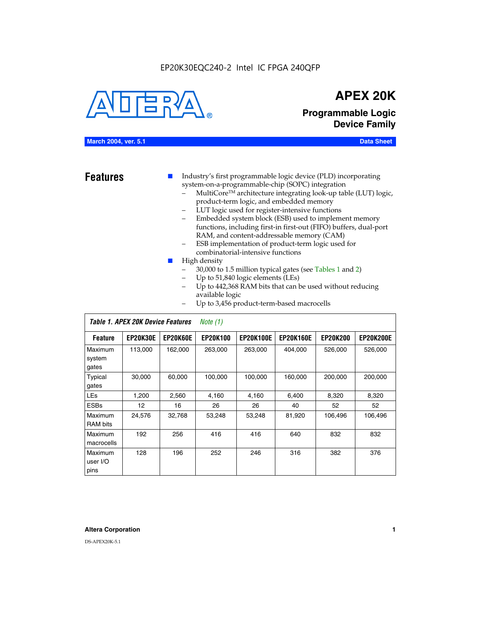

## **APEX 20K**

### **Programmable Logic Device Family**

#### **March 2004, ver. 5.1 Data Sheet**

- **Features ■** Industry's first programmable logic device (PLD) incorporating system-on-a-programmable-chip (SOPC) integration
	- MultiCore™ architecture integrating look-up table (LUT) logic, product-term logic, and embedded memory
	- LUT logic used for register-intensive functions
	- Embedded system block (ESB) used to implement memory functions, including first-in first-out (FIFO) buffers, dual-port RAM, and content-addressable memory (CAM)
	- ESB implementation of product-term logic used for combinatorial-intensive functions
	- High density
		- 30,000 to 1.5 million typical gates (see Tables 1 and 2)
		- Up to 51,840 logic elements (LEs)
		- Up to 442,368 RAM bits that can be used without reducing available logic
		- Up to 3,456 product-term-based macrocells

| Table 1. APEX 20K Device Features<br>Note $(1)$ |                 |                 |                 |                  |                  |                 |                  |
|-------------------------------------------------|-----------------|-----------------|-----------------|------------------|------------------|-----------------|------------------|
| <b>Feature</b>                                  | <b>EP20K30E</b> | <b>EP20K60E</b> | <b>EP20K100</b> | <b>EP20K100E</b> | <b>EP20K160E</b> | <b>EP20K200</b> | <b>EP20K200E</b> |
| Maximum<br>system<br>gates                      | 113,000         | 162,000         | 263,000         | 263,000          | 404.000          | 526,000         | 526,000          |
| Typical<br>gates                                | 30,000          | 60,000          | 100,000         | 100,000          | 160,000          | 200,000         | 200,000          |
| <b>LEs</b>                                      | 1,200           | 2,560           | 4,160           | 4,160            | 6.400            | 8,320           | 8,320            |
| <b>ESBs</b>                                     | 12              | 16              | 26              | 26               | 40               | 52              | 52               |
| Maximum<br><b>RAM</b> bits                      | 24,576          | 32,768          | 53,248          | 53,248           | 81,920           | 106,496         | 106,496          |
| Maximum<br>macrocells                           | 192             | 256             | 416             | 416              | 640              | 832             | 832              |
| Maximum<br>user I/O<br>pins                     | 128             | 196             | 252             | 246              | 316              | 382             | 376              |

#### **Altera Corporation 1**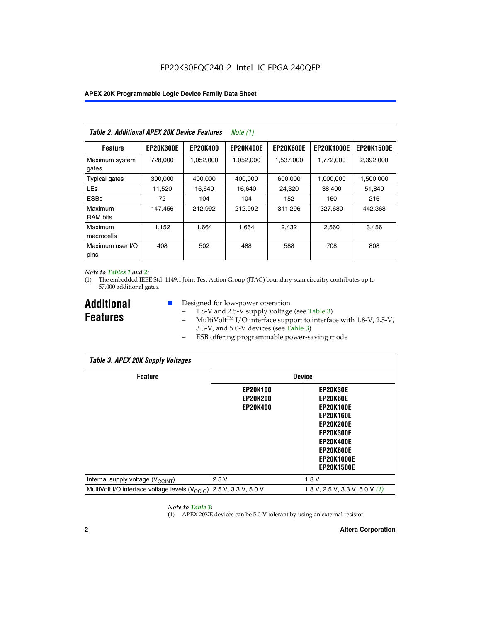| Table 2. Additional APEX 20K Device Features |                  |                 | <i>Note</i> $(1)$ |                  |                   |                   |
|----------------------------------------------|------------------|-----------------|-------------------|------------------|-------------------|-------------------|
| <b>Feature</b>                               | <b>EP20K300E</b> | <b>EP20K400</b> | <b>EP20K400E</b>  | <b>EP20K600E</b> | <b>EP20K1000E</b> | <b>EP20K1500E</b> |
| Maximum system<br>gates                      | 728,000          | 1,052,000       | 1,052,000         | 1,537,000        | 1,772,000         | 2,392,000         |
| <b>Typical gates</b>                         | 300,000          | 400,000         | 400,000           | 600,000          | 1,000,000         | 1,500,000         |
| <b>LEs</b>                                   | 11,520           | 16.640          | 16,640            | 24,320           | 38,400            | 51,840            |
| <b>ESBs</b>                                  | 72               | 104             | 104               | 152              | 160               | 216               |
| Maximum<br><b>RAM bits</b>                   | 147,456          | 212,992         | 212.992           | 311,296          | 327,680           | 442.368           |
| Maximum<br>macrocells                        | 1,152            | 1,664           | 1,664             | 2.432            | 2,560             | 3,456             |
| Maximum user I/O<br>pins                     | 408              | 502             | 488               | 588              | 708               | 808               |

#### *Note to Tables 1 and 2:*

(1) The embedded IEEE Std. 1149.1 Joint Test Action Group (JTAG) boundary-scan circuitry contributes up to 57,000 additional gates.

**Additional Features**

- Designed for low-power operation
	- 1.8-V and 2.5-V supply voltage (see Table 3)
	- $-$  MultiVolt<sup>TM</sup> I/O interface support to interface with 1.8-V, 2.5-V, 3.3-V, and 5.0-V devices (see Table 3)
	- ESB offering programmable power-saving mode

| <b>Table 3. APEX 20K Supply Voltages</b>                                       |                                                       |                                                                                                                                                                          |  |  |  |  |  |
|--------------------------------------------------------------------------------|-------------------------------------------------------|--------------------------------------------------------------------------------------------------------------------------------------------------------------------------|--|--|--|--|--|
| <b>Feature</b>                                                                 | <b>Device</b>                                         |                                                                                                                                                                          |  |  |  |  |  |
|                                                                                | <b>EP20K100</b><br><b>EP20K200</b><br><b>EP20K400</b> | EP20K30E<br>EP20K60E<br><b>EP20K100E</b><br><b>EP20K160E</b><br>EP20K200E<br><b>EP20K300E</b><br><b>EP20K400E</b><br>EP20K600E<br><b>EP20K1000E</b><br><b>EP20K1500E</b> |  |  |  |  |  |
| Internal supply voltage (V <sub>CCINT</sub> )                                  | 2.5V                                                  | 1.8V                                                                                                                                                                     |  |  |  |  |  |
| MultiVolt I/O interface voltage levels $(V_{\text{CCIO}})$ 2.5 V, 3.3 V, 5.0 V |                                                       | 1.8 V, 2.5 V, 3.3 V, 5.0 V $(1)$                                                                                                                                         |  |  |  |  |  |

#### *Note to Table 3:*

(1) APEX 20KE devices can be 5.0-V tolerant by using an external resistor.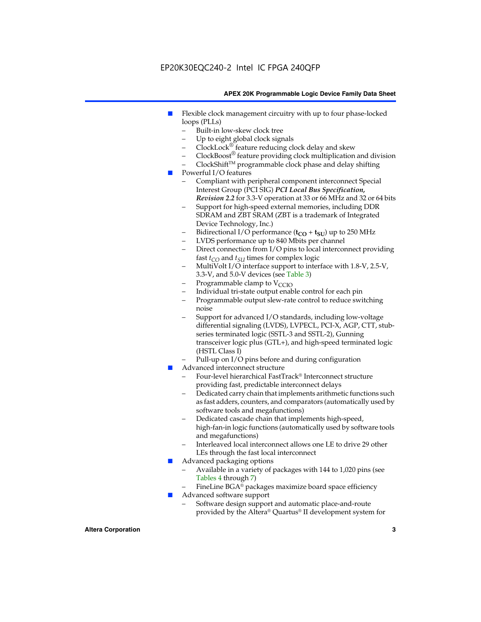#### EP20K30EQC240-2 Intel IC FPGA 240QFP

#### **APEX 20K Programmable Logic Device Family Data Sheet**

- Flexible clock management circuitry with up to four phase-locked loops (PLLs)
	- Built-in low-skew clock tree
	- Up to eight global clock signals
	- $ClockLock^{\circledR}$  feature reducing clock delay and skew
	- $ClockBoost^{\circledR}$  feature providing clock multiplication and division
	- ClockShiftTM programmable clock phase and delay shifting
- Powerful I/O features
	- Compliant with peripheral component interconnect Special Interest Group (PCI SIG) *PCI Local Bus Specification, Revision 2.2* for 3.3-V operation at 33 or 66 MHz and 32 or 64 bits
	- Support for high-speed external memories, including DDR SDRAM and ZBT SRAM (ZBT is a trademark of Integrated Device Technology, Inc.)
	- Bidirectional I/O performance  $(t_{CO} + t_{SU})$  up to 250 MHz
	- LVDS performance up to 840 Mbits per channel
	- Direct connection from I/O pins to local interconnect providing fast  $t_{CO}$  and  $t_{SU}$  times for complex logic
	- MultiVolt I/O interface support to interface with 1.8-V, 2.5-V, 3.3-V, and 5.0-V devices (see Table 3)
	- Programmable clamp to  $V_{\text{C}CD}$
	- Individual tri-state output enable control for each pin
	- Programmable output slew-rate control to reduce switching noise
	- Support for advanced I/O standards, including low-voltage differential signaling (LVDS), LVPECL, PCI-X, AGP, CTT, stubseries terminated logic (SSTL-3 and SSTL-2), Gunning transceiver logic plus (GTL+), and high-speed terminated logic (HSTL Class I)
	- Pull-up on I/O pins before and during configuration
- Advanced interconnect structure
	- Four-level hierarchical FastTrack® Interconnect structure providing fast, predictable interconnect delays
	- Dedicated carry chain that implements arithmetic functions such as fast adders, counters, and comparators (automatically used by software tools and megafunctions)
	- Dedicated cascade chain that implements high-speed, high-fan-in logic functions (automatically used by software tools and megafunctions)
	- Interleaved local interconnect allows one LE to drive 29 other LEs through the fast local interconnect
- Advanced packaging options
	- Available in a variety of packages with 144 to 1,020 pins (see Tables 4 through 7)
	- FineLine BGA® packages maximize board space efficiency
- Advanced software support
	- Software design support and automatic place-and-route provided by the Altera® Quartus® II development system for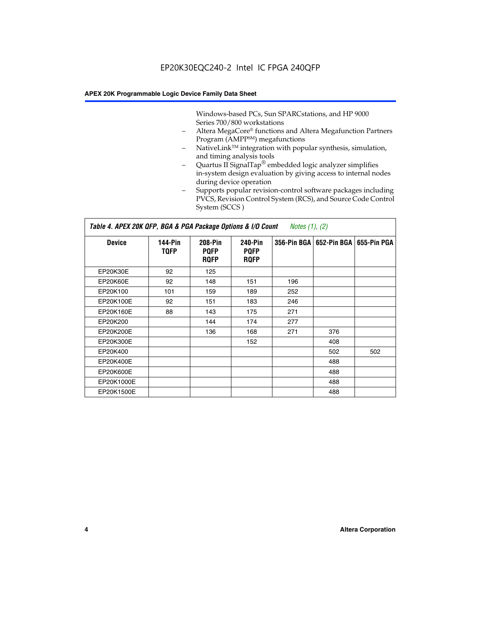Windows-based PCs, Sun SPARCstations, and HP 9000 Series 700/800 workstations

- Altera MegaCore® functions and Altera Megafunction Partners Program (AMPP<sup>SM</sup>) megafunctions
- NativeLink™ integration with popular synthesis, simulation, and timing analysis tools
- Quartus II SignalTap® embedded logic analyzer simplifies in-system design evaluation by giving access to internal nodes during device operation
- Supports popular revision-control software packages including PVCS, Revision Control System (RCS), and Source Code Control System (SCCS )

#### *Table 4. APEX 20K QFP, BGA & PGA Package Options & I/O Count Notes (1), (2)*

| <b>Device</b>   | 144-Pin<br><b>TQFP</b> | 208-Pin<br><b>PQFP</b><br><b>ROFP</b> | 240-Pin<br><b>PQFP</b><br><b>ROFP</b> |     | 356-Pin BGA   652-Pin BGA | 655-Pin PGA |
|-----------------|------------------------|---------------------------------------|---------------------------------------|-----|---------------------------|-------------|
| EP20K30E        | 92                     | 125                                   |                                       |     |                           |             |
| <b>EP20K60E</b> | 92                     | 148                                   | 151                                   | 196 |                           |             |
| EP20K100        | 101                    | 159                                   | 189                                   | 252 |                           |             |
| EP20K100E       | 92                     | 151                                   | 183                                   | 246 |                           |             |
| EP20K160E       | 88                     | 143                                   | 175                                   | 271 |                           |             |
| EP20K200        |                        | 144                                   | 174                                   | 277 |                           |             |
| EP20K200E       |                        | 136                                   | 168                                   | 271 | 376                       |             |
| EP20K300E       |                        |                                       | 152                                   |     | 408                       |             |
| EP20K400        |                        |                                       |                                       |     | 502                       | 502         |
| EP20K400E       |                        |                                       |                                       |     | 488                       |             |
| EP20K600E       |                        |                                       |                                       |     | 488                       |             |
| EP20K1000E      |                        |                                       |                                       |     | 488                       |             |
| EP20K1500E      |                        |                                       |                                       |     | 488                       |             |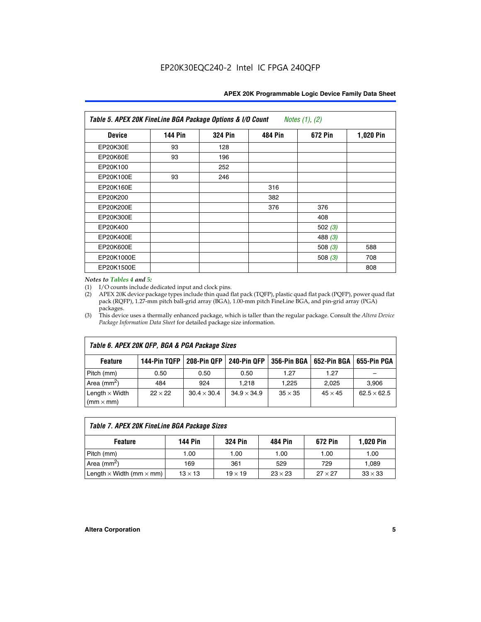| APEX 20K Programmable Logic Device Family Data Sheet |  |  |
|------------------------------------------------------|--|--|
|------------------------------------------------------|--|--|

| Table 5. APEX 20K FineLine BGA Package Options & I/O Count<br>Notes $(1)$ , $(2)$ |                |                |                |           |           |  |  |
|-----------------------------------------------------------------------------------|----------------|----------------|----------------|-----------|-----------|--|--|
| <b>Device</b>                                                                     | <b>144 Pin</b> | <b>324 Pin</b> | <b>484 Pin</b> | 672 Pin   | 1,020 Pin |  |  |
| EP20K30E                                                                          | 93             | 128            |                |           |           |  |  |
| <b>EP20K60E</b>                                                                   | 93             | 196            |                |           |           |  |  |
| EP20K100                                                                          |                | 252            |                |           |           |  |  |
| EP20K100E                                                                         | 93             | 246            |                |           |           |  |  |
| EP20K160E                                                                         |                |                | 316            |           |           |  |  |
| EP20K200                                                                          |                |                | 382            |           |           |  |  |
| EP20K200E                                                                         |                |                | 376            | 376       |           |  |  |
| EP20K300E                                                                         |                |                |                | 408       |           |  |  |
| EP20K400                                                                          |                |                |                | 502 $(3)$ |           |  |  |
| EP20K400E                                                                         |                |                |                | 488 $(3)$ |           |  |  |
| EP20K600E                                                                         |                |                |                | 508 $(3)$ | 588       |  |  |
| EP20K1000E                                                                        |                |                |                | 508 $(3)$ | 708       |  |  |
| EP20K1500E                                                                        |                |                |                |           | 808       |  |  |

#### *Notes to Tables 4 and 5:*

(1) I/O counts include dedicated input and clock pins.

(2) APEX 20K device package types include thin quad flat pack (TQFP), plastic quad flat pack (PQFP), power quad flat pack (RQFP), 1.27-mm pitch ball-grid array (BGA), 1.00-mm pitch FineLine BGA, and pin-grid array (PGA) packages.

(3) This device uses a thermally enhanced package, which is taller than the regular package. Consult the *Altera Device Package Information Data Sheet* for detailed package size information.

| Table 6. APEX 20K QFP, BGA & PGA Package Sizes |                |                    |                    |                |                |                    |  |  |
|------------------------------------------------|----------------|--------------------|--------------------|----------------|----------------|--------------------|--|--|
| <b>Feature</b>                                 | 144-Pin TQFP   | 208-Pin QFP        | 240-Pin QFP        | 356-Pin BGA    | 652-Pin BGA    | 655-Pin PGA        |  |  |
| Pitch (mm)                                     | 0.50           | 0.50               | 0.50               | 1.27           | 1.27           |                    |  |  |
| Area ( $mm2$ )                                 | 484            | 924                | 1.218              | 1.225          | 2,025          | 3,906              |  |  |
| Length $\times$ Width<br>$(mm \times mm)$      | $22 \times 22$ | $30.4 \times 30.4$ | $34.9 \times 34.9$ | $35 \times 35$ | $45 \times 45$ | $62.5 \times 62.5$ |  |  |

| Table 7. APEX 20K FineLine BGA Package Sizes |                |                |                |                |                |  |  |
|----------------------------------------------|----------------|----------------|----------------|----------------|----------------|--|--|
| <b>Feature</b>                               | 144 Pin        | <b>324 Pin</b> | 484 Pin        | 672 Pin        | 1,020 Pin      |  |  |
| Pitch (mm)                                   | 1.00           | 1.00           | 1.00           | 1.00           | 1.00           |  |  |
| Area ( $mm2$ )                               | 169            | 361            | 529            | 729            | 1,089          |  |  |
| Length $\times$ Width (mm $\times$ mm)       | $13 \times 13$ | $19 \times 19$ | $23 \times 23$ | $27 \times 27$ | $33 \times 33$ |  |  |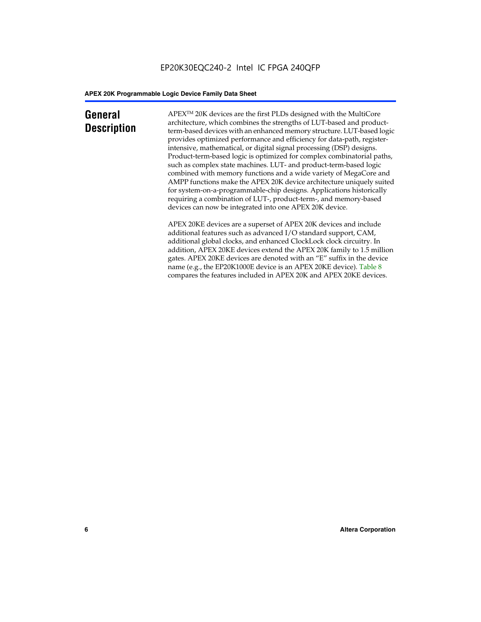### **General Description**

APEXTM 20K devices are the first PLDs designed with the MultiCore architecture, which combines the strengths of LUT-based and productterm-based devices with an enhanced memory structure. LUT-based logic provides optimized performance and efficiency for data-path, registerintensive, mathematical, or digital signal processing (DSP) designs. Product-term-based logic is optimized for complex combinatorial paths, such as complex state machines. LUT- and product-term-based logic combined with memory functions and a wide variety of MegaCore and AMPP functions make the APEX 20K device architecture uniquely suited for system-on-a-programmable-chip designs. Applications historically requiring a combination of LUT-, product-term-, and memory-based devices can now be integrated into one APEX 20K device.

APEX 20KE devices are a superset of APEX 20K devices and include additional features such as advanced I/O standard support, CAM, additional global clocks, and enhanced ClockLock clock circuitry. In addition, APEX 20KE devices extend the APEX 20K family to 1.5 million gates. APEX 20KE devices are denoted with an "E" suffix in the device name (e.g., the EP20K1000E device is an APEX 20KE device). Table 8 compares the features included in APEX 20K and APEX 20KE devices.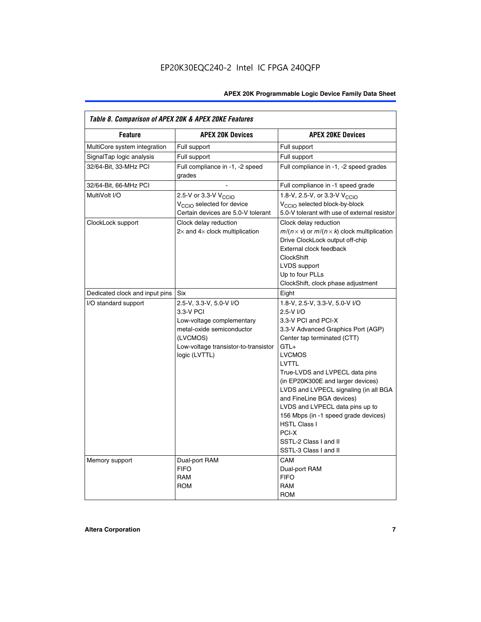| Table 8. Comparison of APEX 20K & APEX 20KE Features |                                                                                                                                                                     |                                                                                                                                                                                                                                                                                                                                                                                                                                                                                       |  |  |  |  |
|------------------------------------------------------|---------------------------------------------------------------------------------------------------------------------------------------------------------------------|---------------------------------------------------------------------------------------------------------------------------------------------------------------------------------------------------------------------------------------------------------------------------------------------------------------------------------------------------------------------------------------------------------------------------------------------------------------------------------------|--|--|--|--|
| <b>Feature</b>                                       | <b>APEX 20K Devices</b>                                                                                                                                             | <b>APEX 20KE Devices</b>                                                                                                                                                                                                                                                                                                                                                                                                                                                              |  |  |  |  |
| MultiCore system integration                         | Full support                                                                                                                                                        | Full support                                                                                                                                                                                                                                                                                                                                                                                                                                                                          |  |  |  |  |
| SignalTap logic analysis                             | Full support                                                                                                                                                        | Full support                                                                                                                                                                                                                                                                                                                                                                                                                                                                          |  |  |  |  |
| 32/64-Bit, 33-MHz PCI                                | Full compliance in -1, -2 speed<br>grades                                                                                                                           | Full compliance in -1, -2 speed grades                                                                                                                                                                                                                                                                                                                                                                                                                                                |  |  |  |  |
| 32/64-Bit, 66-MHz PCI                                |                                                                                                                                                                     | Full compliance in -1 speed grade                                                                                                                                                                                                                                                                                                                                                                                                                                                     |  |  |  |  |
| MultiVolt I/O                                        | 2.5-V or 3.3-V V <sub>CCIO</sub><br>V <sub>CCIO</sub> selected for device<br>Certain devices are 5.0-V tolerant                                                     | 1.8-V, 2.5-V, or 3.3-V V <sub>CCIO</sub><br>V <sub>CCIO</sub> selected block-by-block<br>5.0-V tolerant with use of external resistor                                                                                                                                                                                                                                                                                                                                                 |  |  |  |  |
| ClockLock support                                    | Clock delay reduction<br>$2\times$ and $4\times$ clock multiplication                                                                                               | Clock delay reduction<br>$m/(n \times v)$ or $m/(n \times k)$ clock multiplication<br>Drive ClockLock output off-chip<br>External clock feedback<br><b>ClockShift</b><br>LVDS support<br>Up to four PLLs<br>ClockShift, clock phase adjustment                                                                                                                                                                                                                                        |  |  |  |  |
| Dedicated clock and input pins                       | <b>Six</b>                                                                                                                                                          | Eight                                                                                                                                                                                                                                                                                                                                                                                                                                                                                 |  |  |  |  |
| I/O standard support                                 | 2.5-V, 3.3-V, 5.0-V I/O<br>3.3-V PCI<br>Low-voltage complementary<br>metal-oxide semiconductor<br>(LVCMOS)<br>Low-voltage transistor-to-transistor<br>logic (LVTTL) | 1.8-V, 2.5-V, 3.3-V, 5.0-V I/O<br>2.5-V I/O<br>3.3-V PCI and PCI-X<br>3.3-V Advanced Graphics Port (AGP)<br>Center tap terminated (CTT)<br>$GTL+$<br><b>LVCMOS</b><br>LVTTL<br>True-LVDS and LVPECL data pins<br>(in EP20K300E and larger devices)<br>LVDS and LVPECL signaling (in all BGA<br>and FineLine BGA devices)<br>LVDS and LVPECL data pins up to<br>156 Mbps (in -1 speed grade devices)<br><b>HSTL Class I</b><br>PCI-X<br>SSTL-2 Class I and II<br>SSTL-3 Class I and II |  |  |  |  |
| Memory support                                       | Dual-port RAM<br><b>FIFO</b><br><b>RAM</b><br><b>ROM</b>                                                                                                            | CAM<br>Dual-port RAM<br><b>FIFO</b><br>RAM<br><b>ROM</b>                                                                                                                                                                                                                                                                                                                                                                                                                              |  |  |  |  |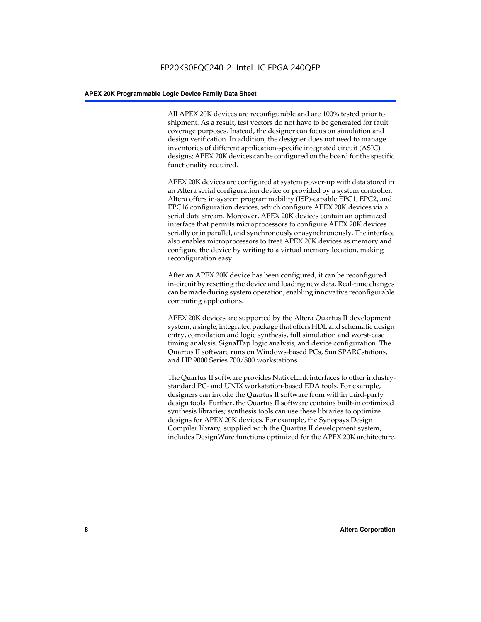All APEX 20K devices are reconfigurable and are 100% tested prior to shipment. As a result, test vectors do not have to be generated for fault coverage purposes. Instead, the designer can focus on simulation and design verification. In addition, the designer does not need to manage inventories of different application-specific integrated circuit (ASIC) designs; APEX 20K devices can be configured on the board for the specific functionality required.

APEX 20K devices are configured at system power-up with data stored in an Altera serial configuration device or provided by a system controller. Altera offers in-system programmability (ISP)-capable EPC1, EPC2, and EPC16 configuration devices, which configure APEX 20K devices via a serial data stream. Moreover, APEX 20K devices contain an optimized interface that permits microprocessors to configure APEX 20K devices serially or in parallel, and synchronously or asynchronously. The interface also enables microprocessors to treat APEX 20K devices as memory and configure the device by writing to a virtual memory location, making reconfiguration easy.

After an APEX 20K device has been configured, it can be reconfigured in-circuit by resetting the device and loading new data. Real-time changes can be made during system operation, enabling innovative reconfigurable computing applications.

APEX 20K devices are supported by the Altera Quartus II development system, a single, integrated package that offers HDL and schematic design entry, compilation and logic synthesis, full simulation and worst-case timing analysis, SignalTap logic analysis, and device configuration. The Quartus II software runs on Windows-based PCs, Sun SPARCstations, and HP 9000 Series 700/800 workstations.

The Quartus II software provides NativeLink interfaces to other industrystandard PC- and UNIX workstation-based EDA tools. For example, designers can invoke the Quartus II software from within third-party design tools. Further, the Quartus II software contains built-in optimized synthesis libraries; synthesis tools can use these libraries to optimize designs for APEX 20K devices. For example, the Synopsys Design Compiler library, supplied with the Quartus II development system, includes DesignWare functions optimized for the APEX 20K architecture.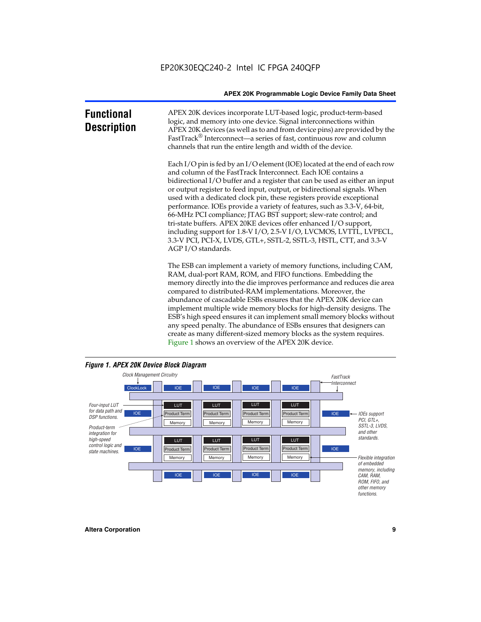| <b>Functional</b><br><b>Description</b> | APEX 20K devices incorporate LUT-based logic, product-term-based<br>logic, and memory into one device. Signal interconnections within<br>APEX 20K devices (as well as to and from device pins) are provided by the<br>FastTrack <sup>®</sup> Interconnect—a series of fast, continuous row and column<br>channels that run the entire length and width of the device.                                                                                                                                                                                                                                                                                                                                                                                              |
|-----------------------------------------|--------------------------------------------------------------------------------------------------------------------------------------------------------------------------------------------------------------------------------------------------------------------------------------------------------------------------------------------------------------------------------------------------------------------------------------------------------------------------------------------------------------------------------------------------------------------------------------------------------------------------------------------------------------------------------------------------------------------------------------------------------------------|
|                                         | Each I/O pin is fed by an I/O element (IOE) located at the end of each row<br>and column of the FastTrack Interconnect. Each IOE contains a<br>bidirectional I/O buffer and a register that can be used as either an input<br>or output register to feed input, output, or bidirectional signals. When<br>used with a dedicated clock pin, these registers provide exceptional<br>performance. IOEs provide a variety of features, such as 3.3-V, 64-bit,<br>66-MHz PCI compliance; JTAG BST support; slew-rate control; and<br>tri-state buffers. APEX 20KE devices offer enhanced I/O support,<br>including support for 1.8-V I/O, 2.5-V I/O, LVCMOS, LVTTL, LVPECL,<br>3.3-V PCI, PCI-X, LVDS, GTL+, SSTL-2, SSTL-3, HSTL, CTT, and 3.3-V<br>AGP I/O standards. |
|                                         | The ESB can implement a variety of memory functions, including CAM,<br>RAM, dual-port RAM, ROM, and FIFO functions. Embedding the<br>memory directly into the die improves performance and reduces die area<br>compared to distributed-RAM implementations. Moreover, the<br>abundance of cascadable ESBs ensures that the APEX 20K device can<br>implement multiple wide memory blocks for high-density designs. The<br>ESB's high speed ensures it can implement small memory blocks without<br>any speed penalty. The abundance of ESBs ensures that designers can<br>create as many different-sized memory blocks as the system requires.                                                                                                                      |



Figure 1 shows an overview of the APEX 20K device.

#### *Figure 1. APEX 20K Device Block Diagram*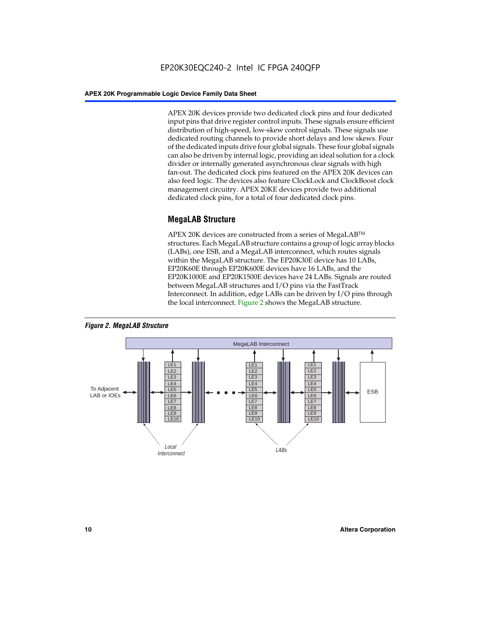APEX 20K devices provide two dedicated clock pins and four dedicated input pins that drive register control inputs. These signals ensure efficient distribution of high-speed, low-skew control signals. These signals use dedicated routing channels to provide short delays and low skews. Four of the dedicated inputs drive four global signals. These four global signals can also be driven by internal logic, providing an ideal solution for a clock divider or internally generated asynchronous clear signals with high fan-out. The dedicated clock pins featured on the APEX 20K devices can also feed logic. The devices also feature ClockLock and ClockBoost clock management circuitry. APEX 20KE devices provide two additional dedicated clock pins, for a total of four dedicated clock pins.

#### **MegaLAB Structure**

APEX 20K devices are constructed from a series of MegaLAB<sup>™</sup> structures. Each MegaLAB structure contains a group of logic array blocks (LABs), one ESB, and a MegaLAB interconnect, which routes signals within the MegaLAB structure. The EP20K30E device has 10 LABs, EP20K60E through EP20K600E devices have 16 LABs, and the EP20K1000E and EP20K1500E devices have 24 LABs. Signals are routed between MegaLAB structures and I/O pins via the FastTrack Interconnect. In addition, edge LABs can be driven by I/O pins through the local interconnect. Figure 2 shows the MegaLAB structure.



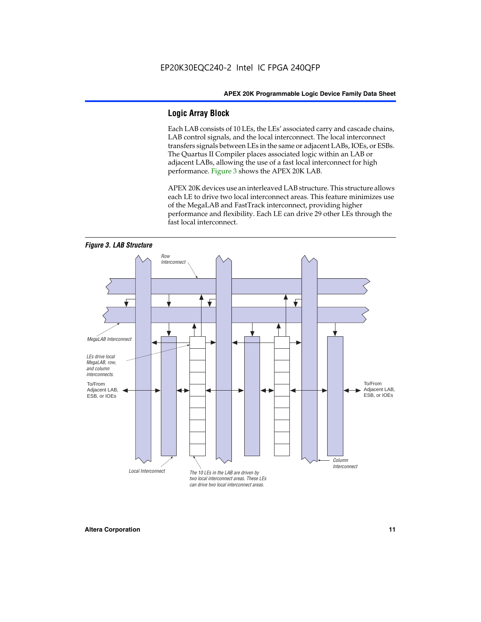#### **Logic Array Block**

Each LAB consists of 10 LEs, the LEs' associated carry and cascade chains, LAB control signals, and the local interconnect. The local interconnect transfers signals between LEs in the same or adjacent LABs, IOEs, or ESBs. The Quartus II Compiler places associated logic within an LAB or adjacent LABs, allowing the use of a fast local interconnect for high performance. Figure 3 shows the APEX 20K LAB.

APEX 20K devices use an interleaved LAB structure. This structure allows each LE to drive two local interconnect areas. This feature minimizes use of the MegaLAB and FastTrack interconnect, providing higher performance and flexibility. Each LE can drive 29 other LEs through the fast local interconnect.

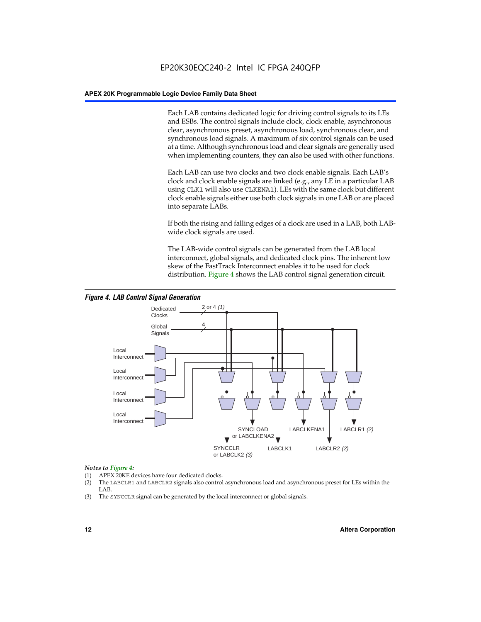Each LAB contains dedicated logic for driving control signals to its LEs and ESBs. The control signals include clock, clock enable, asynchronous clear, asynchronous preset, asynchronous load, synchronous clear, and synchronous load signals. A maximum of six control signals can be used at a time. Although synchronous load and clear signals are generally used when implementing counters, they can also be used with other functions.

Each LAB can use two clocks and two clock enable signals. Each LAB's clock and clock enable signals are linked (e.g., any LE in a particular LAB using CLK1 will also use CLKENA1). LEs with the same clock but different clock enable signals either use both clock signals in one LAB or are placed into separate LABs.

If both the rising and falling edges of a clock are used in a LAB, both LABwide clock signals are used.

The LAB-wide control signals can be generated from the LAB local interconnect, global signals, and dedicated clock pins. The inherent low skew of the FastTrack Interconnect enables it to be used for clock distribution. Figure 4 shows the LAB control signal generation circuit.



#### *Figure 4. LAB Control Signal Generation*

#### *Notes to Figure 4:*

- (1) APEX 20KE devices have four dedicated clocks.
- (2) The LABCLR1 and LABCLR2 signals also control asynchronous load and asynchronous preset for LEs within the LAB.
- (3) The SYNCCLR signal can be generated by the local interconnect or global signals.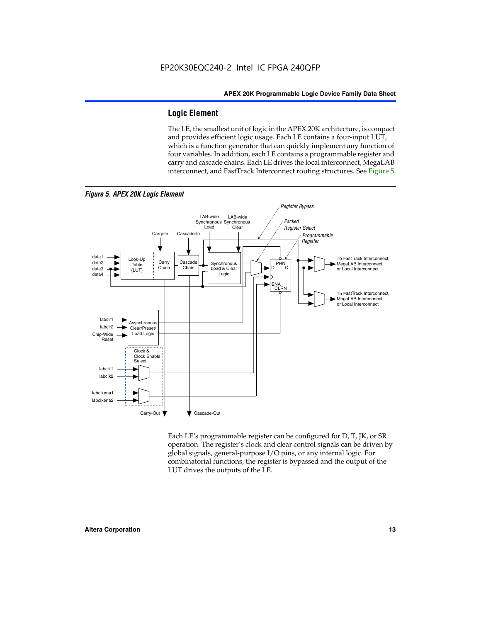#### **Logic Element**

The LE, the smallest unit of logic in the APEX 20K architecture, is compact and provides efficient logic usage. Each LE contains a four-input LUT, which is a function generator that can quickly implement any function of four variables. In addition, each LE contains a programmable register and carry and cascade chains. Each LE drives the local interconnect, MegaLAB interconnect, and FastTrack Interconnect routing structures. See Figure 5.



Each LE's programmable register can be configured for D, T, JK, or SR operation. The register's clock and clear control signals can be driven by global signals, general-purpose I/O pins, or any internal logic. For combinatorial functions, the register is bypassed and the output of the LUT drives the outputs of the LE.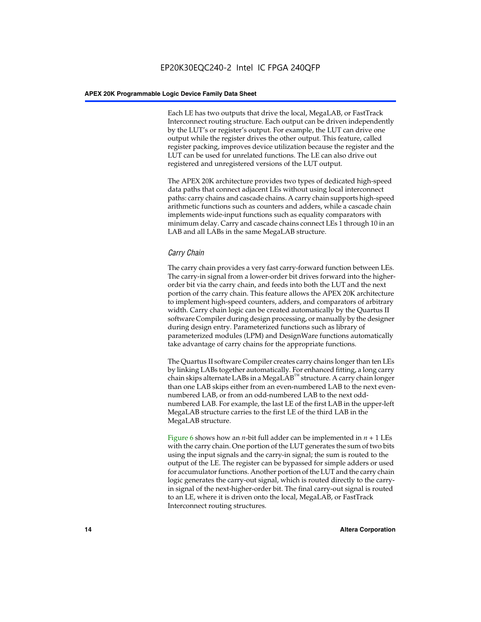Each LE has two outputs that drive the local, MegaLAB, or FastTrack Interconnect routing structure. Each output can be driven independently by the LUT's or register's output. For example, the LUT can drive one output while the register drives the other output. This feature, called register packing, improves device utilization because the register and the LUT can be used for unrelated functions. The LE can also drive out registered and unregistered versions of the LUT output.

The APEX 20K architecture provides two types of dedicated high-speed data paths that connect adjacent LEs without using local interconnect paths: carry chains and cascade chains. A carry chain supports high-speed arithmetic functions such as counters and adders, while a cascade chain implements wide-input functions such as equality comparators with minimum delay. Carry and cascade chains connect LEs 1 through 10 in an LAB and all LABs in the same MegaLAB structure.

#### *Carry Chain*

The carry chain provides a very fast carry-forward function between LEs. The carry-in signal from a lower-order bit drives forward into the higherorder bit via the carry chain, and feeds into both the LUT and the next portion of the carry chain. This feature allows the APEX 20K architecture to implement high-speed counters, adders, and comparators of arbitrary width. Carry chain logic can be created automatically by the Quartus II software Compiler during design processing, or manually by the designer during design entry. Parameterized functions such as library of parameterized modules (LPM) and DesignWare functions automatically take advantage of carry chains for the appropriate functions.

The Quartus II software Compiler creates carry chains longer than ten LEs by linking LABs together automatically. For enhanced fitting, a long carry chain skips alternate LABs in a MegaLAB<sup>™</sup> structure. A carry chain longer than one LAB skips either from an even-numbered LAB to the next evennumbered LAB, or from an odd-numbered LAB to the next oddnumbered LAB. For example, the last LE of the first LAB in the upper-left MegaLAB structure carries to the first LE of the third LAB in the MegaLAB structure.

Figure 6 shows how an *n*-bit full adder can be implemented in *n* + 1 LEs with the carry chain. One portion of the LUT generates the sum of two bits using the input signals and the carry-in signal; the sum is routed to the output of the LE. The register can be bypassed for simple adders or used for accumulator functions. Another portion of the LUT and the carry chain logic generates the carry-out signal, which is routed directly to the carryin signal of the next-higher-order bit. The final carry-out signal is routed to an LE, where it is driven onto the local, MegaLAB, or FastTrack Interconnect routing structures.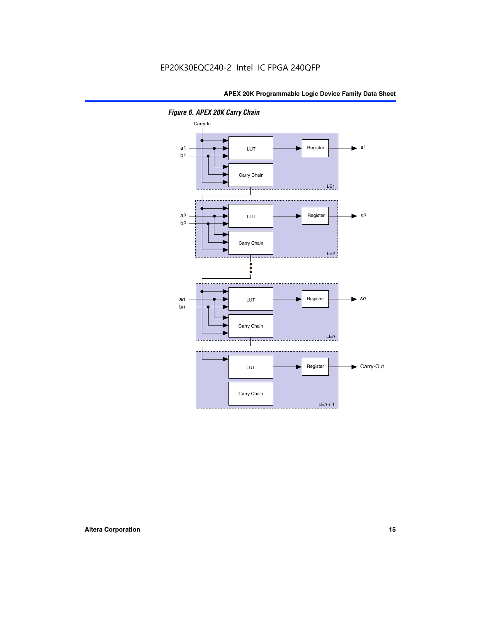

*Figure 6. APEX 20K Carry Chain*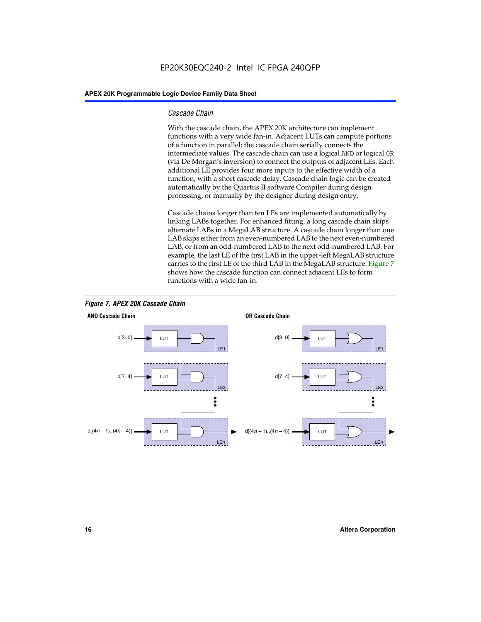#### *Cascade Chain*

With the cascade chain, the APEX 20K architecture can implement functions with a very wide fan-in. Adjacent LUTs can compute portions of a function in parallel; the cascade chain serially connects the intermediate values. The cascade chain can use a logical AND or logical OR (via De Morgan's inversion) to connect the outputs of adjacent LEs. Each additional LE provides four more inputs to the effective width of a function, with a short cascade delay. Cascade chain logic can be created automatically by the Quartus II software Compiler during design processing, or manually by the designer during design entry.

Cascade chains longer than ten LEs are implemented automatically by linking LABs together. For enhanced fitting, a long cascade chain skips alternate LABs in a MegaLAB structure. A cascade chain longer than one LAB skips either from an even-numbered LAB to the next even-numbered LAB, or from an odd-numbered LAB to the next odd-numbered LAB. For example, the last LE of the first LAB in the upper-left MegaLAB structure carries to the first LE of the third LAB in the MegaLAB structure. Figure 7 shows how the cascade function can connect adjacent LEs to form functions with a wide fan-in.



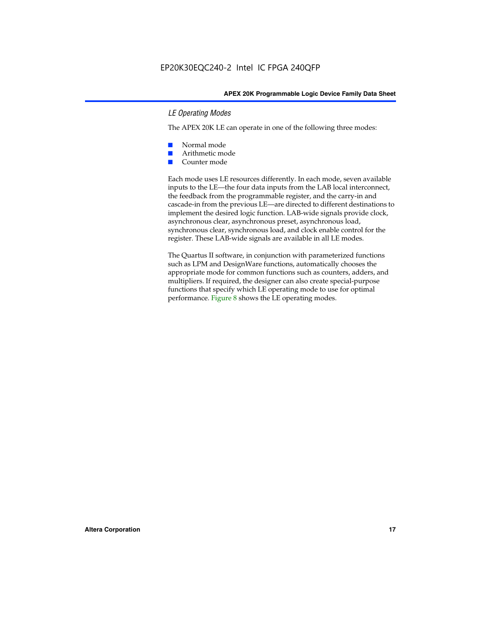#### *LE Operating Modes*

The APEX 20K LE can operate in one of the following three modes:

- Normal mode
- Arithmetic mode
- Counter mode

Each mode uses LE resources differently. In each mode, seven available inputs to the LE—the four data inputs from the LAB local interconnect, the feedback from the programmable register, and the carry-in and cascade-in from the previous LE—are directed to different destinations to implement the desired logic function. LAB-wide signals provide clock, asynchronous clear, asynchronous preset, asynchronous load, synchronous clear, synchronous load, and clock enable control for the register. These LAB-wide signals are available in all LE modes.

The Quartus II software, in conjunction with parameterized functions such as LPM and DesignWare functions, automatically chooses the appropriate mode for common functions such as counters, adders, and multipliers. If required, the designer can also create special-purpose functions that specify which LE operating mode to use for optimal performance. Figure 8 shows the LE operating modes.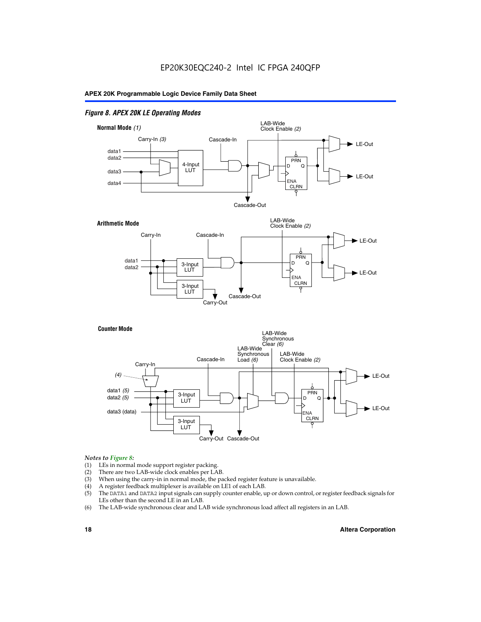#### *Figure 8. APEX 20K LE Operating Modes*



#### *Notes to Figure 8:*

- (1) LEs in normal mode support register packing.
- (2) There are two LAB-wide clock enables per LAB.
- (3) When using the carry-in in normal mode, the packed register feature is unavailable.
- (4) A register feedback multiplexer is available on LE1 of each LAB.
- (5) The DATA1 and DATA2 input signals can supply counter enable, up or down control, or register feedback signals for LEs other than the second LE in an LAB.
- (6) The LAB-wide synchronous clear and LAB wide synchronous load affect all registers in an LAB.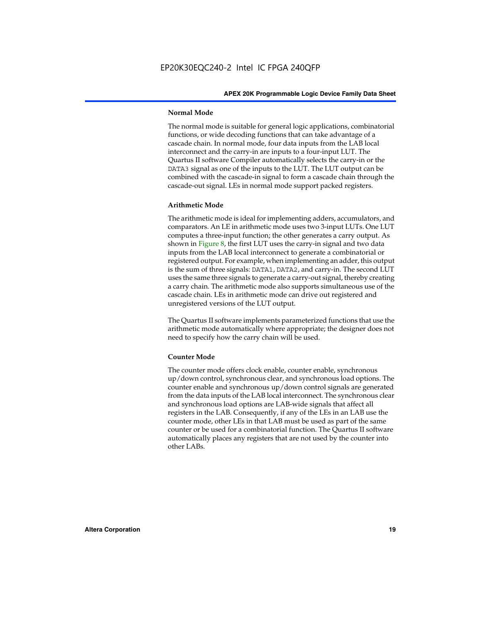#### **Normal Mode**

The normal mode is suitable for general logic applications, combinatorial functions, or wide decoding functions that can take advantage of a cascade chain. In normal mode, four data inputs from the LAB local interconnect and the carry-in are inputs to a four-input LUT. The Quartus II software Compiler automatically selects the carry-in or the DATA3 signal as one of the inputs to the LUT. The LUT output can be combined with the cascade-in signal to form a cascade chain through the cascade-out signal. LEs in normal mode support packed registers.

#### **Arithmetic Mode**

The arithmetic mode is ideal for implementing adders, accumulators, and comparators. An LE in arithmetic mode uses two 3-input LUTs. One LUT computes a three-input function; the other generates a carry output. As shown in Figure 8, the first LUT uses the carry-in signal and two data inputs from the LAB local interconnect to generate a combinatorial or registered output. For example, when implementing an adder, this output is the sum of three signals: DATA1, DATA2, and carry-in. The second LUT uses the same three signals to generate a carry-out signal, thereby creating a carry chain. The arithmetic mode also supports simultaneous use of the cascade chain. LEs in arithmetic mode can drive out registered and unregistered versions of the LUT output.

The Quartus II software implements parameterized functions that use the arithmetic mode automatically where appropriate; the designer does not need to specify how the carry chain will be used.

#### **Counter Mode**

The counter mode offers clock enable, counter enable, synchronous up/down control, synchronous clear, and synchronous load options. The counter enable and synchronous up/down control signals are generated from the data inputs of the LAB local interconnect. The synchronous clear and synchronous load options are LAB-wide signals that affect all registers in the LAB. Consequently, if any of the LEs in an LAB use the counter mode, other LEs in that LAB must be used as part of the same counter or be used for a combinatorial function. The Quartus II software automatically places any registers that are not used by the counter into other LABs.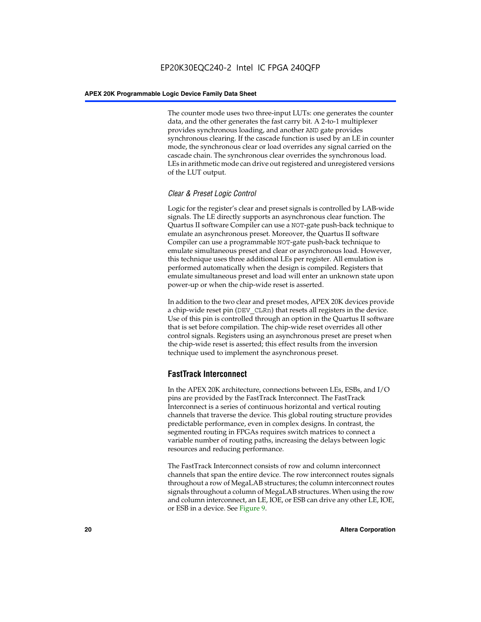The counter mode uses two three-input LUTs: one generates the counter data, and the other generates the fast carry bit. A 2-to-1 multiplexer provides synchronous loading, and another AND gate provides synchronous clearing. If the cascade function is used by an LE in counter mode, the synchronous clear or load overrides any signal carried on the cascade chain. The synchronous clear overrides the synchronous load. LEs in arithmetic mode can drive out registered and unregistered versions of the LUT output.

#### *Clear & Preset Logic Control*

Logic for the register's clear and preset signals is controlled by LAB-wide signals. The LE directly supports an asynchronous clear function. The Quartus II software Compiler can use a NOT-gate push-back technique to emulate an asynchronous preset. Moreover, the Quartus II software Compiler can use a programmable NOT-gate push-back technique to emulate simultaneous preset and clear or asynchronous load. However, this technique uses three additional LEs per register. All emulation is performed automatically when the design is compiled. Registers that emulate simultaneous preset and load will enter an unknown state upon power-up or when the chip-wide reset is asserted.

In addition to the two clear and preset modes, APEX 20K devices provide a chip-wide reset pin (DEV\_CLRn) that resets all registers in the device. Use of this pin is controlled through an option in the Quartus II software that is set before compilation. The chip-wide reset overrides all other control signals. Registers using an asynchronous preset are preset when the chip-wide reset is asserted; this effect results from the inversion technique used to implement the asynchronous preset.

#### **FastTrack Interconnect**

In the APEX 20K architecture, connections between LEs, ESBs, and I/O pins are provided by the FastTrack Interconnect. The FastTrack Interconnect is a series of continuous horizontal and vertical routing channels that traverse the device. This global routing structure provides predictable performance, even in complex designs. In contrast, the segmented routing in FPGAs requires switch matrices to connect a variable number of routing paths, increasing the delays between logic resources and reducing performance.

The FastTrack Interconnect consists of row and column interconnect channels that span the entire device. The row interconnect routes signals throughout a row of MegaLAB structures; the column interconnect routes signals throughout a column of MegaLAB structures. When using the row and column interconnect, an LE, IOE, or ESB can drive any other LE, IOE, or ESB in a device. See Figure 9.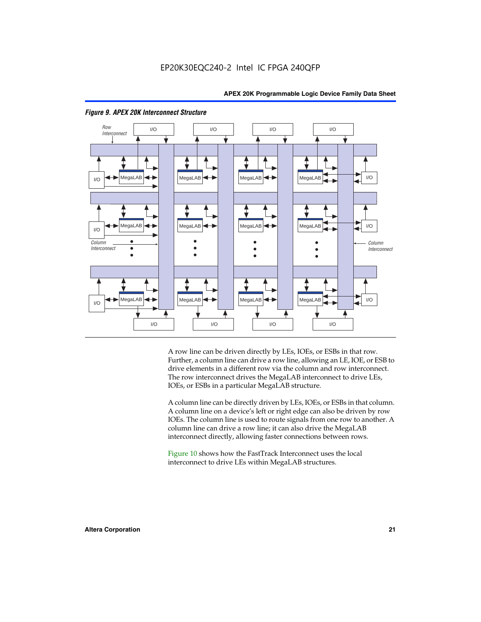

#### *Figure 9. APEX 20K Interconnect Structure*

A row line can be driven directly by LEs, IOEs, or ESBs in that row. Further, a column line can drive a row line, allowing an LE, IOE, or ESB to drive elements in a different row via the column and row interconnect. The row interconnect drives the MegaLAB interconnect to drive LEs, IOEs, or ESBs in a particular MegaLAB structure.

A column line can be directly driven by LEs, IOEs, or ESBs in that column. A column line on a device's left or right edge can also be driven by row IOEs. The column line is used to route signals from one row to another. A column line can drive a row line; it can also drive the MegaLAB interconnect directly, allowing faster connections between rows.

Figure 10 shows how the FastTrack Interconnect uses the local interconnect to drive LEs within MegaLAB structures.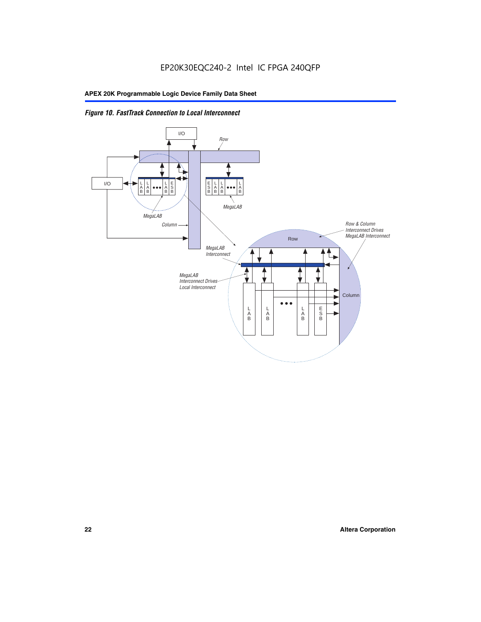

#### *Figure 10. FastTrack Connection to Local Interconnect*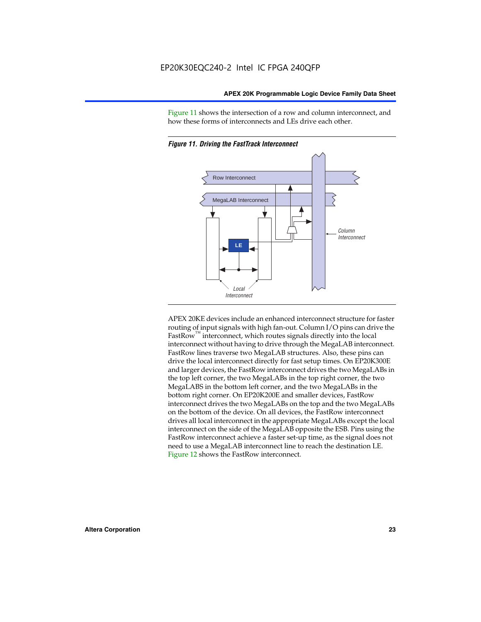Figure 11 shows the intersection of a row and column interconnect, and how these forms of interconnects and LEs drive each other.



*Figure 11. Driving the FastTrack Interconnect*

APEX 20KE devices include an enhanced interconnect structure for faster routing of input signals with high fan-out. Column I/O pins can drive the FastRow<sup>™</sup> interconnect, which routes signals directly into the local interconnect without having to drive through the MegaLAB interconnect. FastRow lines traverse two MegaLAB structures. Also, these pins can drive the local interconnect directly for fast setup times. On EP20K300E and larger devices, the FastRow interconnect drives the two MegaLABs in the top left corner, the two MegaLABs in the top right corner, the two MegaLABS in the bottom left corner, and the two MegaLABs in the bottom right corner. On EP20K200E and smaller devices, FastRow interconnect drives the two MegaLABs on the top and the two MegaLABs on the bottom of the device. On all devices, the FastRow interconnect drives all local interconnect in the appropriate MegaLABs except the local interconnect on the side of the MegaLAB opposite the ESB. Pins using the FastRow interconnect achieve a faster set-up time, as the signal does not need to use a MegaLAB interconnect line to reach the destination LE. Figure 12 shows the FastRow interconnect.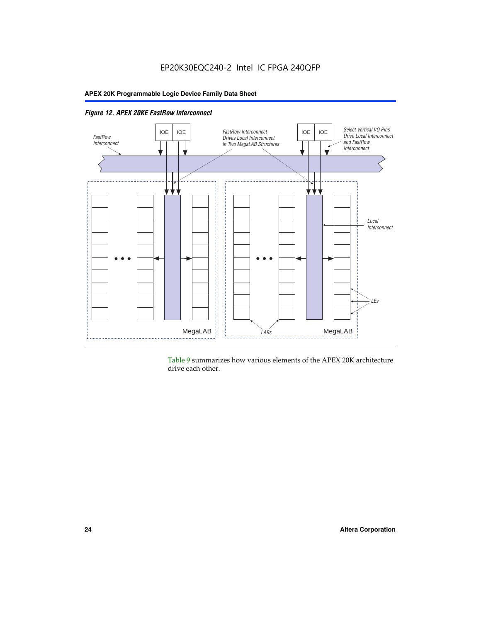

*Figure 12. APEX 20KE FastRow Interconnect*

Table 9 summarizes how various elements of the APEX 20K architecture drive each other.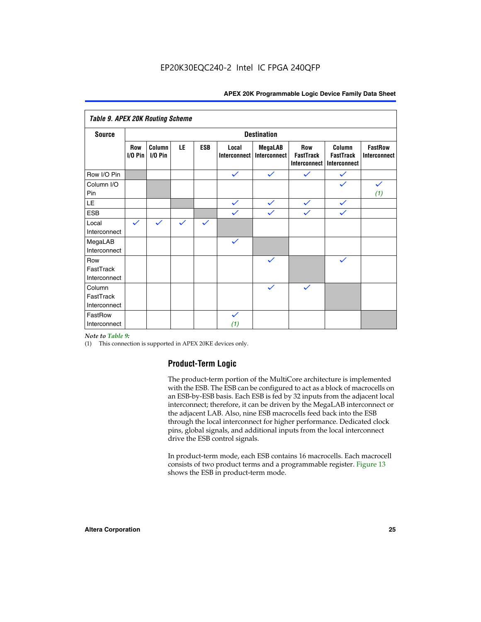| <b>Table 9. APEX 20K Routing Scheme</b> |                   |                      |              |              |                       |                                |                                                       |                                            |                                |
|-----------------------------------------|-------------------|----------------------|--------------|--------------|-----------------------|--------------------------------|-------------------------------------------------------|--------------------------------------------|--------------------------------|
| <b>Source</b>                           |                   | <b>Destination</b>   |              |              |                       |                                |                                                       |                                            |                                |
|                                         | Row<br>$I/O P$ in | Column<br>$I/O P$ in | LE           | <b>ESB</b>   | Local<br>Interconnect | <b>MegaLAB</b><br>Interconnect | <b>Row</b><br><b>FastTrack</b><br><b>Interconnect</b> | Column<br><b>FastTrack</b><br>Interconnect | <b>FastRow</b><br>Interconnect |
| Row I/O Pin                             |                   |                      |              |              | $\checkmark$          | $\checkmark$                   | $\checkmark$                                          | $\checkmark$                               |                                |
| Column I/O<br>Pin                       |                   |                      |              |              |                       |                                |                                                       |                                            | $\checkmark$<br>(1)            |
| LE                                      |                   |                      |              |              | $\checkmark$          | $\checkmark$                   | $\checkmark$                                          | $\checkmark$                               |                                |
| <b>ESB</b>                              |                   |                      |              |              | $\checkmark$          | $\checkmark$                   | $\checkmark$                                          | $\checkmark$                               |                                |
| Local<br>Interconnect                   | $\checkmark$      | $\checkmark$         | $\checkmark$ | $\checkmark$ |                       |                                |                                                       |                                            |                                |
| MegaLAB<br>Interconnect                 |                   |                      |              |              | $\checkmark$          |                                |                                                       |                                            |                                |
| Row<br>FastTrack<br>Interconnect        |                   |                      |              |              |                       | $\checkmark$                   |                                                       | $\checkmark$                               |                                |
| Column<br>FastTrack<br>Interconnect     |                   |                      |              |              |                       | $\checkmark$                   | $\checkmark$                                          |                                            |                                |
| FastRow<br>Interconnect                 |                   |                      |              |              | $\checkmark$<br>(1)   |                                |                                                       |                                            |                                |

#### *Note to Table 9:*

(1) This connection is supported in APEX 20KE devices only.

#### **Product-Term Logic**

The product-term portion of the MultiCore architecture is implemented with the ESB. The ESB can be configured to act as a block of macrocells on an ESB-by-ESB basis. Each ESB is fed by 32 inputs from the adjacent local interconnect; therefore, it can be driven by the MegaLAB interconnect or the adjacent LAB. Also, nine ESB macrocells feed back into the ESB through the local interconnect for higher performance. Dedicated clock pins, global signals, and additional inputs from the local interconnect drive the ESB control signals.

In product-term mode, each ESB contains 16 macrocells. Each macrocell consists of two product terms and a programmable register. Figure 13 shows the ESB in product-term mode.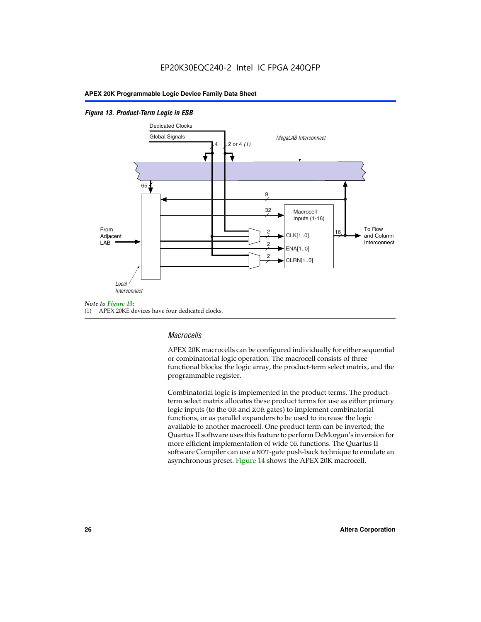#### *Figure 13. Product-Term Logic in ESB*



(1) APEX 20KE devices have four dedicated clocks.

#### *Macrocells*

APEX 20K macrocells can be configured individually for either sequential or combinatorial logic operation. The macrocell consists of three functional blocks: the logic array, the product-term select matrix, and the programmable register.

Combinatorial logic is implemented in the product terms. The productterm select matrix allocates these product terms for use as either primary logic inputs (to the OR and XOR gates) to implement combinatorial functions, or as parallel expanders to be used to increase the logic available to another macrocell. One product term can be inverted; the Quartus II software uses this feature to perform DeMorgan's inversion for more efficient implementation of wide OR functions. The Quartus II software Compiler can use a NOT-gate push-back technique to emulate an asynchronous preset. Figure 14 shows the APEX 20K macrocell.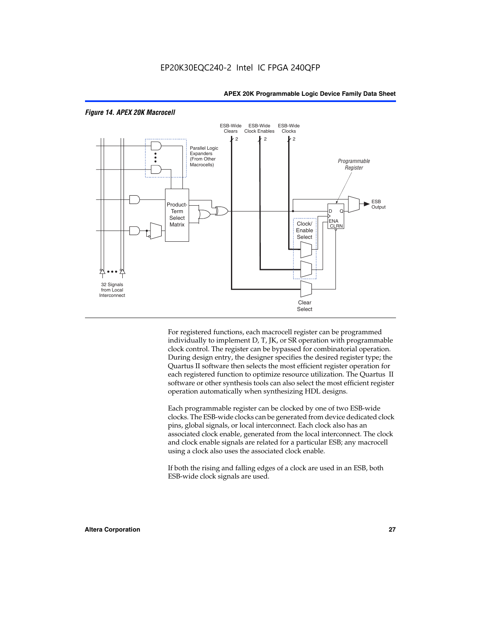

#### *Figure 14. APEX 20K Macrocell*

For registered functions, each macrocell register can be programmed individually to implement D, T, JK, or SR operation with programmable clock control. The register can be bypassed for combinatorial operation. During design entry, the designer specifies the desired register type; the Quartus II software then selects the most efficient register operation for each registered function to optimize resource utilization. The Quartus II software or other synthesis tools can also select the most efficient register operation automatically when synthesizing HDL designs.

Each programmable register can be clocked by one of two ESB-wide clocks. The ESB-wide clocks can be generated from device dedicated clock pins, global signals, or local interconnect. Each clock also has an associated clock enable, generated from the local interconnect. The clock and clock enable signals are related for a particular ESB; any macrocell using a clock also uses the associated clock enable.

If both the rising and falling edges of a clock are used in an ESB, both ESB-wide clock signals are used.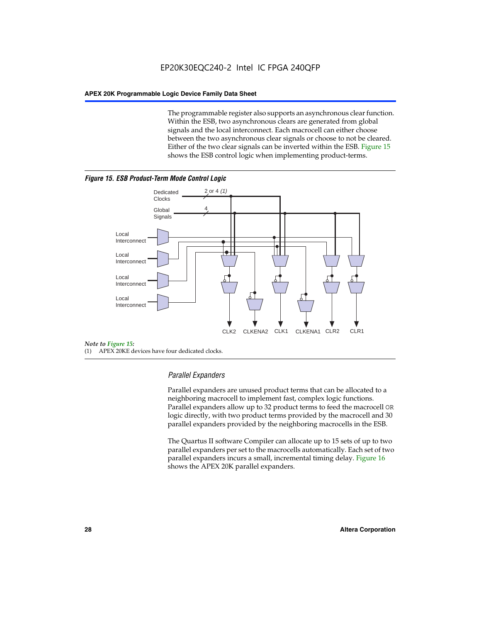The programmable register also supports an asynchronous clear function. Within the ESB, two asynchronous clears are generated from global signals and the local interconnect. Each macrocell can either choose between the two asynchronous clear signals or choose to not be cleared. Either of the two clear signals can be inverted within the ESB. Figure 15 shows the ESB control logic when implementing product-terms.





(1) APEX 20KE devices have four dedicated clocks.

#### *Parallel Expanders*

Parallel expanders are unused product terms that can be allocated to a neighboring macrocell to implement fast, complex logic functions. Parallel expanders allow up to 32 product terms to feed the macrocell OR logic directly, with two product terms provided by the macrocell and 30 parallel expanders provided by the neighboring macrocells in the ESB.

The Quartus II software Compiler can allocate up to 15 sets of up to two parallel expanders per set to the macrocells automatically. Each set of two parallel expanders incurs a small, incremental timing delay. Figure 16 shows the APEX 20K parallel expanders.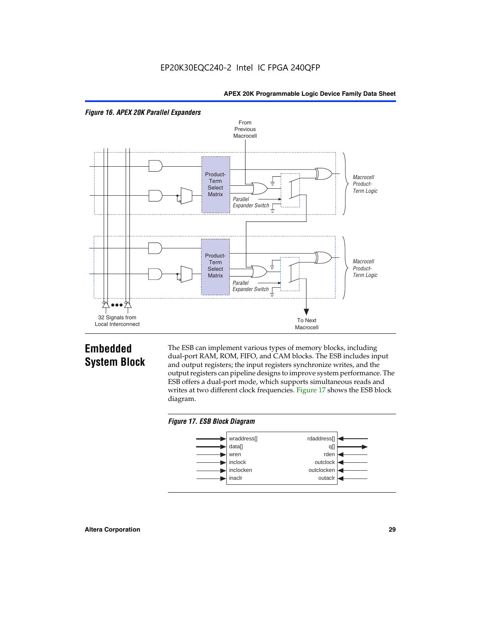



### **Embedded System Block**

The ESB can implement various types of memory blocks, including dual-port RAM, ROM, FIFO, and CAM blocks. The ESB includes input and output registers; the input registers synchronize writes, and the output registers can pipeline designs to improve system performance. The ESB offers a dual-port mode, which supports simultaneous reads and writes at two different clock frequencies. Figure 17 shows the ESB block diagram.



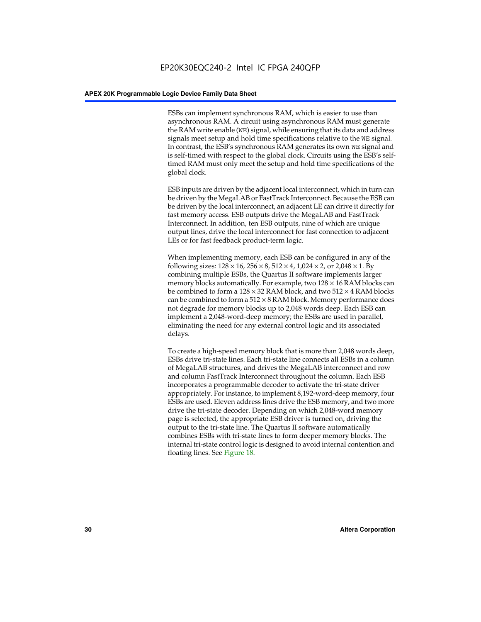ESBs can implement synchronous RAM, which is easier to use than asynchronous RAM. A circuit using asynchronous RAM must generate the RAM write enable (WE) signal, while ensuring that its data and address signals meet setup and hold time specifications relative to the WE signal. In contrast, the ESB's synchronous RAM generates its own WE signal and is self-timed with respect to the global clock. Circuits using the ESB's selftimed RAM must only meet the setup and hold time specifications of the global clock.

ESB inputs are driven by the adjacent local interconnect, which in turn can be driven by the MegaLAB or FastTrack Interconnect. Because the ESB can be driven by the local interconnect, an adjacent LE can drive it directly for fast memory access. ESB outputs drive the MegaLAB and FastTrack Interconnect. In addition, ten ESB outputs, nine of which are unique output lines, drive the local interconnect for fast connection to adjacent LEs or for fast feedback product-term logic.

When implementing memory, each ESB can be configured in any of the following sizes:  $128 \times 16$ ,  $256 \times 8$ ,  $512 \times 4$ ,  $1,024 \times 2$ , or  $2,048 \times 1$ . By combining multiple ESBs, the Quartus II software implements larger memory blocks automatically. For example, two  $128 \times 16$  RAM blocks can be combined to form a  $128 \times 32$  RAM block, and two  $512 \times 4$  RAM blocks can be combined to form a  $512 \times 8$  RAM block. Memory performance does not degrade for memory blocks up to 2,048 words deep. Each ESB can implement a 2,048-word-deep memory; the ESBs are used in parallel, eliminating the need for any external control logic and its associated delays.

To create a high-speed memory block that is more than 2,048 words deep, ESBs drive tri-state lines. Each tri-state line connects all ESBs in a column of MegaLAB structures, and drives the MegaLAB interconnect and row and column FastTrack Interconnect throughout the column. Each ESB incorporates a programmable decoder to activate the tri-state driver appropriately. For instance, to implement 8,192-word-deep memory, four ESBs are used. Eleven address lines drive the ESB memory, and two more drive the tri-state decoder. Depending on which 2,048-word memory page is selected, the appropriate ESB driver is turned on, driving the output to the tri-state line. The Quartus II software automatically combines ESBs with tri-state lines to form deeper memory blocks. The internal tri-state control logic is designed to avoid internal contention and floating lines. See Figure 18.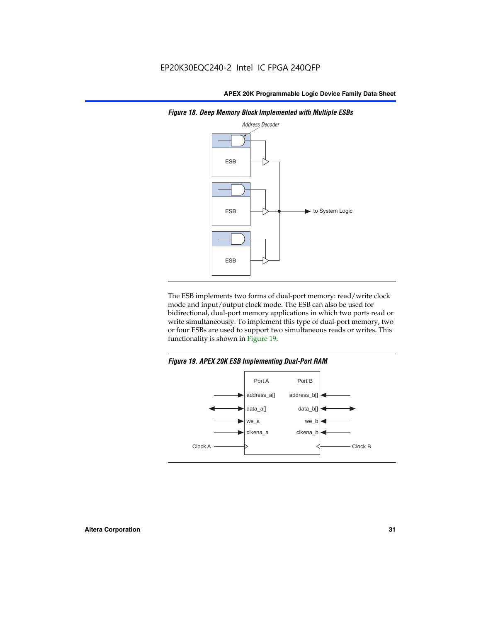

*Figure 18. Deep Memory Block Implemented with Multiple ESBs*

The ESB implements two forms of dual-port memory: read/write clock mode and input/output clock mode. The ESB can also be used for bidirectional, dual-port memory applications in which two ports read or write simultaneously. To implement this type of dual-port memory, two or four ESBs are used to support two simultaneous reads or writes. This functionality is shown in Figure 19.

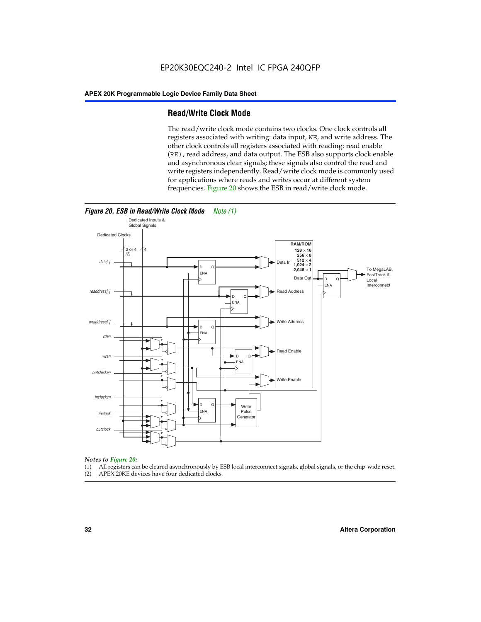#### **Read/Write Clock Mode**

The read/write clock mode contains two clocks. One clock controls all registers associated with writing: data input, WE, and write address. The other clock controls all registers associated with reading: read enable (RE), read address, and data output. The ESB also supports clock enable and asynchronous clear signals; these signals also control the read and write registers independently. Read/write clock mode is commonly used for applications where reads and writes occur at different system frequencies. Figure 20 shows the ESB in read/write clock mode.



### *Notes to Figure 20:*

- (1) All registers can be cleared asynchronously by ESB local interconnect signals, global signals, or the chip-wide reset.
- (2) APEX 20KE devices have four dedicated clocks.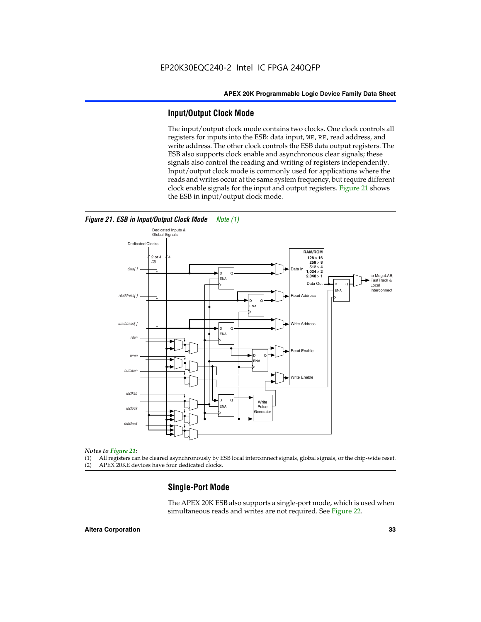#### **Input/Output Clock Mode**

The input/output clock mode contains two clocks. One clock controls all registers for inputs into the ESB: data input, WE, RE, read address, and write address. The other clock controls the ESB data output registers. The ESB also supports clock enable and asynchronous clear signals; these signals also control the reading and writing of registers independently. Input/output clock mode is commonly used for applications where the reads and writes occur at the same system frequency, but require different clock enable signals for the input and output registers. Figure 21 shows the ESB in input/output clock mode.



#### *Figure 21. ESB in Input/Output Clock Mode Note (1)*

#### *Notes to Figure 21:*

(1) All registers can be cleared asynchronously by ESB local interconnect signals, global signals, or the chip-wide reset.

(2) APEX 20KE devices have four dedicated clocks.

#### **Single-Port Mode**

The APEX 20K ESB also supports a single-port mode, which is used when simultaneous reads and writes are not required. See Figure 22.

#### **Altera Corporation 33**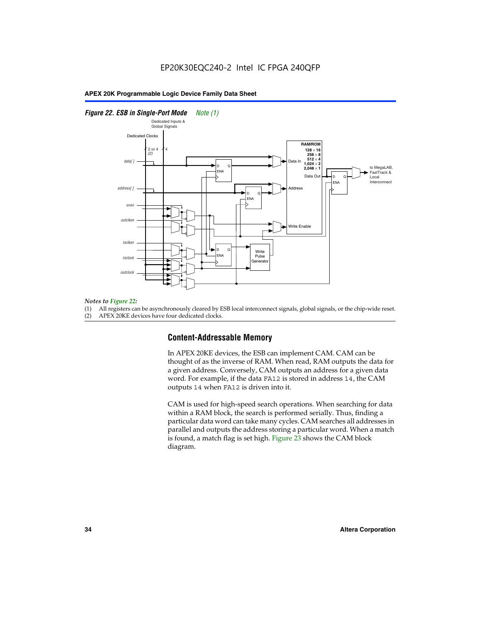#### *Figure 22. ESB in Single-Port Mode Note (1)*



#### *Notes to Figure 22:*

(1) All registers can be asynchronously cleared by ESB local interconnect signals, global signals, or the chip-wide reset.

(2) APEX 20KE devices have four dedicated clocks.

#### **Content-Addressable Memory**

In APEX 20KE devices, the ESB can implement CAM. CAM can be thought of as the inverse of RAM. When read, RAM outputs the data for a given address. Conversely, CAM outputs an address for a given data word. For example, if the data FA12 is stored in address 14, the CAM outputs 14 when FA12 is driven into it.

CAM is used for high-speed search operations. When searching for data within a RAM block, the search is performed serially. Thus, finding a particular data word can take many cycles. CAM searches all addresses in parallel and outputs the address storing a particular word. When a match is found, a match flag is set high. Figure 23 shows the CAM block diagram.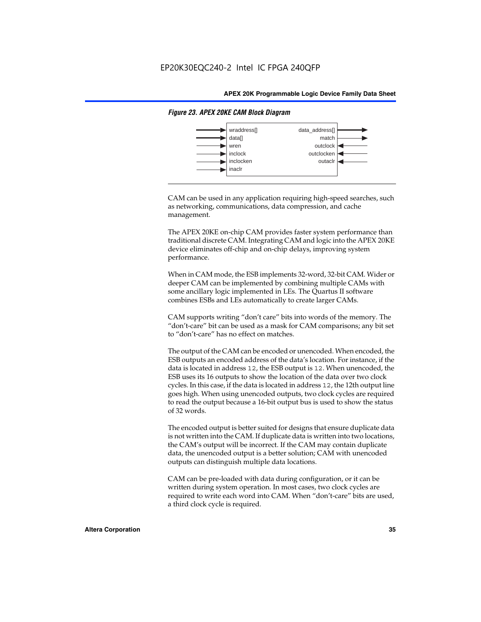

#### *Figure 23. APEX 20KE CAM Block Diagram*

CAM can be used in any application requiring high-speed searches, such as networking, communications, data compression, and cache management.

The APEX 20KE on-chip CAM provides faster system performance than traditional discrete CAM. Integrating CAM and logic into the APEX 20KE device eliminates off-chip and on-chip delays, improving system performance.

When in CAM mode, the ESB implements 32-word, 32-bit CAM. Wider or deeper CAM can be implemented by combining multiple CAMs with some ancillary logic implemented in LEs. The Quartus II software combines ESBs and LEs automatically to create larger CAMs.

CAM supports writing "don't care" bits into words of the memory. The "don't-care" bit can be used as a mask for CAM comparisons; any bit set to "don't-care" has no effect on matches.

The output of the CAM can be encoded or unencoded. When encoded, the ESB outputs an encoded address of the data's location. For instance, if the data is located in address 12, the ESB output is 12. When unencoded, the ESB uses its 16 outputs to show the location of the data over two clock cycles. In this case, if the data is located in address 12, the 12th output line goes high. When using unencoded outputs, two clock cycles are required to read the output because a 16-bit output bus is used to show the status of 32 words.

The encoded output is better suited for designs that ensure duplicate data is not written into the CAM. If duplicate data is written into two locations, the CAM's output will be incorrect. If the CAM may contain duplicate data, the unencoded output is a better solution; CAM with unencoded outputs can distinguish multiple data locations.

CAM can be pre-loaded with data during configuration, or it can be written during system operation. In most cases, two clock cycles are required to write each word into CAM. When "don't-care" bits are used, a third clock cycle is required.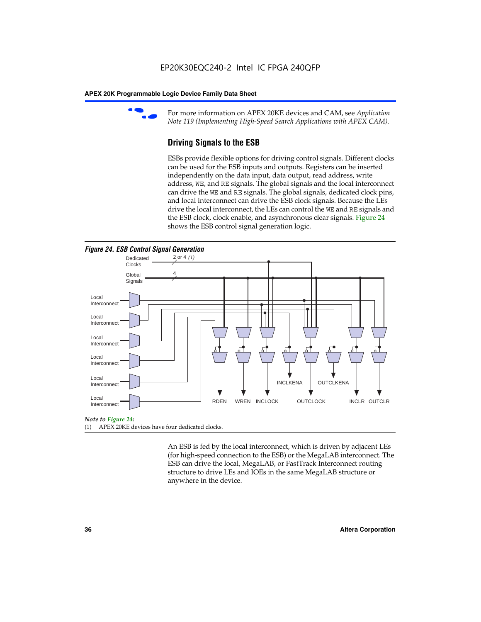

For more information on APEX 20KE devices and CAM, see *Application Note 119 (Implementing High-Speed Search Applications with APEX CAM).*

# **Driving Signals to the ESB**

ESBs provide flexible options for driving control signals. Different clocks can be used for the ESB inputs and outputs. Registers can be inserted independently on the data input, data output, read address, write address, WE, and RE signals. The global signals and the local interconnect can drive the WE and RE signals. The global signals, dedicated clock pins, and local interconnect can drive the ESB clock signals. Because the LEs drive the local interconnect, the LEs can control the WE and RE signals and the ESB clock, clock enable, and asynchronous clear signals. Figure 24 shows the ESB control signal generation logic.





#### *Note to Figure 24:*

(1) APEX 20KE devices have four dedicated clocks.

An ESB is fed by the local interconnect, which is driven by adjacent LEs (for high-speed connection to the ESB) or the MegaLAB interconnect. The ESB can drive the local, MegaLAB, or FastTrack Interconnect routing structure to drive LEs and IOEs in the same MegaLAB structure or anywhere in the device.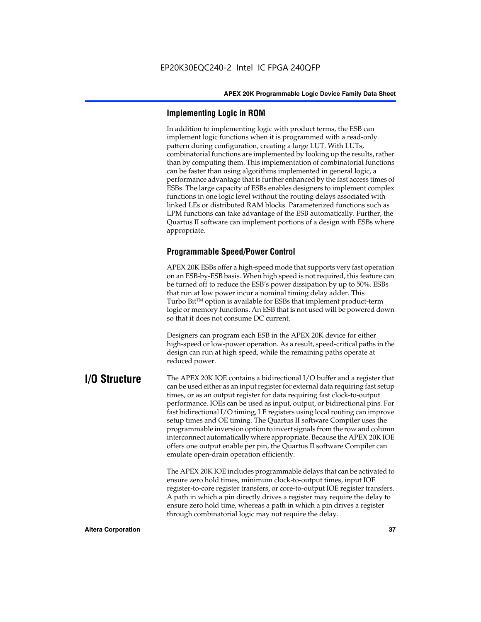# **Implementing Logic in ROM**

In addition to implementing logic with product terms, the ESB can implement logic functions when it is programmed with a read-only pattern during configuration, creating a large LUT. With LUTs, combinatorial functions are implemented by looking up the results, rather than by computing them. This implementation of combinatorial functions can be faster than using algorithms implemented in general logic, a performance advantage that is further enhanced by the fast access times of ESBs. The large capacity of ESBs enables designers to implement complex functions in one logic level without the routing delays associated with linked LEs or distributed RAM blocks. Parameterized functions such as LPM functions can take advantage of the ESB automatically. Further, the Quartus II software can implement portions of a design with ESBs where appropriate.

# **Programmable Speed/Power Control**

APEX 20K ESBs offer a high-speed mode that supports very fast operation on an ESB-by-ESB basis. When high speed is not required, this feature can be turned off to reduce the ESB's power dissipation by up to 50%. ESBs that run at low power incur a nominal timing delay adder. This Turbo  $Bit^{TM}$  option is available for ESBs that implement product-term logic or memory functions. An ESB that is not used will be powered down so that it does not consume DC current.

Designers can program each ESB in the APEX 20K device for either high-speed or low-power operation. As a result, speed-critical paths in the design can run at high speed, while the remaining paths operate at reduced power.

**I/O Structure** The APEX 20K IOE contains a bidirectional I/O buffer and a register that can be used either as an input register for external data requiring fast setup times, or as an output register for data requiring fast clock-to-output performance. IOEs can be used as input, output, or bidirectional pins. For fast bidirectional I/O timing, LE registers using local routing can improve setup times and OE timing. The Quartus II software Compiler uses the programmable inversion option to invert signals from the row and column interconnect automatically where appropriate. Because the APEX 20K IOE offers one output enable per pin, the Quartus II software Compiler can emulate open-drain operation efficiently.

> The APEX 20K IOE includes programmable delays that can be activated to ensure zero hold times, minimum clock-to-output times, input IOE register-to-core register transfers, or core-to-output IOE register transfers. A path in which a pin directly drives a register may require the delay to ensure zero hold time, whereas a path in which a pin drives a register through combinatorial logic may not require the delay.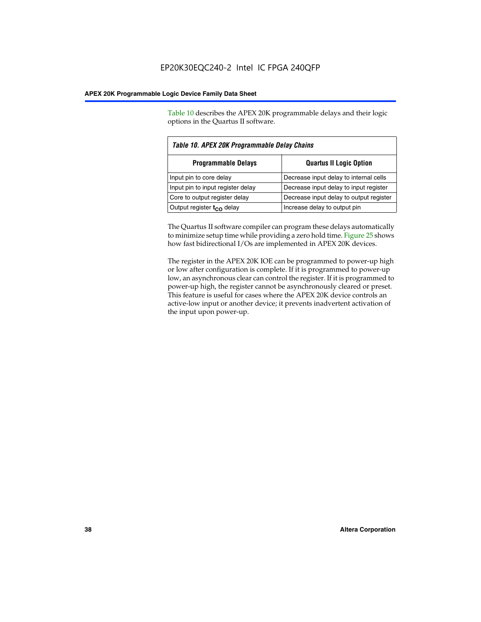Table 10 describes the APEX 20K programmable delays and their logic options in the Quartus II software.

| Table 10. APEX 20K Programmable Delay Chains |                                         |  |  |
|----------------------------------------------|-----------------------------------------|--|--|
| <b>Programmable Delays</b>                   | <b>Quartus II Logic Option</b>          |  |  |
| Input pin to core delay                      | Decrease input delay to internal cells  |  |  |
| Input pin to input register delay            | Decrease input delay to input register  |  |  |
| Core to output register delay                | Decrease input delay to output register |  |  |
| Output register t <sub>co</sub> delay        | Increase delay to output pin            |  |  |

The Quartus II software compiler can program these delays automatically to minimize setup time while providing a zero hold time. Figure 25 shows how fast bidirectional I/Os are implemented in APEX 20K devices.

The register in the APEX 20K IOE can be programmed to power-up high or low after configuration is complete. If it is programmed to power-up low, an asynchronous clear can control the register. If it is programmed to power-up high, the register cannot be asynchronously cleared or preset. This feature is useful for cases where the APEX 20K device controls an active-low input or another device; it prevents inadvertent activation of the input upon power-up.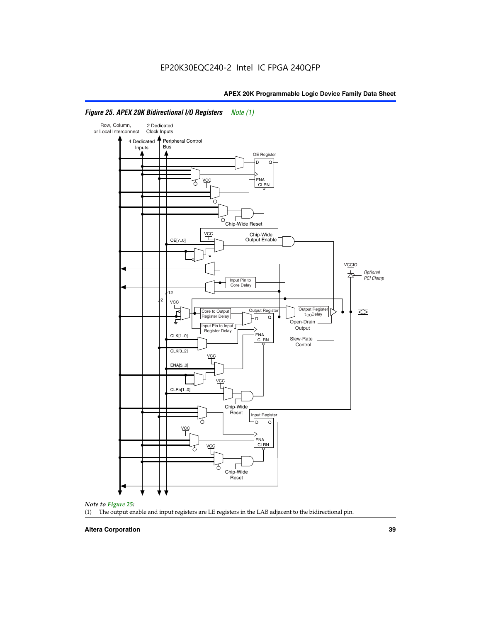

# *Figure 25. APEX 20K Bidirectional I/O Registers Note (1)*



#### **Altera Corporation 39**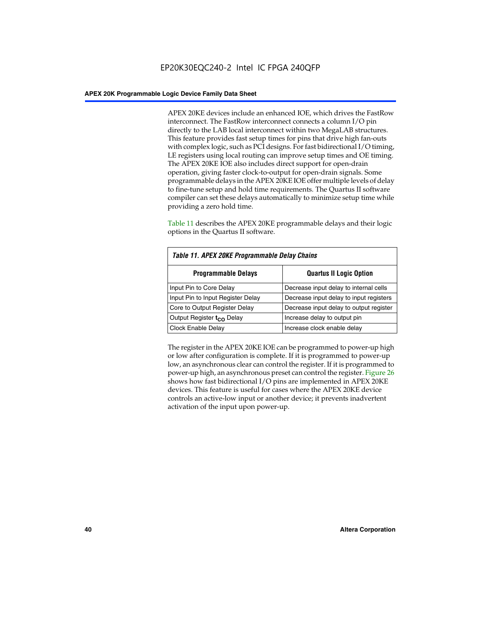APEX 20KE devices include an enhanced IOE, which drives the FastRow interconnect. The FastRow interconnect connects a column I/O pin directly to the LAB local interconnect within two MegaLAB structures. This feature provides fast setup times for pins that drive high fan-outs with complex logic, such as PCI designs. For fast bidirectional I/O timing, LE registers using local routing can improve setup times and OE timing. The APEX 20KE IOE also includes direct support for open-drain operation, giving faster clock-to-output for open-drain signals. Some programmable delays in the APEX 20KE IOE offer multiple levels of delay to fine-tune setup and hold time requirements. The Quartus II software compiler can set these delays automatically to minimize setup time while providing a zero hold time.

Table 11 describes the APEX 20KE programmable delays and their logic options in the Quartus II software.

| Table 11. APEX 20KE Programmable Delay Chains |                                         |  |  |  |
|-----------------------------------------------|-----------------------------------------|--|--|--|
| <b>Programmable Delays</b>                    | <b>Quartus II Logic Option</b>          |  |  |  |
| Input Pin to Core Delay                       | Decrease input delay to internal cells  |  |  |  |
| Input Pin to Input Register Delay             | Decrease input delay to input registers |  |  |  |
| Core to Output Register Delay                 | Decrease input delay to output register |  |  |  |
| Output Register t <sub>CO</sub> Delay         | Increase delay to output pin            |  |  |  |
| Clock Enable Delay                            | Increase clock enable delay             |  |  |  |

The register in the APEX 20KE IOE can be programmed to power-up high or low after configuration is complete. If it is programmed to power-up low, an asynchronous clear can control the register. If it is programmed to power-up high, an asynchronous preset can control the register. Figure 26 shows how fast bidirectional I/O pins are implemented in APEX 20KE devices. This feature is useful for cases where the APEX 20KE device controls an active-low input or another device; it prevents inadvertent activation of the input upon power-up.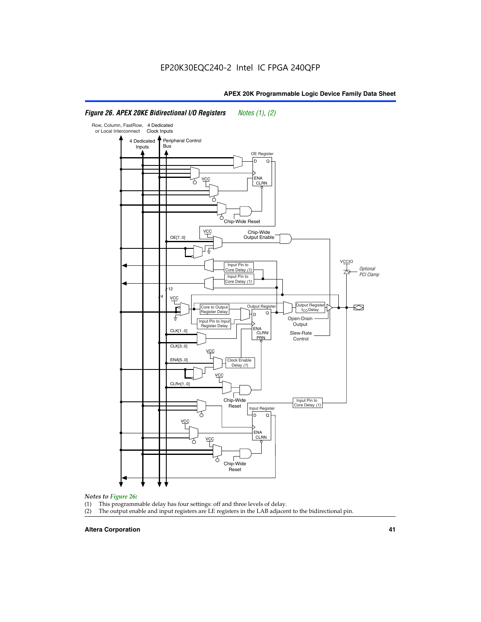# *Figure 26. APEX 20KE Bidirectional I/O Registers Notes (1), (2)*



#### *Notes to Figure 26:*

- 
- (1) This programmable delay has four settings: off and three levels of delay.<br>(2) The output enable and input registers are LE registers in the LAB adjacer The output enable and input registers are LE registers in the LAB adjacent to the bidirectional pin.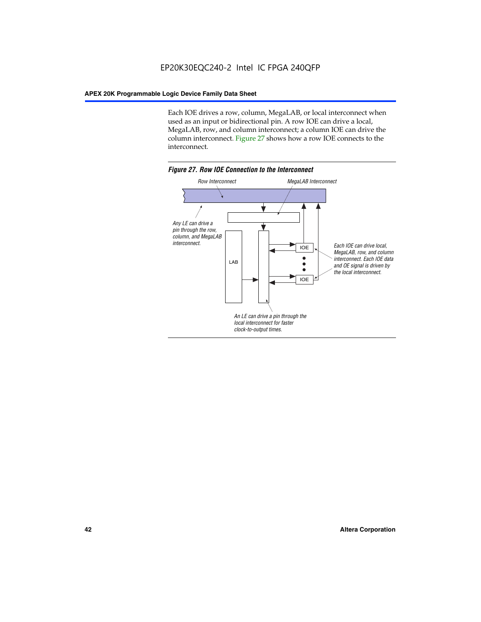Each IOE drives a row, column, MegaLAB, or local interconnect when used as an input or bidirectional pin. A row IOE can drive a local, MegaLAB, row, and column interconnect; a column IOE can drive the column interconnect. Figure 27 shows how a row IOE connects to the interconnect.

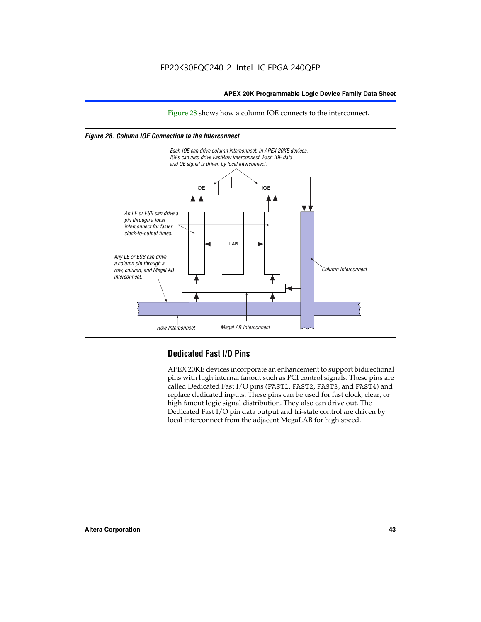# EP20K30EQC240-2 Intel IC FPGA 240QFP

## **APEX 20K Programmable Logic Device Family Data Sheet**

Figure 28 shows how a column IOE connects to the interconnect.

# *Figure 28. Column IOE Connection to the Interconnect*



# **Dedicated Fast I/O Pins**

APEX 20KE devices incorporate an enhancement to support bidirectional pins with high internal fanout such as PCI control signals. These pins are called Dedicated Fast I/O pins (FAST1, FAST2, FAST3, and FAST4) and replace dedicated inputs. These pins can be used for fast clock, clear, or high fanout logic signal distribution. They also can drive out. The Dedicated Fast I/O pin data output and tri-state control are driven by local interconnect from the adjacent MegaLAB for high speed.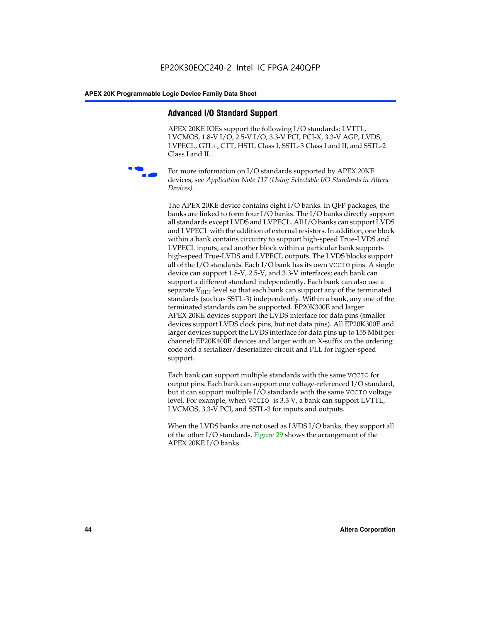# **Advanced I/O Standard Support**

APEX 20KE IOEs support the following I/O standards: LVTTL, LVCMOS, 1.8-V I/O, 2.5-V I/O, 3.3-V PCI, PCI-X, 3.3-V AGP, LVDS, LVPECL, GTL+, CTT, HSTL Class I, SSTL-3 Class I and II, and SSTL-2 Class I and II.



For more information on I/O standards supported by APEX 20KE devices, see *Application Note 117 (Using Selectable I/O Standards in Altera Devices)*.

The APEX 20KE device contains eight I/O banks. In QFP packages, the banks are linked to form four I/O banks. The I/O banks directly support all standards except LVDS and LVPECL. All I/O banks can support LVDS and LVPECL with the addition of external resistors. In addition, one block within a bank contains circuitry to support high-speed True-LVDS and LVPECL inputs, and another block within a particular bank supports high-speed True-LVDS and LVPECL outputs. The LVDS blocks support all of the I/O standards. Each I/O bank has its own VCCIO pins. A single device can support 1.8-V, 2.5-V, and 3.3-V interfaces; each bank can support a different standard independently. Each bank can also use a separate  $V_{\text{REF}}$  level so that each bank can support any of the terminated standards (such as SSTL-3) independently. Within a bank, any one of the terminated standards can be supported. EP20K300E and larger APEX 20KE devices support the LVDS interface for data pins (smaller devices support LVDS clock pins, but not data pins). All EP20K300E and larger devices support the LVDS interface for data pins up to 155 Mbit per channel; EP20K400E devices and larger with an X-suffix on the ordering code add a serializer/deserializer circuit and PLL for higher-speed support.

Each bank can support multiple standards with the same VCCIO for output pins. Each bank can support one voltage-referenced I/O standard, but it can support multiple I/O standards with the same VCCIO voltage level. For example, when VCCIO is 3.3 V, a bank can support LVTTL, LVCMOS, 3.3-V PCI, and SSTL-3 for inputs and outputs.

When the LVDS banks are not used as LVDS I/O banks, they support all of the other I/O standards. Figure 29 shows the arrangement of the APEX 20KE I/O banks.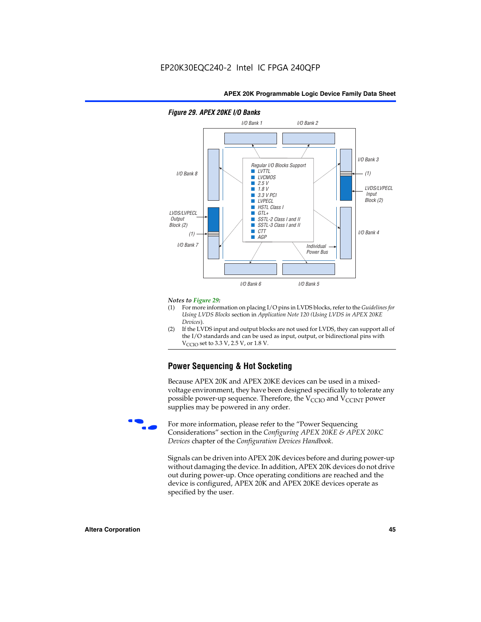

#### *Figure 29. APEX 20KE I/O Banks*

#### *Notes to Figure 29:*

- (1) For more information on placing I/O pins in LVDS blocks, refer to the *Guidelines for Using LVDS Blocks* section in *Application Note 120 (Using LVDS in APEX 20KE Devices*).
- (2) If the LVDS input and output blocks are not used for LVDS, they can support all of the I/O standards and can be used as input, output, or bidirectional pins with  $V_{\text{C} \cap \text{O}}$  set to 3.3 V, 2.5 V, or 1.8 V.

# **Power Sequencing & Hot Socketing**

Because APEX 20K and APEX 20KE devices can be used in a mixedvoltage environment, they have been designed specifically to tolerate any possible power-up sequence. Therefore, the  $V_{\text{CCIO}}$  and  $V_{\text{CCINT}}$  power supplies may be powered in any order.

For more information, please refer to the "Power Sequencing Considerations" section in the *Configuring APEX 20KE & APEX 20KC Devices* chapter of the *Configuration Devices Handbook*.

Signals can be driven into APEX 20K devices before and during power-up without damaging the device. In addition, APEX 20K devices do not drive out during power-up. Once operating conditions are reached and the device is configured, APEX 20K and APEX 20KE devices operate as specified by the user.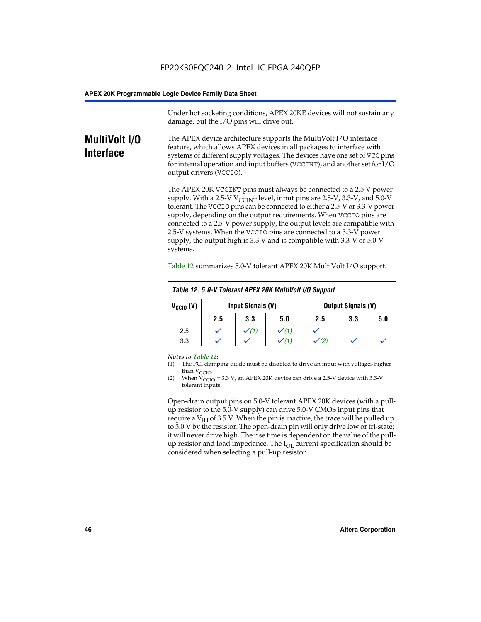Under hot socketing conditions, APEX 20KE devices will not sustain any damage, but the I/O pins will drive out.

# **MultiVolt I/O Interface**

The APEX device architecture supports the MultiVolt I/O interface feature, which allows APEX devices in all packages to interface with systems of different supply voltages. The devices have one set of VCC pins for internal operation and input buffers (VCCINT), and another set for I/O output drivers (VCCIO).

The APEX 20K VCCINT pins must always be connected to a 2.5 V power supply. With a 2.5-V  $V_{\text{CCMT}}$  level, input pins are 2.5-V, 3.3-V, and 5.0-V tolerant. The VCCIO pins can be connected to either a 2.5-V or 3.3-V power supply, depending on the output requirements. When VCCIO pins are connected to a 2.5-V power supply, the output levels are compatible with 2.5-V systems. When the VCCIO pins are connected to a 3.3-V power supply, the output high is 3.3 V and is compatible with 3.3-V or 5.0-V systems.

| Table 12. 5.0-V Tolerant APEX 20K MultiVolt I/O Support |                                                |     |     |     |     |     |
|---------------------------------------------------------|------------------------------------------------|-----|-----|-----|-----|-----|
| $V_{\text{CCIO}}(V)$                                    | Input Signals (V)<br><b>Output Signals (V)</b> |     |     |     |     |     |
|                                                         | 2.5                                            | 3.3 | 5.0 | 2.5 | 3.3 | 5.0 |
| 2.5                                                     |                                                |     |     |     |     |     |
| 3.3                                                     |                                                |     |     |     |     |     |

Table 12 summarizes 5.0-V tolerant APEX 20K MultiVolt I/O support.

#### *Notes to Table 12:*

- (1) The PCI clamping diode must be disabled to drive an input with voltages higher than  $V_{CCIO}$ .
- (2) When  $V_{CCIO} = 3.3 V$ , an APEX 20K device can drive a 2.5-V device with 3.3-V tolerant inputs.

Open-drain output pins on 5.0-V tolerant APEX 20K devices (with a pullup resistor to the 5.0-V supply) can drive 5.0-V CMOS input pins that require a  $V_{IH}$  of 3.5 V. When the pin is inactive, the trace will be pulled up to 5.0 V by the resistor. The open-drain pin will only drive low or tri-state; it will never drive high. The rise time is dependent on the value of the pullup resistor and load impedance. The  $I_{OI}$  current specification should be considered when selecting a pull-up resistor.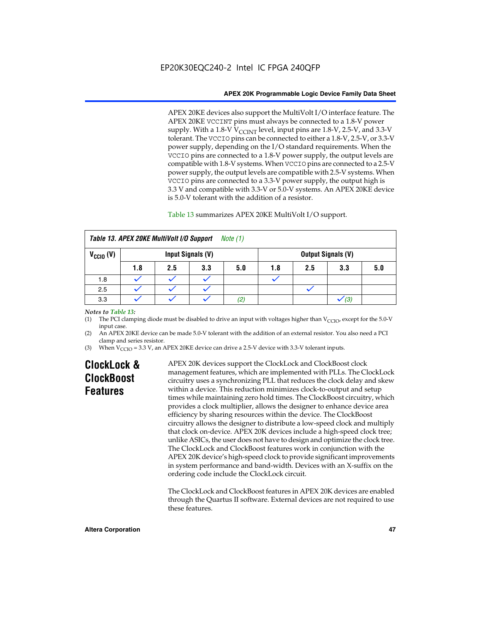APEX 20KE devices also support the MultiVolt I/O interface feature. The APEX 20KE VCCINT pins must always be connected to a 1.8-V power supply. With a 1.8-V  $V_{\text{CCINT}}$  level, input pins are 1.8-V, 2.5-V, and 3.3-V tolerant. The VCCIO pins can be connected to either a 1.8-V, 2.5-V, or 3.3-V power supply, depending on the I/O standard requirements. When the VCCIO pins are connected to a 1.8-V power supply, the output levels are compatible with 1.8-V systems. When VCCIO pins are connected to a 2.5-V power supply, the output levels are compatible with 2.5-V systems. When VCCIO pins are connected to a 3.3-V power supply, the output high is 3.3 V and compatible with 3.3-V or 5.0-V systems. An APEX 20KE device is 5.0-V tolerant with the addition of a resistor.

# Table 13 summarizes APEX 20KE MultiVolt I/O support.

|                                           | Table 13. APEX 20KE MultiVolt I/O Support<br>Note $(1)$ |     |     |     |     |     |                           |     |
|-------------------------------------------|---------------------------------------------------------|-----|-----|-----|-----|-----|---------------------------|-----|
| $V_{\text{CCIO}}(V)$<br>Input Signals (V) |                                                         |     |     |     |     |     | <b>Output Signals (V)</b> |     |
|                                           | 1.8                                                     | 2.5 | 3.3 | 5.0 | 1.8 | 2.5 | 3.3                       | 5.0 |
| 1.8                                       |                                                         |     |     |     |     |     |                           |     |
| 2.5                                       |                                                         |     |     |     |     |     |                           |     |
| 3.3                                       |                                                         |     |     | (2) |     |     | (3)                       |     |

### *Notes to Table 13:*

(1) The PCI clamping diode must be disabled to drive an input with voltages higher than  $V_{CCIO}$ , except for the 5.0-V input case.

(2) An APEX 20KE device can be made 5.0-V tolerant with the addition of an external resistor. You also need a PCI clamp and series resistor.

(3) When  $V_{\text{CCIO}} = 3.3$  V, an APEX 20KE device can drive a 2.5-V device with 3.3-V tolerant inputs.

# **ClockLock & ClockBoost Features**

APEX 20K devices support the ClockLock and ClockBoost clock management features, which are implemented with PLLs. The ClockLock circuitry uses a synchronizing PLL that reduces the clock delay and skew within a device. This reduction minimizes clock-to-output and setup times while maintaining zero hold times. The ClockBoost circuitry, which provides a clock multiplier, allows the designer to enhance device area efficiency by sharing resources within the device. The ClockBoost circuitry allows the designer to distribute a low-speed clock and multiply that clock on-device. APEX 20K devices include a high-speed clock tree; unlike ASICs, the user does not have to design and optimize the clock tree. The ClockLock and ClockBoost features work in conjunction with the APEX 20K device's high-speed clock to provide significant improvements in system performance and band-width. Devices with an X-suffix on the ordering code include the ClockLock circuit.

The ClockLock and ClockBoost features in APEX 20K devices are enabled through the Quartus II software. External devices are not required to use these features.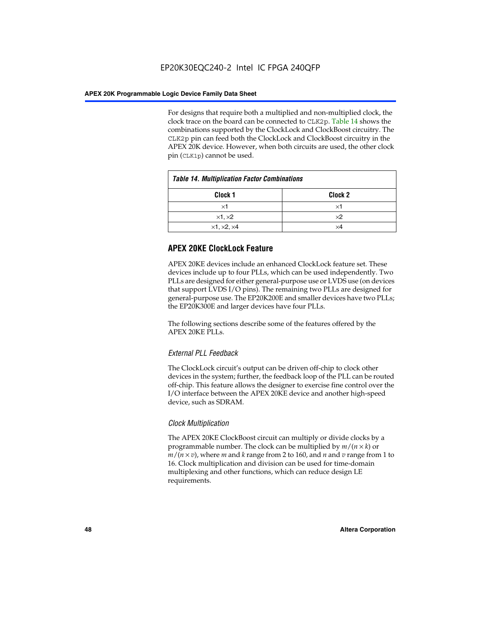For designs that require both a multiplied and non-multiplied clock, the clock trace on the board can be connected to CLK2p. Table 14 shows the combinations supported by the ClockLock and ClockBoost circuitry. The CLK2p pin can feed both the ClockLock and ClockBoost circuitry in the APEX 20K device. However, when both circuits are used, the other clock pin (CLK1p) cannot be used.

| <b>Table 14. Multiplication Factor Combinations</b> |                    |  |
|-----------------------------------------------------|--------------------|--|
| Clock 1                                             | Clock <sub>2</sub> |  |
| ×1                                                  | ×1                 |  |
| $\times$ 1, $\times$ 2                              | $\times 2$         |  |
| $\times$ 1, $\times$ 2, $\times$ 4                  | ×4                 |  |

# **APEX 20KE ClockLock Feature**

APEX 20KE devices include an enhanced ClockLock feature set. These devices include up to four PLLs, which can be used independently. Two PLLs are designed for either general-purpose use or LVDS use (on devices that support LVDS I/O pins). The remaining two PLLs are designed for general-purpose use. The EP20K200E and smaller devices have two PLLs; the EP20K300E and larger devices have four PLLs.

The following sections describe some of the features offered by the APEX 20KE PLLs.

# *External PLL Feedback*

The ClockLock circuit's output can be driven off-chip to clock other devices in the system; further, the feedback loop of the PLL can be routed off-chip. This feature allows the designer to exercise fine control over the I/O interface between the APEX 20KE device and another high-speed device, such as SDRAM.

# *Clock Multiplication*

The APEX 20KE ClockBoost circuit can multiply or divide clocks by a programmable number. The clock can be multiplied by  $m/(n \times k)$  or  $m/(n \times v)$ , where *m* and *k* range from 2 to 160, and *n* and *v* range from 1 to 16. Clock multiplication and division can be used for time-domain multiplexing and other functions, which can reduce design LE requirements.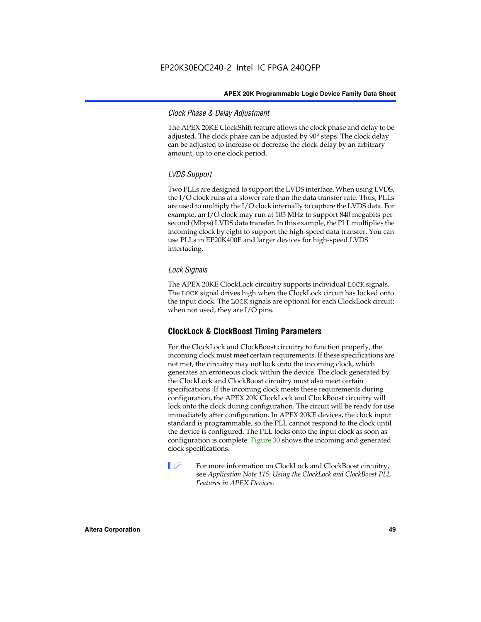# *Clock Phase & Delay Adjustment*

The APEX 20KE ClockShift feature allows the clock phase and delay to be adjusted. The clock phase can be adjusted by 90° steps. The clock delay can be adjusted to increase or decrease the clock delay by an arbitrary amount, up to one clock period.

# *LVDS Support*

Two PLLs are designed to support the LVDS interface. When using LVDS, the I/O clock runs at a slower rate than the data transfer rate. Thus, PLLs are used to multiply the I/O clock internally to capture the LVDS data. For example, an I/O clock may run at 105 MHz to support 840 megabits per second (Mbps) LVDS data transfer. In this example, the PLL multiplies the incoming clock by eight to support the high-speed data transfer. You can use PLLs in EP20K400E and larger devices for high-speed LVDS interfacing.

# *Lock Signals*

The APEX 20KE ClockLock circuitry supports individual LOCK signals. The LOCK signal drives high when the ClockLock circuit has locked onto the input clock. The LOCK signals are optional for each ClockLock circuit; when not used, they are I/O pins.

# **ClockLock & ClockBoost Timing Parameters**

For the ClockLock and ClockBoost circuitry to function properly, the incoming clock must meet certain requirements. If these specifications are not met, the circuitry may not lock onto the incoming clock, which generates an erroneous clock within the device. The clock generated by the ClockLock and ClockBoost circuitry must also meet certain specifications. If the incoming clock meets these requirements during configuration, the APEX 20K ClockLock and ClockBoost circuitry will lock onto the clock during configuration. The circuit will be ready for use immediately after configuration. In APEX 20KE devices, the clock input standard is programmable, so the PLL cannot respond to the clock until the device is configured. The PLL locks onto the input clock as soon as configuration is complete. Figure 30 shows the incoming and generated clock specifications.

 $\mathbb{I} \mathcal{F}$  For more information on ClockLock and ClockBoost circuitry, see *Application Note 115: Using the ClockLock and ClockBoost PLL Features in APEX Devices*.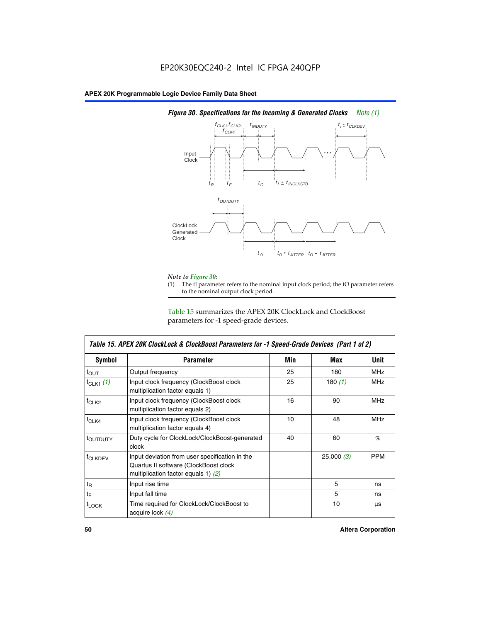

# *Figure 30. Specifications for the Incoming & Generated Clocks Note (1)*

# *Note to Figure 30:*

The tI parameter refers to the nominal input clock period; the tO parameter refers to the nominal output clock period.

Table 15 summarizes the APEX 20K ClockLock and ClockBoost parameters for -1 speed-grade devices.

| <b>Symbol</b>                                                                                                                                       | <b>Parameter</b>                                                           | Min | Max       | <b>Unit</b> |
|-----------------------------------------------------------------------------------------------------------------------------------------------------|----------------------------------------------------------------------------|-----|-----------|-------------|
| $f_{OUT}$                                                                                                                                           | Output frequency                                                           | 25  | 180       | MHz         |
| $f_{CLK1}$ $(1)$                                                                                                                                    | Input clock frequency (ClockBoost clock<br>multiplication factor equals 1) | 25  | 180 $(1)$ | <b>MHz</b>  |
| $f_{CLK2}$                                                                                                                                          | Input clock frequency (ClockBoost clock<br>multiplication factor equals 2) | 16  | 90        | <b>MHz</b>  |
| $f_{CLK4}$                                                                                                                                          | Input clock frequency (ClockBoost clock<br>multiplication factor equals 4) | 10  | 48        | <b>MHz</b>  |
| toutputy                                                                                                                                            | Duty cycle for ClockLock/ClockBoost-generated<br>clock                     | 40  | 60        | %           |
| Input deviation from user specification in the<br><b>f</b> CLKDEV<br>Quartus II software (ClockBoost clock<br>multiplication factor equals 1) $(2)$ |                                                                            |     | 25,000(3) | <b>PPM</b>  |
| $t_{\mathsf{R}}$                                                                                                                                    | Input rise time                                                            |     | 5         | ns          |
| $t_{\mathsf{F}}$                                                                                                                                    | Input fall time                                                            |     | 5         | ns          |
| <sup>t</sup> LOCK                                                                                                                                   | Time required for ClockLock/ClockBoost to<br>acquire lock (4)              |     | 10        | μs          |

 $\mathsf I$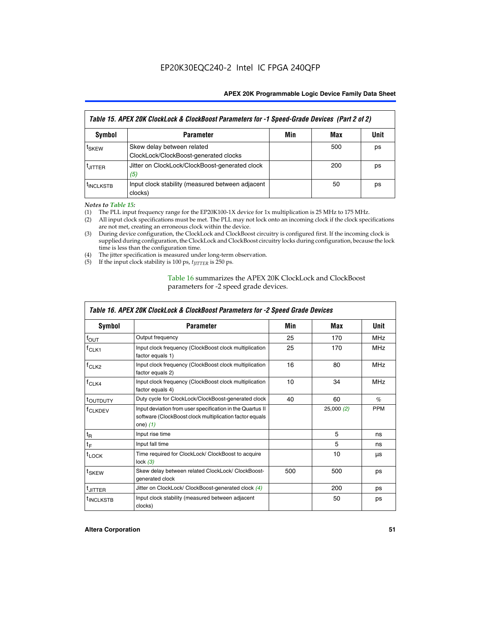| Table 15. APEX 20K ClockLock & ClockBoost Parameters for -1 Speed-Grade Devices (Part 2 of 2) |                                                                     |     |     |      |
|-----------------------------------------------------------------------------------------------|---------------------------------------------------------------------|-----|-----|------|
| Symbol                                                                                        | <b>Parameter</b>                                                    | Min | Max | Unit |
| t <sub>SKEW</sub>                                                                             | Skew delay between related<br>ClockLock/ClockBoost-generated clocks |     | 500 | ps   |
| <b>UITTER</b>                                                                                 | Jitter on ClockLock/ClockBoost-generated clock<br>(5)               |     | 200 | ps   |
| <b>INCLKSTB</b>                                                                               | Input clock stability (measured between adjacent<br>clocks)         |     | 50  | ps   |

*Notes to Table 15:*

- (1) The PLL input frequency range for the EP20K100-1X device for 1x multiplication is 25 MHz to 175 MHz.
- (2) All input clock specifications must be met. The PLL may not lock onto an incoming clock if the clock specifications are not met, creating an erroneous clock within the device.
- (3) During device configuration, the ClockLock and ClockBoost circuitry is configured first. If the incoming clock is supplied during configuration, the ClockLock and ClockBoost circuitry locks during configuration, because the lock time is less than the configuration time.
- (4) The jitter specification is measured under long-term observation.
- (5) If the input clock stability is 100 ps,  $t_{\text{JITTER}}$  is 250 ps.

# Table 16 summarizes the APEX 20K ClockLock and ClockBoost parameters for -2 speed grade devices.

| Symbol                                                                                          | <b>Parameter</b>                                                                                                                   | Min | Max       | Unit       |
|-------------------------------------------------------------------------------------------------|------------------------------------------------------------------------------------------------------------------------------------|-----|-----------|------------|
| $f_{\text{OUT}}$                                                                                | Output frequency                                                                                                                   | 25  | 170       | <b>MHz</b> |
| <sup>T</sup> CLK1                                                                               | Input clock frequency (ClockBoost clock multiplication<br>factor equals 1)                                                         | 25  | 170       | <b>MHz</b> |
| Input clock frequency (ClockBoost clock multiplication<br>f <sub>CLK2</sub><br>factor equals 2) |                                                                                                                                    | 16  | 80        | <b>MHz</b> |
| $f_{CLK4}$                                                                                      | Input clock frequency (ClockBoost clock multiplication<br>factor equals 4)                                                         | 10  | 34        | <b>MHz</b> |
| <sup>τ</sup> ουτρυτγ                                                                            | Duty cycle for ClockLock/ClockBoost-generated clock                                                                                | 40  | 60        | $\%$       |
| <sup>T</sup> CLKDEV                                                                             | Input deviation from user specification in the Quartus II<br>software (ClockBoost clock multiplication factor equals<br>one) $(1)$ |     | 25,000(2) | <b>PPM</b> |
| $t_{\mathsf{R}}$                                                                                | Input rise time                                                                                                                    |     | 5         | ns         |
| $t_F$                                                                                           | Input fall time                                                                                                                    |     | 5         | ns         |
| $t_{\text{LOCK}}$                                                                               | Time required for ClockLock/ ClockBoost to acquire<br>lock $(3)$                                                                   |     | 10        | μs         |
| t <sub>SKEW</sub>                                                                               | Skew delay between related ClockLock/ ClockBoost-<br>generated clock                                                               | 500 | 500       | ps         |
| t <sub>JITTER</sub>                                                                             | Jitter on ClockLock/ ClockBoost-generated clock (4)                                                                                |     | 200       | ps         |
| <sup>I</sup> INCLKSTB                                                                           | Input clock stability (measured between adjacent<br>clocks)                                                                        |     | 50        | ps         |

# *Table 16. APEX 20K ClockLock & ClockBoost Parameters for -2 Speed Grade Devices*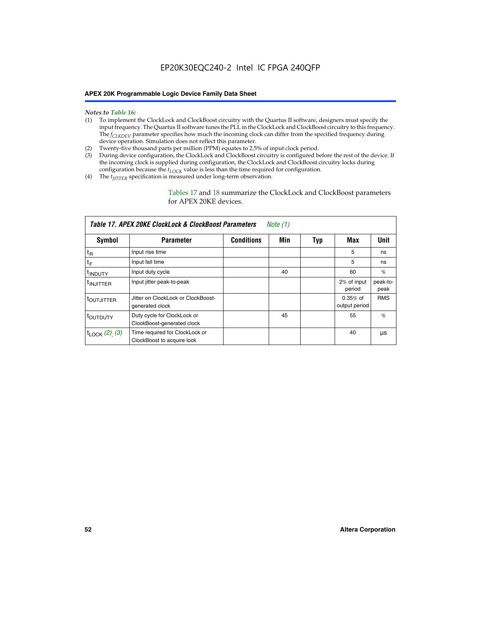# EP20K30EQC240-2 Intel IC FPGA 240QFP

#### **APEX 20K Programmable Logic Device Family Data Sheet**

#### *Notes to Table 16:*

- (1) To implement the ClockLock and ClockBoost circuitry with the Quartus II software, designers must specify the input frequency. The Quartus II software tunes the PLL in the ClockLock and ClockBoost circuitry to this frequency. The *f<sub>CLKDEV</sub>* parameter specifies how much the incoming clock can differ from the specified frequency during device operation. Simulation does not reflect this parameter.
- (2) Twenty-five thousand parts per million (PPM) equates to 2.5% of input clock period.
- (3) During device configuration, the ClockLock and ClockBoost circuitry is configured before the rest of the device. If the incoming clock is supplied during configuration, the ClockLock and ClockBoost circuitry locks during configuration because the  $t_{LOCK}$  value is less than the time required for configuration.
- (4) The  $t_{\text{ITTTER}}$  specification is measured under long-term observation.

Tables 17 and 18 summarize the ClockLock and ClockBoost parameters for APEX 20KE devices.

|                          | Table 17. APEX 20KE ClockLock & ClockBoost Parameters        |                   | Note (1) |     |                             |                  |
|--------------------------|--------------------------------------------------------------|-------------------|----------|-----|-----------------------------|------------------|
| <b>Symbol</b>            | <b>Parameter</b>                                             | <b>Conditions</b> | Min      | Typ | Max                         | Unit             |
| $t_{R}$                  | Input rise time                                              |                   |          |     | 5                           | ns               |
| $t_F$                    | Input fall time                                              |                   |          |     | 5                           | ns               |
| <sup>t</sup> INDUTY      | Input duty cycle                                             |                   | 40       |     | 60                          | %                |
| <sup>t</sup> INJITTER    | Input jitter peak-to-peak                                    |                   |          |     | 2% of input<br>period       | peak-to-<br>peak |
| <sup>t</sup> OUTJITTER   | Jitter on ClockLock or ClockBoost-<br>generated clock        |                   |          |     | $0.35%$ of<br>output period | <b>RMS</b>       |
| toutbuty                 | Duty cycle for ClockLock or<br>ClockBoost-generated clock    |                   | 45       |     | 55                          | $\%$             |
| $t_{\text{LOCK}}(2)$ (3) | Time required for ClockLock or<br>ClockBoost to acquire lock |                   |          |     | 40                          | μs               |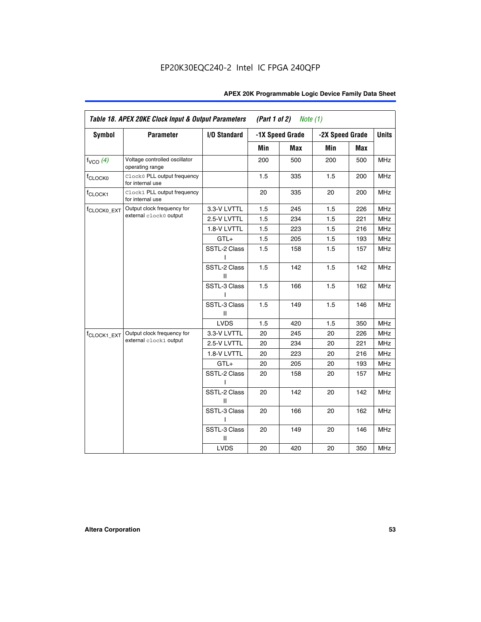|                                 | Table 18. APEX 20KE Clock Input & Output Parameters<br>(Part 1 of 2)<br><i>Note</i> $(1)$ |                   |     |                 |                 |     |              |
|---------------------------------|-------------------------------------------------------------------------------------------|-------------------|-----|-----------------|-----------------|-----|--------------|
| <b>Symbol</b>                   | <b>Parameter</b>                                                                          | I/O Standard      |     | -1X Speed Grade | -2X Speed Grade |     | <b>Units</b> |
|                                 |                                                                                           |                   | Min | <b>Max</b>      | Min             | Max |              |
| $f_{VCO}$ (4)                   | Voltage controlled oscillator<br>operating range                                          |                   | 200 | 500             | 200             | 500 | <b>MHz</b>   |
| <sup>f</sup> CLOCK <sub>0</sub> | Clock0 PLL output frequency<br>for internal use                                           |                   | 1.5 | 335             | 1.5             | 200 | <b>MHz</b>   |
| f <sub>CLOCK1</sub>             | Clock1 PLL output frequency<br>for internal use                                           |                   | 20  | 335             | 20              | 200 | <b>MHz</b>   |
| f <sub>CLOCK0_EXT</sub>         | Output clock frequency for                                                                | 3.3-V LVTTL       | 1.5 | 245             | 1.5             | 226 | <b>MHz</b>   |
|                                 | external clock0 output                                                                    | 2.5-V LVTTL       | 1.5 | 234             | 1.5             | 221 | <b>MHz</b>   |
|                                 |                                                                                           | 1.8-V LVTTL       | 1.5 | 223             | 1.5             | 216 | <b>MHz</b>   |
|                                 |                                                                                           | GTL+              | 1.5 | 205             | 1.5             | 193 | <b>MHz</b>   |
|                                 |                                                                                           | SSTL-2 Class      | 1.5 | 158             | 1.5             | 157 | <b>MHz</b>   |
|                                 |                                                                                           | SSTL-2 Class<br>Ш | 1.5 | 142             | 1.5             | 142 | <b>MHz</b>   |
|                                 |                                                                                           | SSTL-3 Class      | 1.5 | 166             | 1.5             | 162 | <b>MHz</b>   |
|                                 |                                                                                           | SSTL-3 Class<br>Ш | 1.5 | 149             | 1.5             | 146 | MHz          |
|                                 |                                                                                           | <b>LVDS</b>       | 1.5 | 420             | 1.5             | 350 | MHz          |
| f <sub>CLOCK1_EXT</sub>         | Output clock frequency for                                                                | 3.3-V LVTTL       | 20  | 245             | 20              | 226 | <b>MHz</b>   |
|                                 | external clock1 output                                                                    | 2.5-V LVTTL       | 20  | 234             | 20              | 221 | <b>MHz</b>   |
|                                 |                                                                                           | 1.8-V LVTTL       | 20  | 223             | 20              | 216 | MHz          |
|                                 |                                                                                           | $GTL+$            | 20  | 205             | 20              | 193 | <b>MHz</b>   |
|                                 |                                                                                           | SSTL-2 Class      | 20  | 158             | 20              | 157 | MHz          |
|                                 |                                                                                           | SSTL-2 Class<br>Ш | 20  | 142             | 20              | 142 | MHz          |
|                                 |                                                                                           | SSTL-3 Class      | 20  | 166             | 20              | 162 | <b>MHz</b>   |
|                                 |                                                                                           | SSTL-3 Class<br>Ш | 20  | 149             | 20              | 146 | <b>MHz</b>   |
|                                 |                                                                                           | <b>LVDS</b>       | 20  | 420             | 20              | 350 | <b>MHz</b>   |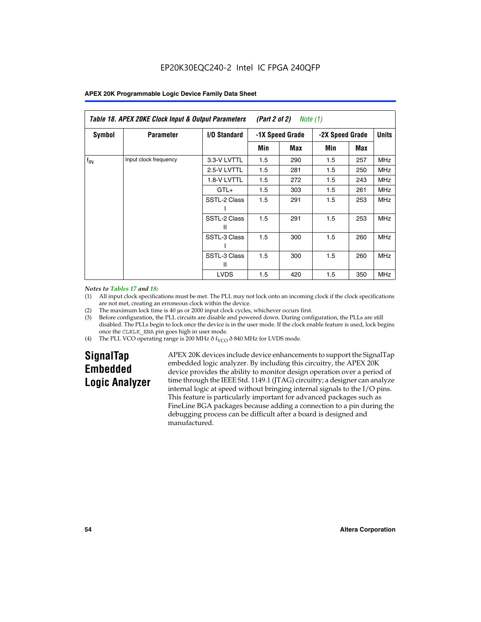| Table 18. APEX 20KE Clock Input & Output Parameters<br>(Part 2 of 2)<br>Note (1) |                       |                     |                 |     |                 |     |            |              |
|----------------------------------------------------------------------------------|-----------------------|---------------------|-----------------|-----|-----------------|-----|------------|--------------|
| <b>Symbol</b>                                                                    | <b>Parameter</b>      | <b>I/O Standard</b> | -1X Speed Grade |     | -2X Speed Grade |     |            | <b>Units</b> |
|                                                                                  |                       |                     | Min             | Max | Min             | Max |            |              |
| $f_{\text{IN}}$                                                                  | Input clock frequency | 3.3-V LVTTL         | 1.5             | 290 | 1.5             | 257 | <b>MHz</b> |              |
|                                                                                  |                       | 2.5-V LVTTL         | 1.5             | 281 | 1.5             | 250 | <b>MHz</b> |              |
|                                                                                  |                       | 1.8-V LVTTL         | 1.5             | 272 | 1.5             | 243 | <b>MHz</b> |              |
|                                                                                  |                       | $GTL+$              | 1.5             | 303 | 1.5             | 261 | <b>MHz</b> |              |
|                                                                                  |                       | SSTL-2 Class        | 1.5             | 291 | 1.5             | 253 | <b>MHz</b> |              |
|                                                                                  |                       | SSTL-2 Class<br>Ш   | 1.5             | 291 | 1.5             | 253 | <b>MHz</b> |              |
|                                                                                  |                       | SSTL-3 Class        | 1.5             | 300 | 1.5             | 260 | <b>MHz</b> |              |
|                                                                                  |                       | SSTL-3 Class<br>Ш   | 1.5             | 300 | 1.5             | 260 | <b>MHz</b> |              |
|                                                                                  |                       | <b>LVDS</b>         | 1.5             | 420 | 1.5             | 350 | <b>MHz</b> |              |

#### *Notes to Tables 17 and 18:*

(1) All input clock specifications must be met. The PLL may not lock onto an incoming clock if the clock specifications are not met, creating an erroneous clock within the device.

- (2) The maximum lock time is 40 µs or 2000 input clock cycles, whichever occurs first.
- (3) Before configuration, the PLL circuits are disable and powered down. During configuration, the PLLs are still disabled. The PLLs begin to lock once the device is in the user mode. If the clock enable feature is used, lock begins once the CLKLK\_ENA pin goes high in user mode.
- (4) The PLL VCO operating range is 200 MHz  $\delta f_{VCO}$   $\delta$  840 MHz for LVDS mode.

# **SignalTap Embedded Logic Analyzer**

APEX 20K devices include device enhancements to support the SignalTap embedded logic analyzer. By including this circuitry, the APEX 20K device provides the ability to monitor design operation over a period of time through the IEEE Std. 1149.1 (JTAG) circuitry; a designer can analyze internal logic at speed without bringing internal signals to the I/O pins. This feature is particularly important for advanced packages such as FineLine BGA packages because adding a connection to a pin during the debugging process can be difficult after a board is designed and manufactured.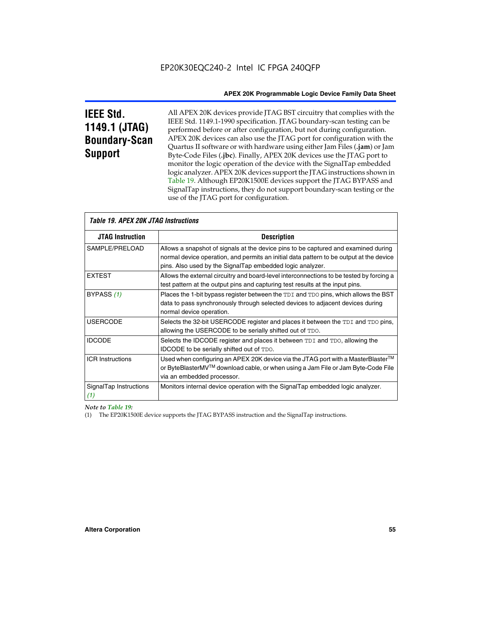# **IEEE Std. 1149.1 (JTAG) Boundary-Scan Support**

All APEX 20K devices provide JTAG BST circuitry that complies with the IEEE Std. 1149.1-1990 specification. JTAG boundary-scan testing can be performed before or after configuration, but not during configuration. APEX 20K devices can also use the JTAG port for configuration with the Quartus II software or with hardware using either Jam Files (**.jam**) or Jam Byte-Code Files (**.jbc**). Finally, APEX 20K devices use the JTAG port to monitor the logic operation of the device with the SignalTap embedded logic analyzer. APEX 20K devices support the JTAG instructions shown in Table 19. Although EP20K1500E devices support the JTAG BYPASS and SignalTap instructions, they do not support boundary-scan testing or the use of the JTAG port for configuration.

| <i><b>Table 19. APEX 20K JTAG Instructions</b></i> |                                                                                                                                                                                                                                            |  |  |
|----------------------------------------------------|--------------------------------------------------------------------------------------------------------------------------------------------------------------------------------------------------------------------------------------------|--|--|
| <b>JTAG Instruction</b>                            | <b>Description</b>                                                                                                                                                                                                                         |  |  |
| SAMPLE/PRELOAD                                     | Allows a snapshot of signals at the device pins to be captured and examined during<br>normal device operation, and permits an initial data pattern to be output at the device<br>pins. Also used by the SignalTap embedded logic analyzer. |  |  |
| <b>EXTEST</b>                                      | Allows the external circuitry and board-level interconnections to be tested by forcing a<br>test pattern at the output pins and capturing test results at the input pins.                                                                  |  |  |
| BYPASS (1)                                         | Places the 1-bit bypass register between the TDI and TDO pins, which allows the BST<br>data to pass synchronously through selected devices to adjacent devices during<br>normal device operation.                                          |  |  |
| <b>USERCODE</b>                                    | Selects the 32-bit USERCODE register and places it between the TDI and TDO pins,<br>allowing the USERCODE to be serially shifted out of TDO.                                                                                               |  |  |
| <b>IDCODE</b>                                      | Selects the IDCODE register and places it between TDI and TDO, allowing the<br>IDCODE to be serially shifted out of TDO.                                                                                                                   |  |  |
| <b>ICR Instructions</b>                            | Used when configuring an APEX 20K device via the JTAG port with a MasterBlaster™<br>or ByteBlasterMV™ download cable, or when using a Jam File or Jam Byte-Code File<br>via an embedded processor.                                         |  |  |
| SignalTap Instructions<br>(1)                      | Monitors internal device operation with the SignalTap embedded logic analyzer.                                                                                                                                                             |  |  |

 $\overline{\phantom{a}}$ 

*Note to Table 19:*

(1) The EP20K1500E device supports the JTAG BYPASS instruction and the SignalTap instructions.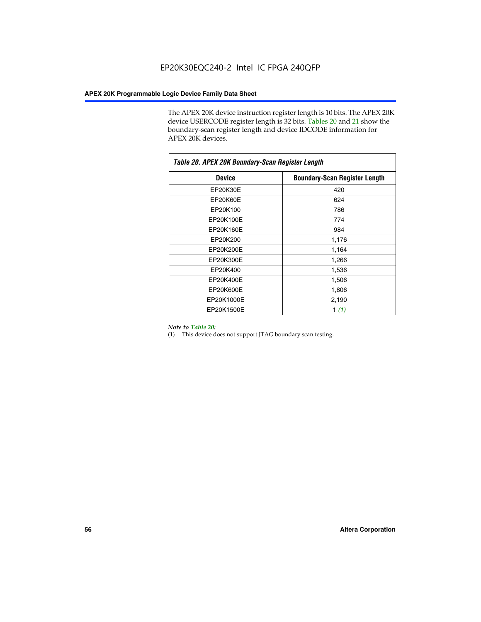The APEX 20K device instruction register length is 10 bits. The APEX 20K device USERCODE register length is 32 bits. Tables 20 and 21 show the boundary-scan register length and device IDCODE information for APEX 20K devices.

| Table 20. APEX 20K Boundary-Scan Register Length |                                      |  |  |  |
|--------------------------------------------------|--------------------------------------|--|--|--|
| <b>Device</b>                                    | <b>Boundary-Scan Register Length</b> |  |  |  |
| EP20K30E                                         | 420                                  |  |  |  |
| EP20K60E                                         | 624                                  |  |  |  |
| EP20K100                                         | 786                                  |  |  |  |
| EP20K100E                                        | 774                                  |  |  |  |
| EP20K160E                                        | 984                                  |  |  |  |
| EP20K200                                         | 1,176                                |  |  |  |
| EP20K200E                                        | 1,164                                |  |  |  |
| EP20K300E                                        | 1,266                                |  |  |  |
| EP20K400                                         | 1,536                                |  |  |  |
| EP20K400E                                        | 1,506                                |  |  |  |
| EP20K600E                                        | 1,806                                |  |  |  |
| EP20K1000E                                       | 2,190                                |  |  |  |
| EP20K1500E                                       | 1 $(1)$                              |  |  |  |

#### *Note to Table 20:*

(1) This device does not support JTAG boundary scan testing.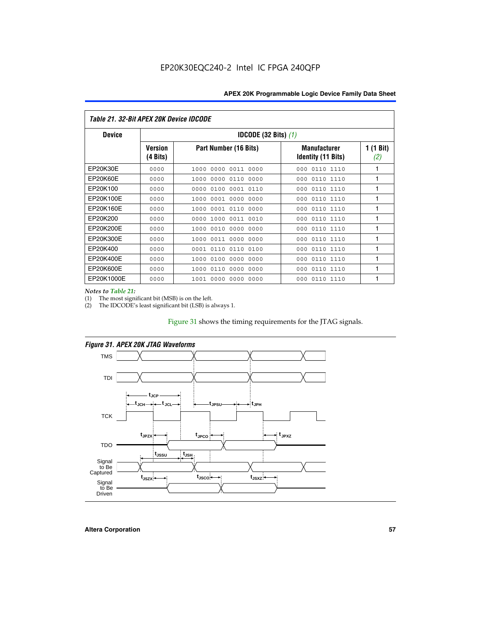| <i>Table 21. 32-Bit APEX 20K Device IDCODE</i> |                                          |                              |                                                  |                  |  |  |
|------------------------------------------------|------------------------------------------|------------------------------|--------------------------------------------------|------------------|--|--|
| <b>Device</b>                                  | <b>IDCODE (32 Bits) <math>(1)</math></b> |                              |                                                  |                  |  |  |
|                                                | <b>Version</b><br>(4 Bits)               | Part Number (16 Bits)        | <b>Manufacturer</b><br><b>Identity (11 Bits)</b> | 1 (1 Bit)<br>(2) |  |  |
| EP20K30E                                       | 0000                                     | 0000 0011 0000<br>1000       | 0110 1110<br>000                                 | 1                |  |  |
| EP20K60E                                       | 0000                                     | 0000 0110<br>0000<br>1000    | 0110 1110<br>000                                 | 1                |  |  |
| EP20K100                                       | 0000                                     | 0000<br>0100<br>0001 0110    | 0110 1110<br>000                                 | 1                |  |  |
| EP20K100E                                      | 0000                                     | 1000<br>0001 0000<br>0000    | 0110 1110<br>000                                 | 1                |  |  |
| EP20K160E                                      | 0000                                     | 0001 0110<br>1000<br>0000    | 000<br>0110 1110                                 | 1                |  |  |
| EP20K200                                       | 0000                                     | 1000<br>0011 0010<br>0000    | 000<br>0110 1110                                 | 1                |  |  |
| EP20K200E                                      | 0000                                     | 0010<br>0000<br>0000<br>1000 | 0110 1110<br>000                                 | 1                |  |  |
| EP20K300E                                      | 0000                                     | 1000<br>0011 0000 0000       | 0110 1110<br>000                                 | 1                |  |  |
| EP20K400                                       | 0000                                     | 0110<br>0110<br>0100<br>0001 | 000<br>0110 1110                                 | 1                |  |  |
| EP20K400E                                      | 0000                                     | 0100<br>0000<br>0000<br>1000 | 0110 1110<br>000                                 | 1                |  |  |
| EP20K600E                                      | 0000                                     | 0000<br>0000<br>1000<br>0110 | 000<br>0110 1110                                 | 1                |  |  |
| EP20K1000E                                     | 0000                                     | 0000<br>0000<br>0000<br>1001 | 000<br>0110 1110                                 | 1                |  |  |

*Notes to Table 21:*

The most significant bit (MSB) is on the left.

(2) The IDCODE's least significant bit (LSB) is always 1.

# Figure 31 shows the timing requirements for the JTAG signals.



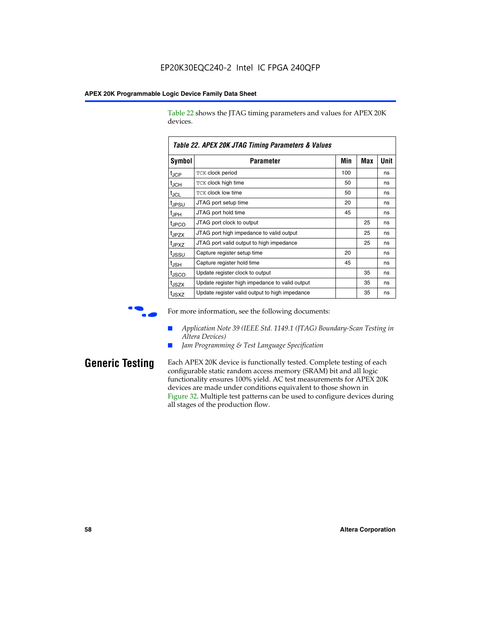Table 22 shows the JTAG timing parameters and values for APEX 20K devices.

|                               | TADIG LL. AF LA LUN JTAU TIMMIY FAIAMGIGIS & VAIUGS |     |     |      |
|-------------------------------|-----------------------------------------------------|-----|-----|------|
| <b>Symbol</b>                 | Parameter                                           | Min | Max | Unit |
| $t_{\text{JCP}}$              | <b>TCK clock period</b>                             | 100 |     | ns   |
| $t_{\sf JCH}$                 | TCK clock high time                                 | 50  |     | ns   |
| $\mathfrak{t}_{\mathsf{JCL}}$ | <b>TCK clock low time</b>                           | 50  |     | ns   |
| tjpsu                         | JTAG port setup time                                | 20  |     | ns   |
| t <sub>JPH</sub>              | JTAG port hold time                                 | 45  |     | ns   |
| tjpco                         | JTAG port clock to output                           |     | 25  | ns   |
| t <sub>JPZX</sub>             | JTAG port high impedance to valid output            |     | 25  | ns   |
| t <sub>JPXZ</sub>             | JTAG port valid output to high impedance            |     | 25  | ns   |
| tjssu                         | Capture register setup time                         | 20  |     | ns   |
| t <sub>JSH</sub>              | Capture register hold time                          | 45  |     | ns   |
| t <sub>JSCO</sub>             | Update register clock to output                     |     | 35  | ns   |
| t <sub>JSZX</sub>             | Update register high impedance to valid output      |     | 35  | ns   |
| t <sub>JSXZ</sub>             | Update register valid output to high impedance      |     | 35  | ns   |

*Table 22. APEX 20K JTAG Timing Parameters & Values*



For more information, see the following documents:

- *Application Note 39 (IEEE Std. 1149.1 (JTAG) Boundary-Scan Testing in Altera Devices)*
- Jam Programming & Test Language Specification

**Generic Testing** Each APEX 20K device is functionally tested. Complete testing of each configurable static random access memory (SRAM) bit and all logic functionality ensures 100% yield. AC test measurements for APEX 20K devices are made under conditions equivalent to those shown in Figure 32. Multiple test patterns can be used to configure devices during all stages of the production flow.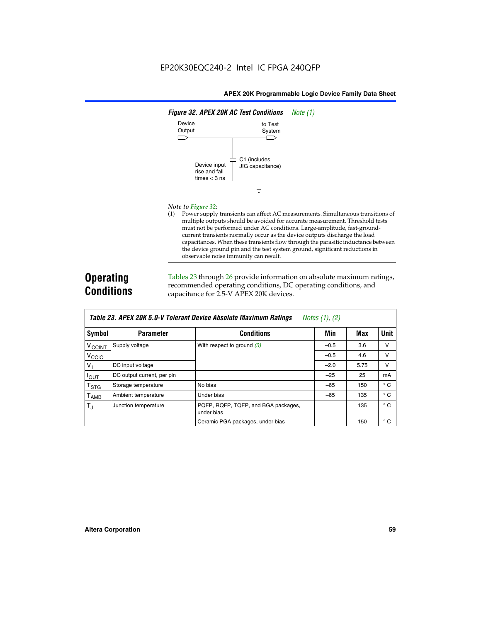

#### *Note to Figure 32:*

(1) Power supply transients can affect AC measurements. Simultaneous transitions of multiple outputs should be avoided for accurate measurement. Threshold tests must not be performed under AC conditions. Large-amplitude, fast-groundcurrent transients normally occur as the device outputs discharge the load capacitances. When these transients flow through the parasitic inductance between the device ground pin and the test system ground, significant reductions in observable noise immunity can result.

# **Operating Conditions**

Tables 23 through 26 provide information on absolute maximum ratings, recommended operating conditions, DC operating conditions, and capacitance for 2.5-V APEX 20K devices.

|                            |                            | TADIG LU. MI LA LUN J.U-V TUIGIAIN DGVILG MUSUNUG MAANNUNI HAUNUS | $100103$ (1), (2) |      |              |
|----------------------------|----------------------------|-------------------------------------------------------------------|-------------------|------|--------------|
| Symbol                     | <b>Parameter</b>           | <b>Conditions</b>                                                 | Min               | Max  | <b>Unit</b>  |
| V <sub>CCINT</sub>         | Supply voltage             | With respect to ground $(3)$                                      | $-0.5$            | 3.6  | v            |
| V <sub>CCIO</sub>          |                            |                                                                   | $-0.5$            | 4.6  | v            |
| $V_{\parallel}$            | DC input voltage           |                                                                   | $-2.0$            | 5.75 | v            |
| $I_{\text{OUT}}$           | DC output current, per pin |                                                                   | $-25$             | 25   | mA           |
| $\intercal_{\texttt{STG}}$ | Storage temperature        | No bias                                                           | $-65$             | 150  | $^{\circ}$ C |
| Т <sub>АМВ</sub>           | Ambient temperature        | Under bias                                                        | $-65$             | 135  | $^{\circ}$ C |
| $T_{\rm J}$                | Junction temperature       | PQFP, RQFP, TQFP, and BGA packages,<br>under bias                 |                   | 135  | $^{\circ}$ C |
|                            |                            | Ceramic PGA packages, under bias                                  |                   | 150  | $^{\circ}$ C |

| Table 23. APEX 20K 5.0-V Tolerant Device Absolute Maximum Ratings | Notes (1), (2) |
|-------------------------------------------------------------------|----------------|
|-------------------------------------------------------------------|----------------|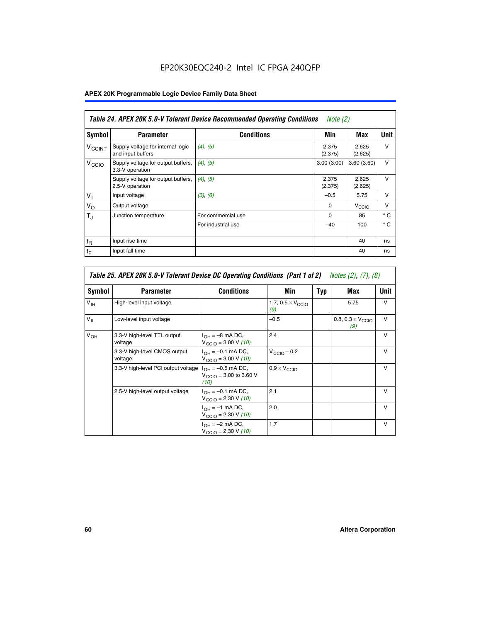# EP20K30EQC240-2 Intel IC FPGA 240QFP

# **APEX 20K Programmable Logic Device Family Data Sheet**

|                          | Table 24. APEX 20K 5.0-V Tolerant Device Recommended Operating Conditions<br><i>Note</i> $(2)$ |                    |                  |                   |              |  |
|--------------------------|------------------------------------------------------------------------------------------------|--------------------|------------------|-------------------|--------------|--|
| <b>Symbol</b>            | <b>Parameter</b>                                                                               | <b>Conditions</b>  | Min              | Max               | <b>Unit</b>  |  |
| <b>V<sub>CCINT</sub></b> | Supply voltage for internal logic<br>and input buffers                                         | $(4)$ , $(5)$      | 2.375<br>(2.375) | 2.625<br>(2.625)  | $\vee$       |  |
| V <sub>CCIO</sub>        | Supply voltage for output buffers,<br>3.3-V operation                                          | (4), (5)           | 3.00(3.00)       | 3.60(3.60)        | $\vee$       |  |
|                          | Supply voltage for output buffers,<br>2.5-V operation                                          | (4), (5)           | 2.375<br>(2.375) | 2.625<br>(2.625)  | $\vee$       |  |
| $V_{1}$                  | Input voltage                                                                                  | (3), (6)           | $-0.5$           | 5.75              | $\vee$       |  |
| $V_{\rm O}$              | Output voltage                                                                                 |                    | $\Omega$         | V <sub>CCIO</sub> | $\vee$       |  |
| $T_{\rm J}$              | Junction temperature                                                                           | For commercial use | $\Omega$         | 85                | $^{\circ}$ C |  |
|                          |                                                                                                | For industrial use | $-40$            | 100               | $^{\circ}$ C |  |
| $t_{R}$                  | Input rise time                                                                                |                    |                  | 40                | ns           |  |
| $t_F$                    | Input fall time                                                                                |                    |                  | 40                | ns           |  |

| Table 25. APEX 20K 5.0-V Tolerant Device DC Operating Conditions (Part 1 of 2) Notes (2), (7), (8) |                                         |                                                                        |                                          |     |                                          |              |  |
|----------------------------------------------------------------------------------------------------|-----------------------------------------|------------------------------------------------------------------------|------------------------------------------|-----|------------------------------------------|--------------|--|
| Symbol                                                                                             | <b>Parameter</b>                        | <b>Conditions</b>                                                      | Min                                      | Typ | Max                                      | Unit         |  |
| $V_{\text{IH}}$                                                                                    | High-level input voltage                |                                                                        | 1.7, $0.5 \times V_{\text{CCIO}}$<br>(9) |     | 5.75                                     | $\mathsf{V}$ |  |
| $V_{\parallel}$                                                                                    | Low-level input voltage                 |                                                                        | $-0.5$                                   |     | 0.8, $0.3 \times V_{\text{CCIO}}$<br>(9) | $\mathsf{V}$ |  |
| $V_{OH}$                                                                                           | 3.3-V high-level TTL output<br>voltage  | $I_{OH} = -8$ mA DC,<br>$V_{\text{CCIO}} = 3.00 V (10)$                | 2.4                                      |     |                                          | $\mathsf{V}$ |  |
|                                                                                                    | 3.3-V high-level CMOS output<br>voltage | $I_{OH} = -0.1$ mA DC,<br>$V_{\text{CCIO}} = 3.00 \text{ V} (10)$      | $V_{\text{CCIO}} - 0.2$                  |     |                                          | $\mathsf{v}$ |  |
|                                                                                                    | 3.3-V high-level PCI output voltage     | $I_{OH} = -0.5$ mA DC,<br>$V_{\text{GClO}} = 3.00$ to 3.60 V<br>(10)   | $0.9 \times V_{\text{CCIO}}$             |     |                                          | $\mathsf{V}$ |  |
|                                                                                                    | 2.5-V high-level output voltage         | $I_{OH} = -0.1$ mA DC,<br>$V_{\text{CCIO}} = 2.30 \text{ V} (10)$      | 2.1                                      |     |                                          | $\mathsf{V}$ |  |
|                                                                                                    |                                         | $I_{\text{OH}} = -1 \text{ mA DC},$<br>$V_{\text{CCIO}} = 2.30 V (10)$ | 2.0                                      |     |                                          | v            |  |
|                                                                                                    |                                         | $I_{OH} = -2$ mA DC,<br>$V_{\text{CCIO}} = 2.30 V (10)$                | 1.7                                      |     |                                          | v            |  |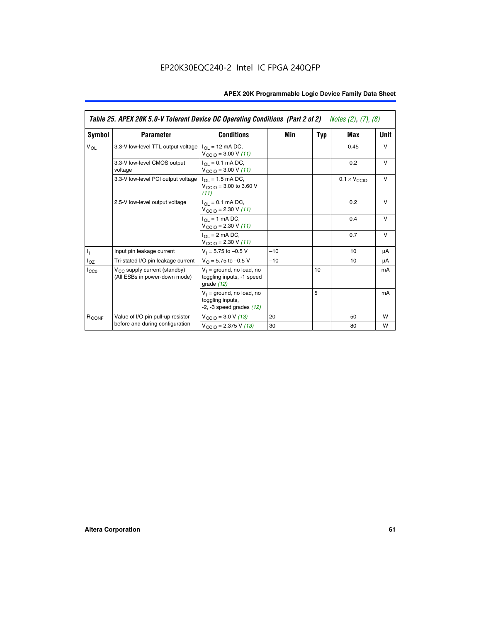|                   | Table 25. APEX 20K 5.0-V Tolerant Device DC Operating Conditions (Part 2 of 2) Notes (2), (7), (8) |                                                                                    |       |     |                              |        |  |
|-------------------|----------------------------------------------------------------------------------------------------|------------------------------------------------------------------------------------|-------|-----|------------------------------|--------|--|
| Symbol            | <b>Parameter</b>                                                                                   | <b>Conditions</b>                                                                  | Min   | Typ | Max                          | Unit   |  |
| $V_{OL}$          | 3.3-V low-level TTL output voltage                                                                 | $I_{\Omega}$ = 12 mA DC,<br>$V_{\text{CCIO}} = 3.00 V (11)$                        |       |     | 0.45                         | $\vee$ |  |
|                   | 3.3-V low-level CMOS output<br>voltage                                                             | $I_{\Omega I} = 0.1$ mA DC,<br>$V_{\text{CCIO}} = 3.00 V (11)$                     |       |     | 0.2                          | $\vee$ |  |
|                   | 3.3-V low-level PCI output voltage                                                                 | $I_{\Omega}$ = 1.5 mA DC,<br>$V_{\text{CCIO}} = 3.00$ to 3.60 V<br>(11)            |       |     | $0.1 \times V_{\text{CCLO}}$ | $\vee$ |  |
|                   | 2.5-V low-level output voltage                                                                     | $I_{\Omega I} = 0.1$ mA DC,<br>$V_{\text{CCIO}} = 2.30 V (11)$                     |       |     | 0.2                          | $\vee$ |  |
|                   |                                                                                                    | $I_{\Omega}$ = 1 mA DC,<br>$V_{\text{CCIO}} = 2.30 V (11)$                         |       |     | 0.4                          | $\vee$ |  |
|                   |                                                                                                    | $I_{\Omega}$ = 2 mA DC,<br>$V_{\text{CCIO}} = 2.30 V (11)$                         |       |     | 0.7                          | $\vee$ |  |
| h,                | Input pin leakage current                                                                          | $V_1 = 5.75$ to $-0.5$ V                                                           | $-10$ |     | 10                           | μA     |  |
| $I_{OZ}$          | Tri-stated I/O pin leakage current                                                                 | $V_{\Omega}$ = 5.75 to -0.5 V                                                      | $-10$ |     | 10                           | μA     |  |
| $_{\rm LCO}$      | $V_{CC}$ supply current (standby)<br>(All ESBs in power-down mode)                                 | $V_1$ = ground, no load, no<br>toggling inputs, -1 speed<br>grade $(12)$           |       | 10  |                              | mA     |  |
|                   |                                                                                                    | $V_1$ = ground, no load, no<br>toggling inputs,<br>$-2$ , $-3$ speed grades $(12)$ |       | 5   |                              | mA     |  |
| R <sub>CONF</sub> | Value of I/O pin pull-up resistor                                                                  | $V_{\text{CCIO}} = 3.0 V (13)$                                                     | 20    |     | 50                           | W      |  |
|                   | before and during configuration                                                                    | $V_{\text{CCIO}} = 2.375 \text{ V} (13)$                                           | 30    |     | 80                           | W      |  |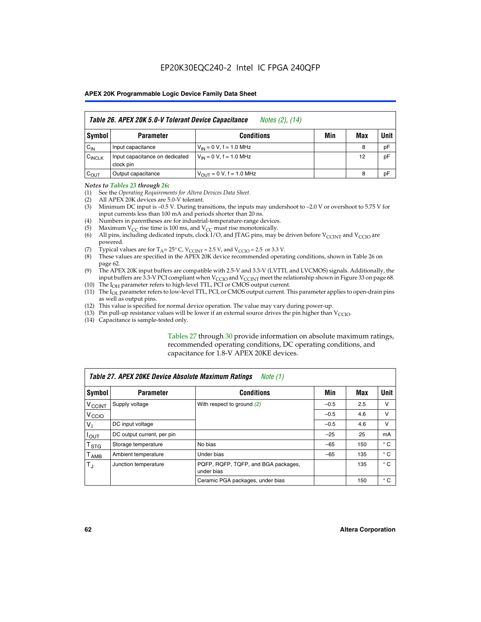|                    | Table 26. APEX 20K 5.0-V Tolerant Device Capacitance<br>Notes (2), (14) |                                     |     |     |      |  |
|--------------------|-------------------------------------------------------------------------|-------------------------------------|-----|-----|------|--|
| Symbol             | <b>Parameter</b>                                                        | <b>Conditions</b>                   | Min | Max | Unit |  |
| $C_{IN}$           | Input capacitance                                                       | $V_{1N} = 0 V$ , f = 1.0 MHz        |     | 8   | pF   |  |
| $C_{\text{INCLK}}$ | Input capacitance on dedicated<br>clock pin                             | $V_{IN} = 0 V$ , f = 1.0 MHz        |     | 12  | pF   |  |
| $C_{OUT}$          | Output capacitance                                                      | $V_{\text{OUT}} = 0 V, f = 1.0 MHz$ |     | 8   | pF   |  |

#### *Notes to Tables 23 through 26:*

- (1) See the *Operating Requirements for Altera Devices Data Sheet*.
- (2) All APEX 20K devices are 5.0-V tolerant.
- (3) Minimum DC input is –0.5 V. During transitions, the inputs may undershoot to –2.0 V or overshoot to 5.75 V for input currents less than 100 mA and periods shorter than 20 ns.
- (4) Numbers in parentheses are for industrial-temperature-range devices.
- (5) Maximum  $V_{CC}$  rise time is 100 ms, and  $V_{CC}$  must rise monotonically.<br>(6) All pins, including dedicated inputs, clock I/O, and JTAG pins, may b
- All pins, including dedicated inputs, clock I/O, and JTAG pins, may be driven before  $V_{\text{CCINT}}$  and  $V_{\text{CCIO}}$  are powered.
- (7) Typical values are for  $T_A = 25^\circ$  C, V<sub>CCINT</sub> = 2.5 V, and V<sub>CCIO</sub> = 2.5 or 3.3 V.<br>(8) These values are specified in the APEX 20K device recommended operat
- These values are specified in the APEX 20K device recommended operating conditions, shown in Table 26 on page 62.
- (9) The APEX 20K input buffers are compatible with 2.5-V and 3.3-V (LVTTL and LVCMOS) signals. Additionally, the input buffers are 3.3-V PCI compliant when  $V_{\text{CCIO}}$  and  $V_{\text{CCINI}}$  meet the relationship shown in Figure 33 on page 68.
- (10) The  $I<sub>OH</sub>$  parameter refers to high-level TTL, PCI or CMOS output current.
- (11) The I<sub>OL</sub> parameter refers to low-level TTL, PCI, or CMOS output current. This parameter applies to open-drain pins as well as output pins.
- (12) This value is specified for normal device operation. The value may vary during power-up.
- (13) Pin pull-up resistance values will be lower if an external source drives the pin higher than  $V_{\text{CCIO}}$ .
- (14) Capacitance is sample-tested only.

Tables 27 through 30 provide information on absolute maximum ratings, recommended operating conditions, DC operating conditions, and capacitance for 1.8-V APEX 20KE devices.

| Table 27. APEX 20KE Device Absolute Maximum Ratings<br>Note (1) |                            |                                                   |        |     |              |  |
|-----------------------------------------------------------------|----------------------------|---------------------------------------------------|--------|-----|--------------|--|
| Symbol                                                          | <b>Parameter</b>           | <b>Conditions</b>                                 | Min    | Max | Unit I       |  |
| $V_{\text{CCINT}}$                                              | Supply voltage             | With respect to ground $(2)$                      | $-0.5$ | 2.5 | v            |  |
| V <sub>CCIO</sub>                                               |                            |                                                   | $-0.5$ | 4.6 | v            |  |
| $V_{1}$                                                         | DC input voltage           |                                                   | $-0.5$ | 4.6 | v            |  |
| $I_{\text{OUT}}$                                                | DC output current, per pin |                                                   | $-25$  | 25  | mA           |  |
| $\mathsf{T}_{\text{STG}}$                                       | Storage temperature        | No bias                                           | $-65$  | 150 | $^{\circ}$ C |  |
| Т <sub>АМВ</sub>                                                | Ambient temperature        | Under bias                                        | $-65$  | 135 | $^{\circ}$ C |  |
| $\mathsf{T}_{\text{d}}$                                         | Junction temperature       | PQFP, RQFP, TQFP, and BGA packages,<br>under bias |        | 135 | $^{\circ}$ C |  |
|                                                                 |                            | Ceramic PGA packages, under bias                  |        | 150 | $^{\circ}$ C |  |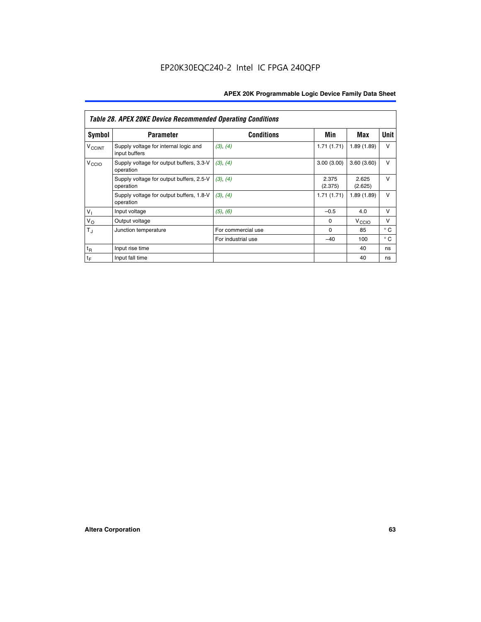|                          | <b>Table 28. APEX 20KE Device Recommended Operating Conditions</b> |                    |                  |                   |              |  |  |
|--------------------------|--------------------------------------------------------------------|--------------------|------------------|-------------------|--------------|--|--|
| <b>Symbol</b>            | <b>Parameter</b>                                                   | <b>Conditions</b>  | Min              | Max               | <b>Unit</b>  |  |  |
| <b>V<sub>CCINT</sub></b> | Supply voltage for internal logic and<br>input buffers             | (3), (4)           | 1.71(1.71)       | 1.89(1.89)        | V            |  |  |
| V <sub>CCIO</sub>        | Supply voltage for output buffers, 3.3-V<br>operation              | (3), (4)           | 3.00(3.00)       | 3.60(3.60)        | v            |  |  |
|                          | Supply voltage for output buffers, 2.5-V<br>operation              | (3), (4)           | 2.375<br>(2.375) | 2.625<br>(2.625)  | $\vee$       |  |  |
|                          | Supply voltage for output buffers, 1.8-V<br>operation              | (3), (4)           | 1.71(1.71)       | 1.89(1.89)        | v            |  |  |
| $V_1$                    | Input voltage                                                      | (5), (6)           | $-0.5$           | 4.0               | $\vee$       |  |  |
| $V_{\rm O}$              | Output voltage                                                     |                    | $\Omega$         | V <sub>CCIO</sub> | $\vee$       |  |  |
| $T_{\rm J}$              | Junction temperature                                               | For commercial use | $\Omega$         | 85                | $^{\circ}$ C |  |  |
|                          |                                                                    | For industrial use | $-40$            | 100               | $^{\circ}$ C |  |  |
| $t_{R}$                  | Input rise time                                                    |                    |                  | 40                | ns           |  |  |
| $t_{\mathsf{F}}$         | Input fall time                                                    |                    |                  | 40                | ns           |  |  |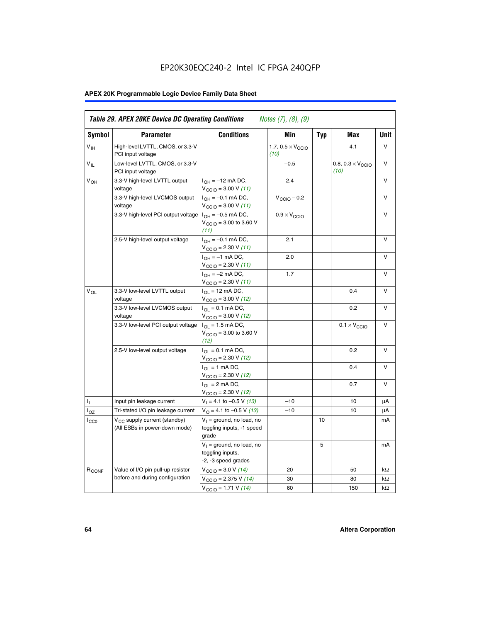# EP20K30EQC240-2 Intel IC FPGA 240QFP

# **APEX 20K Programmable Logic Device Family Data Sheet**

| Symbol            | <b>Parameter</b>                                                          | <b>Conditions</b>                                                       | Min                                       | <b>Typ</b> | Max                                       | Unit      |
|-------------------|---------------------------------------------------------------------------|-------------------------------------------------------------------------|-------------------------------------------|------------|-------------------------------------------|-----------|
| $V_{\text{IH}}$   | High-level LVTTL, CMOS, or 3.3-V<br>PCI input voltage                     |                                                                         | 1.7, $0.5 \times V_{\text{CCIO}}$<br>(10) |            | 4.1                                       | V         |
| $V_{IL}$          | Low-level LVTTL, CMOS, or 3.3-V<br>PCI input voltage                      |                                                                         | $-0.5$                                    |            | 0.8, $0.3 \times V_{\text{CCIO}}$<br>(10) | $\vee$    |
| V <sub>OH</sub>   | 3.3-V high-level LVTTL output<br>voltage                                  | $I_{OH} = -12$ mA DC,<br>$V_{\text{CCIO}} = 3.00 V (11)$                | 2.4                                       |            |                                           | v         |
|                   | 3.3-V high-level LVCMOS output<br>voltage                                 | $I_{OH} = -0.1$ mA DC,<br>$V_{\text{CCIO}} = 3.00 V (11)$               | $V_{\text{CGIO}} - 0.2$                   |            |                                           | V         |
|                   | 3.3-V high-level PCI output voltage $ I_{OH} = -0.5$ mA DC,               | $V_{\text{CCIO}} = 3.00$ to 3.60 V<br>(11)                              | $0.9 \times V_{\text{CCIO}}$              |            |                                           | V         |
|                   | 2.5-V high-level output voltage                                           | $I_{OH} = -0.1$ mA DC,<br>$V_{\text{CCIO}} = 2.30 V (11)$               | 2.1                                       |            |                                           | v         |
|                   |                                                                           | $I_{OH} = -1$ mA DC,<br>$V_{\text{CCIO}} = 2.30 V (11)$                 | 2.0                                       |            |                                           | v         |
|                   |                                                                           | $I_{OH} = -2$ mA DC,<br>$V_{\text{CCIO}} = 2.30 V (11)$                 | 1.7                                       |            |                                           | V         |
| $V_{\Omega L}$    | 3.3-V low-level LVTTL output<br>voltage                                   | $I_{OL}$ = 12 mA DC,<br>$V_{\text{CCIO}} = 3.00 \text{ V} (12)$         |                                           |            | 0.4                                       | v         |
|                   | 3.3-V low-level LVCMOS output<br>voltage                                  | $I_{\Omega} = 0.1$ mA DC,<br>$V_{\text{CCIO}} = 3.00 \text{ V} (12)$    |                                           |            | 0.2                                       | v         |
|                   | 3.3-V low-level PCI output voltage                                        | $I_{\Omega}$ = 1.5 mA DC,<br>$V_{\text{CGIO}} = 3.00$ to 3.60 V<br>(12) |                                           |            | $0.1 \times V_{\text{CCIO}}$              | v         |
|                   | 2.5-V low-level output voltage                                            | $I_{OL} = 0.1$ mA DC,<br>$V_{\text{CCIO}} = 2.30 V (12)$                |                                           |            | 0.2                                       | v         |
|                   |                                                                           | $I_{\Omega}$ = 1 mA DC,<br>$V_{\text{CCIO}} = 2.30 V (12)$              |                                           |            | 0.4                                       | $\vee$    |
|                   |                                                                           | $I_{OL}$ = 2 mA DC,<br>$V_{\text{CCIO}} = 2.30 V (12)$                  |                                           |            | 0.7                                       | v         |
| Τ,                | Input pin leakage current                                                 | $V_1 = 4.1$ to -0.5 V (13)                                              | $-10$                                     |            | 10                                        | μA        |
| l <sub>OZ</sub>   | Tri-stated I/O pin leakage current                                        | $V_{\Omega}$ = 4.1 to -0.5 V (13)                                       | $-10$                                     |            | 10                                        | μA        |
| $_{\rm l_{CC0}}$  | V <sub>CC</sub> supply current (standby)<br>(All ESBs in power-down mode) | $V_1$ = ground, no load, no<br>toggling inputs, -1 speed<br>grade       |                                           | 10         |                                           | mA        |
|                   |                                                                           | $V_1$ = ground, no load, no<br>toggling inputs,<br>-2, -3 speed grades  |                                           | 5          |                                           | mA        |
| R <sub>CONF</sub> | Value of I/O pin pull-up resistor                                         | $V_{\text{CCIO}} = 3.0 V (14)$                                          | 20                                        |            | 50                                        | $k\Omega$ |
|                   | before and during configuration                                           | $V_{\text{CCIO}} = 2.375 V (14)$                                        | 30                                        |            | 80                                        | kΩ        |
|                   |                                                                           | $V_{\text{CCIO}} = 1.71 V (14)$                                         | 60                                        |            | 150                                       | kΩ        |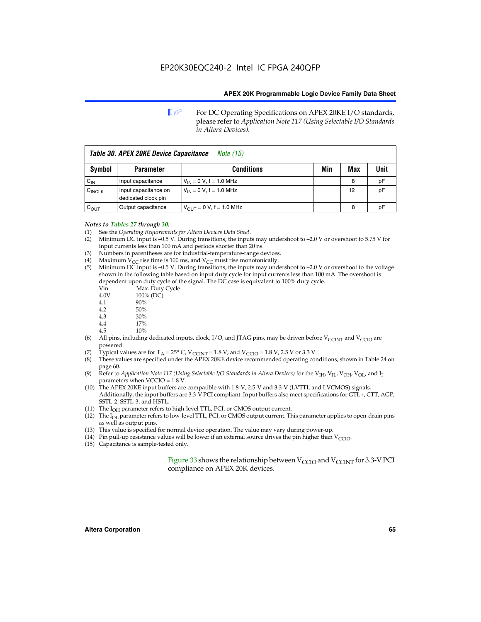**1 For DC Operating Specifications on APEX 20KE I/O standards,** please refer to *Application Note 117 (Using Selectable I/O Standards in Altera Devices).*

| Table 30. APEX 20KE Device Capacitance<br><i>Note</i> (15) |                                             |                                |     |     |      |
|------------------------------------------------------------|---------------------------------------------|--------------------------------|-----|-----|------|
| Symbol                                                     | <b>Parameter</b>                            | <b>Conditions</b>              | Min | Max | Unit |
| $C_{IN}$                                                   | Input capacitance                           | $V_{IN} = 0 V$ , f = 1.0 MHz   |     | 8   | рF   |
| $C_{\text{INCLK}}$                                         | Input capacitance on<br>dedicated clock pin | $V_{IN} = 0 V$ , f = 1.0 MHz   |     | 12  | pF   |
| $C_{OUT}$                                                  | Output capacitance                          | $V_{OUIT} = 0 V$ , f = 1.0 MHz |     | 8   | рF   |

- *Notes to Tables 27 through 30:* (1) See the *Operating Requirements for Altera Devices Data Sheet*.
- (2) Minimum DC input is –0.5 V. During transitions, the inputs may undershoot to –2.0 V or overshoot to 5.75 V for input currents less than 100 mA and periods shorter than 20 ns.
- (3) Numbers in parentheses are for industrial-temperature-range devices.
- (4) Maximum  $\overline{V_{CC}}$  rise time is 100 ms, and  $V_{CC}$  must rise monotonically.<br>(5) Minimum DC input is –0.5 V. During transitions, the inputs may und
- Minimum DC input is  $-0.5$  V. During transitions, the inputs may undershoot to  $-2.0$  V or overshoot to the voltage shown in the following table based on input duty cycle for input currents less than 100 mA. The overshoot is dependent upon duty cycle of the signal. The DC case is equivalent to 100% duty cycle.

| Vin  | Max. Duty Cycle |
|------|-----------------|
| 4.0V | 100% (DC)       |
| 4.1  | 90%             |
| 4.2  | 50%             |
| 4.3  | 30%             |
| .    |                 |

- 4.4 17%
- 4.5 10%
- (6) All pins, including dedicated inputs, clock, I/O, and JTAG pins, may be driven before  $V_{\text{CCINT}}$  and  $V_{\text{CCIO}}$  are powered.
- (7) Typical values are for  $T_A = 25^\circ$  C, V<sub>CCINT</sub> = 1.8 V, and V<sub>CCIO</sub> = 1.8 V, 2.5 V or 3.3 V.
- (8) These values are specified under the APEX 20KE device recommended operating conditions, shown in Table 24 on page 60.
- (9) Refer to *Application Note 117 (Using Selectable I/O Standards in Altera Devices)* for the V<sub>IH</sub>, V<sub>IL</sub>, V<sub>OH</sub>, V<sub>OL</sub>, and I<sub>I</sub> parameters when VCCIO = 1.8 V.
- (10) The APEX 20KE input buffers are compatible with 1.8-V, 2.5-V and 3.3-V (LVTTL and LVCMOS) signals. Additionally, the input buffers are 3.3-V PCI compliant. Input buffers also meet specifications for GTL+, CTT, AGP, SSTL-2, SSTL-3, and HSTL.
- (11) The  $I_{OH}$  parameter refers to high-level TTL, PCI, or CMOS output current.
- (12) The I<sub>OL</sub> parameter refers to low-level TTL, PCI, or CMOS output current. This parameter applies to open-drain pins as well as output pins.
- (13) This value is specified for normal device operation. The value may vary during power-up.
- (14) Pin pull-up resistance values will be lower if an external source drives the pin higher than  $V_{CCIO}$ .
- (15) Capacitance is sample-tested only.

Figure 33 shows the relationship between  $V_{\text{CCIO}}$  and  $V_{\text{CCINT}}$  for 3.3-V PCI compliance on APEX 20K devices.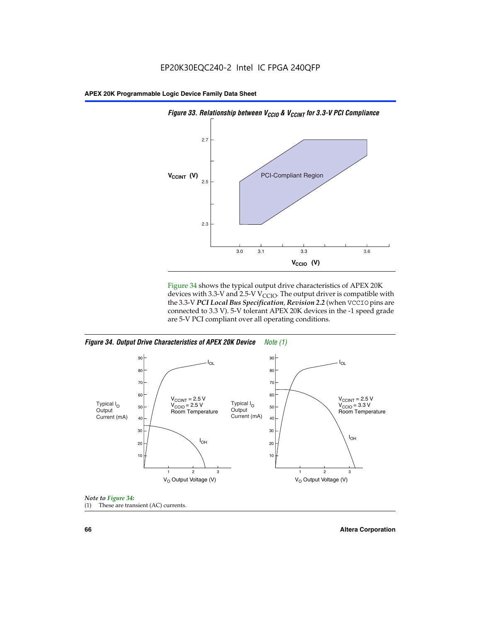

Figure 34 shows the typical output drive characteristics of APEX 20K devices with 3.3-V and 2.5-V V<sub>CCIO</sub>. The output driver is compatible with the 3.3-V *PCI Local Bus Specification, Revision 2.2* (when VCCIO pins are connected to 3.3 V). 5-V tolerant APEX 20K devices in the -1 speed grade are 5-V PCI compliant over all operating conditions.







**66 Altera Corporation**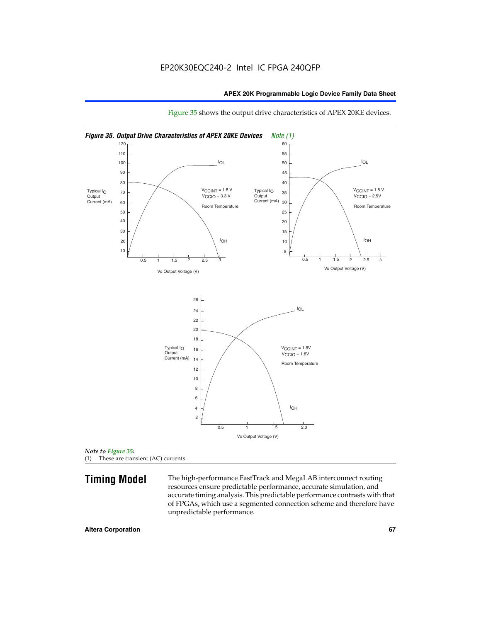

Figure 35 shows the output drive characteristics of APEX 20KE devices.

*Note to Figure 35:* (1) These are transient (AC) currents.

**Timing Model** The high-performance FastTrack and MegaLAB interconnect routing resources ensure predictable performance, accurate simulation, and accurate timing analysis. This predictable performance contrasts with that of FPGAs, which use a segmented connection scheme and therefore have unpredictable performance.

#### **Altera Corporation 67** 67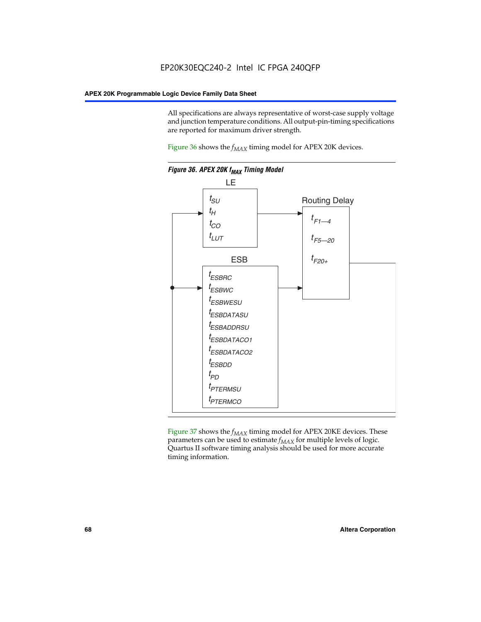All specifications are always representative of worst-case supply voltage and junction temperature conditions. All output-pin-timing specifications are reported for maximum driver strength.

Figure  $36$  shows the  $f_{MAX}$  timing model for APEX 20K devices.



Figure 37 shows the  $f_{MAX}$  timing model for APEX 20KE devices. These parameters can be used to estimate  $f_{MAX}$  for multiple levels of logic. Quartus II software timing analysis should be used for more accurate timing information.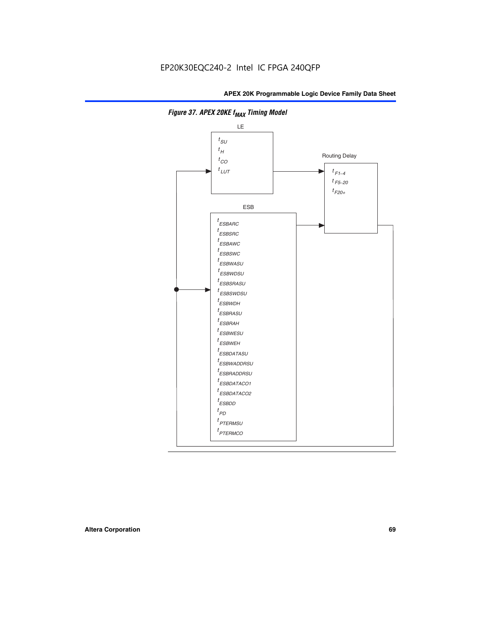

**Figure 37. APEX 20KE f<sub>MAX</sub> Timing Model**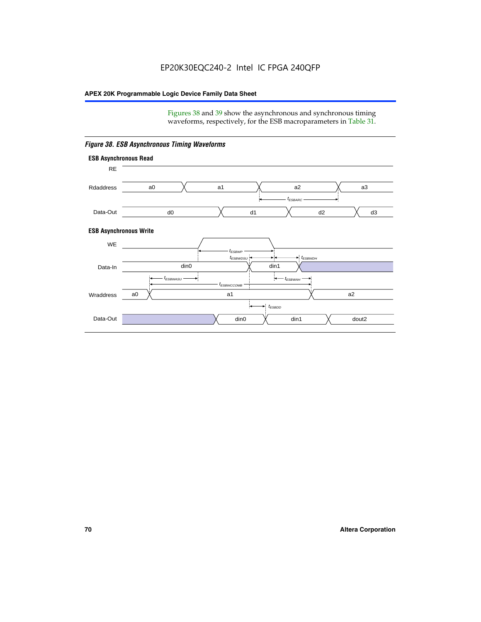Figures 38 and 39 show the asynchronous and synchronous timing waveforms, respectively, for the ESB macroparameters in Table 31.



*Figure 38. ESB Asynchronous Timing Waveforms*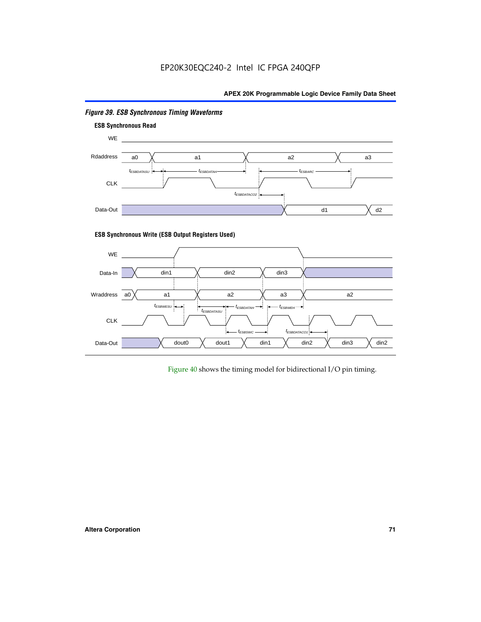

# *Figure 39. ESB Synchronous Timing Waveforms*

# **ESB Synchronous Write (ESB Output Registers Used)**



Figure 40 shows the timing model for bidirectional I/O pin timing.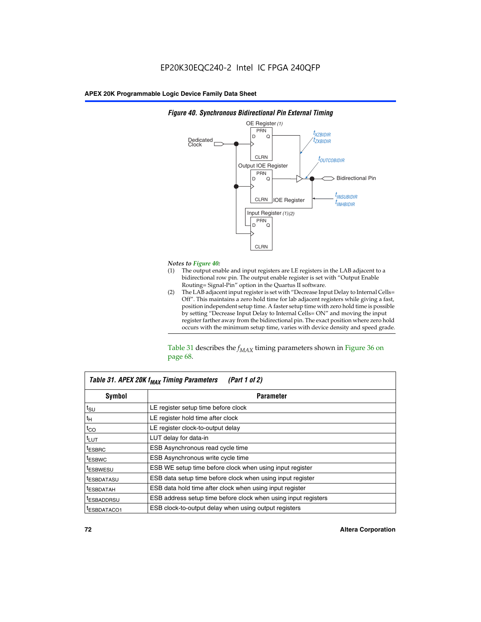

### *Figure 40. Synchronous Bidirectional Pin External Timing*

# *Notes to Figure 40:*

- The output enable and input registers are LE registers in the LAB adjacent to a bidirectional row pin. The output enable register is set with "Output Enable Routing= Signal-Pin" option in the Quartus II software.
- (2) The LAB adjacent input register is set with "Decrease Input Delay to Internal Cells= Off". This maintains a zero hold time for lab adjacent registers while giving a fast, position independent setup time. A faster setup time with zero hold time is possible by setting "Decrease Input Delay to Internal Cells= ON" and moving the input register farther away from the bidirectional pin. The exact position where zero hold occurs with the minimum setup time, varies with device density and speed grade.

Table 31 describes the  $f_{MAX}$  timing parameters shown in Figure 36 on page 68.

| Table 31. APEX 20K f <sub>MAX</sub> Timing Parameters<br>(Part 1 of 2) |                                                                |  |  |  |  |
|------------------------------------------------------------------------|----------------------------------------------------------------|--|--|--|--|
| Symbol                                                                 | <b>Parameter</b>                                               |  |  |  |  |
| $t_{\text{SU}}$                                                        | LE register setup time before clock                            |  |  |  |  |
| $t_H$                                                                  | LE register hold time after clock                              |  |  |  |  |
| $t_{CO}$                                                               | LE register clock-to-output delay                              |  |  |  |  |
| t <sub>LUT</sub>                                                       | LUT delay for data-in                                          |  |  |  |  |
| <sup>t</sup> ESBRC                                                     | ESB Asynchronous read cycle time                               |  |  |  |  |
| <sup>t</sup> ESBWC                                                     | ESB Asynchronous write cycle time                              |  |  |  |  |
| <sup>t</sup> ESBWESU                                                   | ESB WE setup time before clock when using input register       |  |  |  |  |
| <sup>t</sup> ESBDATASU                                                 | ESB data setup time before clock when using input register     |  |  |  |  |
| <sup>t</sup> ESBDATAH                                                  | ESB data hold time after clock when using input register       |  |  |  |  |
| <sup>t</sup> ESBADDRSU                                                 | ESB address setup time before clock when using input registers |  |  |  |  |
| ESBDATACO1                                                             | ESB clock-to-output delay when using output registers          |  |  |  |  |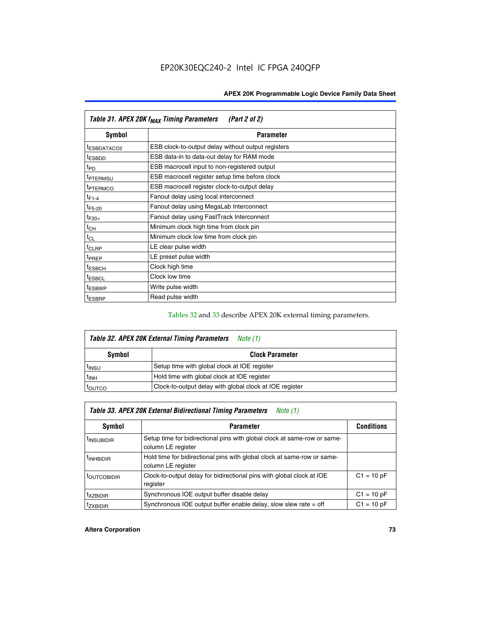| Table 31. APEX 20K f <sub>MAX</sub> Timing Parameters<br>(Part 2 of 2) |                                                    |  |  |  |  |
|------------------------------------------------------------------------|----------------------------------------------------|--|--|--|--|
| Symbol                                                                 | <b>Parameter</b>                                   |  |  |  |  |
| <sup>t</sup> ESBDATACO2                                                | ESB clock-to-output delay without output registers |  |  |  |  |
| <sup>t</sup> ESBDD                                                     | ESB data-in to data-out delay for RAM mode         |  |  |  |  |
| t <sub>PD</sub>                                                        | ESB macrocell input to non-registered output       |  |  |  |  |
| <sup>t</sup> PTERMSU                                                   | ESB macrocell register setup time before clock     |  |  |  |  |
| <sup>t</sup> PTERMCO                                                   | ESB macrocell register clock-to-output delay       |  |  |  |  |
| $t_{F1-4}$                                                             | Fanout delay using local interconnect              |  |  |  |  |
| $t_{F5-20}$                                                            | Fanout delay using MegaLab Interconnect            |  |  |  |  |
| $t_{F20+}$                                                             | Fanout delay using FastTrack Interconnect          |  |  |  |  |
| $t_{CH}$                                                               | Minimum clock high time from clock pin             |  |  |  |  |
| $t_{CL}$                                                               | Minimum clock low time from clock pin              |  |  |  |  |
| t <sub>CLRP</sub>                                                      | LE clear pulse width                               |  |  |  |  |
| t <sub>PREP</sub>                                                      | LE preset pulse width                              |  |  |  |  |
| <sup>t</sup> ESBCH                                                     | Clock high time                                    |  |  |  |  |
| <sup>t</sup> ESBCL                                                     | Clock low time                                     |  |  |  |  |
| <sup>t</sup> ESBWP                                                     | Write pulse width                                  |  |  |  |  |
| <sup>t</sup> ESBRP                                                     | Read pulse width                                   |  |  |  |  |

### Tables 32 and 33 describe APEX 20K external timing parameters.

| Table 32. APEX 20K External Timing Parameters<br>Note (1) |                                                         |  |  |  |  |
|-----------------------------------------------------------|---------------------------------------------------------|--|--|--|--|
| <b>Symbol</b>                                             | <b>Clock Parameter</b>                                  |  |  |  |  |
| <sup>t</sup> insu                                         | Setup time with global clock at IOE register            |  |  |  |  |
| $t_{INH}$                                                 | Hold time with global clock at IOE register             |  |  |  |  |
| <b>IOUTCO</b>                                             | Clock-to-output delay with global clock at IOE register |  |  |  |  |

| Table 33. APEX 20K External Bidirectional Timing Parameters<br>Note (1) |                                                                                                |              |  |  |  |  |
|-------------------------------------------------------------------------|------------------------------------------------------------------------------------------------|--------------|--|--|--|--|
| Symbol                                                                  | <b>Conditions</b><br><b>Parameter</b>                                                          |              |  |  |  |  |
| <sup>I</sup> INSUBIDIR                                                  | Setup time for bidirectional pins with global clock at same-row or same-<br>column LE register |              |  |  |  |  |
| <sup>t</sup> INHBIDIR                                                   | Hold time for bidirectional pins with global clock at same-row or same-<br>column LE register  |              |  |  |  |  |
| <sup>t</sup> OUTCOBIDIR                                                 | Clock-to-output delay for bidirectional pins with global clock at IOE<br>register              | $C1 = 10 pF$ |  |  |  |  |
| <sup>T</sup> XZBIDIR                                                    | Synchronous IOE output buffer disable delay                                                    | $C1 = 10 pF$ |  |  |  |  |
| <sup>I</sup> ZXBIDIR                                                    | Synchronous IOE output buffer enable delay, slow slew rate $=$ off                             | $C1 = 10 pF$ |  |  |  |  |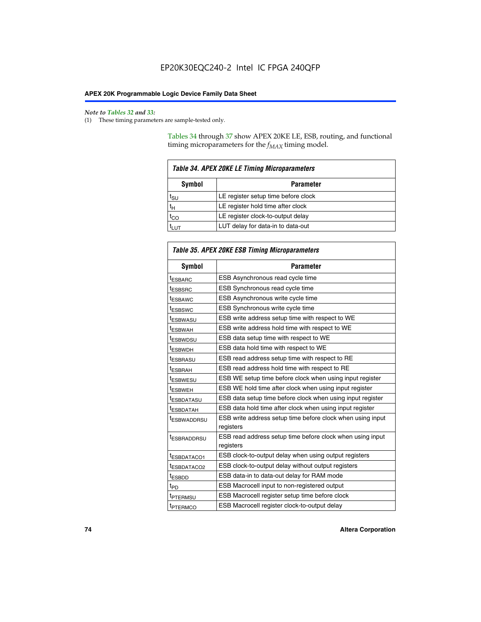$\mathbf{r}$ 

#### *Note to Tables 32 and 33:*

(1) These timing parameters are sample-tested only.

Tables 34 through 37 show APEX 20KE LE, ESB, routing, and functional timing microparameters for the  $f_{MAX}$  timing model.

| <b>Table 34. APEX 20KE LE Timing Microparameters</b> |                                     |  |  |  |
|------------------------------------------------------|-------------------------------------|--|--|--|
| Symbol<br><b>Parameter</b>                           |                                     |  |  |  |
| t <sub>SU</sub>                                      | LE register setup time before clock |  |  |  |
| $t_H$                                                | LE register hold time after clock   |  |  |  |
| $t_{CO}$                                             | LE register clock-to-output delay   |  |  |  |
|                                                      | LUT delay for data-in to data-out   |  |  |  |

| Table 35. APEX 20KE ESB Timing Microparameters |                                                            |  |  |  |
|------------------------------------------------|------------------------------------------------------------|--|--|--|
| Symbol                                         | <b>Parameter</b>                                           |  |  |  |
| <sup>t</sup> ESBARC                            | ESB Asynchronous read cycle time                           |  |  |  |
| <sup>t</sup> ESBSRC                            | ESB Synchronous read cycle time                            |  |  |  |
| <b><i>ESBAWC</i></b>                           | ESB Asynchronous write cycle time                          |  |  |  |
| t <sub>ESBSWC</sub>                            | ESB Synchronous write cycle time                           |  |  |  |
| t <sub>ESBWASU</sub>                           | ESB write address setup time with respect to WE            |  |  |  |
| <sup>t</sup> ESBWAH                            | ESB write address hold time with respect to WE             |  |  |  |
| t <sub>ESBWDSU</sub>                           | ESB data setup time with respect to WE                     |  |  |  |
| <sup>t</sup> ESBWDH                            | ESB data hold time with respect to WE                      |  |  |  |
| tESBRASU                                       | ESB read address setup time with respect to RE             |  |  |  |
| <sup>t</sup> ESBRAH                            | ESB read address hold time with respect to RE              |  |  |  |
| <i>ESBWESU</i>                                 | ESB WE setup time before clock when using input register   |  |  |  |
| t <sub>ESBWEH</sub>                            | ESB WE hold time after clock when using input register     |  |  |  |
| <b><i>t</i>ESBDATASU</b>                       | ESB data setup time before clock when using input register |  |  |  |
| t <sub>ESBDATAH</sub>                          | ESB data hold time after clock when using input register   |  |  |  |
| t <sub>ESBWADDRSU</sub>                        | ESB write address setup time before clock when using input |  |  |  |
|                                                | registers                                                  |  |  |  |
| <i><b>LESBRADDRSU</b></i>                      | ESB read address setup time before clock when using input  |  |  |  |
|                                                | registers                                                  |  |  |  |
| t <sub>ESBDATACO1</sub>                        | ESB clock-to-output delay when using output registers      |  |  |  |
| t <sub>ESBDATACO2</sub>                        | ESB clock-to-output delay without output registers         |  |  |  |
| $t_{ESBDD}$                                    | ESB data-in to data-out delay for RAM mode                 |  |  |  |
| $t_{\mathsf{PD}}$                              | ESB Macrocell input to non-registered output               |  |  |  |
| t <sub>PTERMSU</sub>                           | ESB Macrocell register setup time before clock             |  |  |  |
| t <sub>PTERMCO</sub>                           | ESB Macrocell register clock-to-output delay               |  |  |  |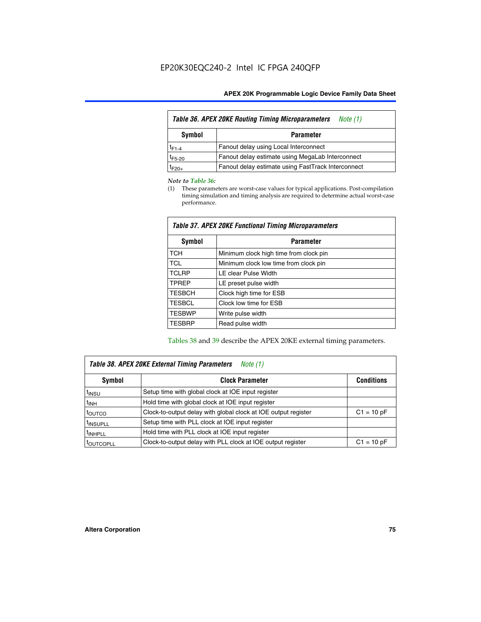| <b>Table 36. APEX 20KE Routing Timing Microparameters</b><br>Note (1) |                                                    |  |  |  |
|-----------------------------------------------------------------------|----------------------------------------------------|--|--|--|
| Symbol                                                                | <b>Parameter</b>                                   |  |  |  |
| $t_{F1-4}$                                                            | Fanout delay using Local Interconnect              |  |  |  |
| $t_{F5-20}$                                                           | Fanout delay estimate using MegaLab Interconnect   |  |  |  |
| $t_{F20+}$                                                            | Fanout delay estimate using FastTrack Interconnect |  |  |  |

#### *Note to Table 36:*

(1) These parameters are worst-case values for typical applications. Post-compilation timing simulation and timing analysis are required to determine actual worst-case performance.

| Symbol        | <b>Parameter</b>                       |
|---------------|----------------------------------------|
| <b>TCH</b>    | Minimum clock high time from clock pin |
| <b>TCL</b>    | Minimum clock low time from clock pin  |
| <b>TCLRP</b>  | LE clear Pulse Width                   |
| <b>TPREP</b>  | LE preset pulse width                  |
| <b>TESBCH</b> | Clock high time for ESB                |
| <b>TESBCL</b> | Clock low time for ESB                 |
| <b>TESBWP</b> | Write pulse width                      |
| <b>TESBRP</b> | Read pulse width                       |

### *Table 37. APEX 20KE Functional Timing Microparameters*

Tables 38 and 39 describe the APEX 20KE external timing parameters.

| Table 38. APEX 20KE External Timing Parameters<br>Note (1) |                                                                |              |  |  |  |
|------------------------------------------------------------|----------------------------------------------------------------|--------------|--|--|--|
| <b>Clock Parameter</b><br><b>Conditions</b><br>Symbol      |                                                                |              |  |  |  |
| <sup>t</sup> insu                                          | Setup time with global clock at IOE input register             |              |  |  |  |
| $t_{\text{INH}}$                                           | Hold time with global clock at IOE input register              |              |  |  |  |
| t <sub>outco</sub>                                         | Clock-to-output delay with global clock at IOE output register | $C1 = 10 pF$ |  |  |  |
| <sup>t</sup> INSUPLL                                       | Setup time with PLL clock at IOE input register                |              |  |  |  |
| <sup>t</sup> INHPLL                                        | Hold time with PLL clock at IOE input register                 |              |  |  |  |
| <b><i>LOUTCOPLL</i></b>                                    | Clock-to-output delay with PLL clock at IOE output register    | $C1 = 10 pF$ |  |  |  |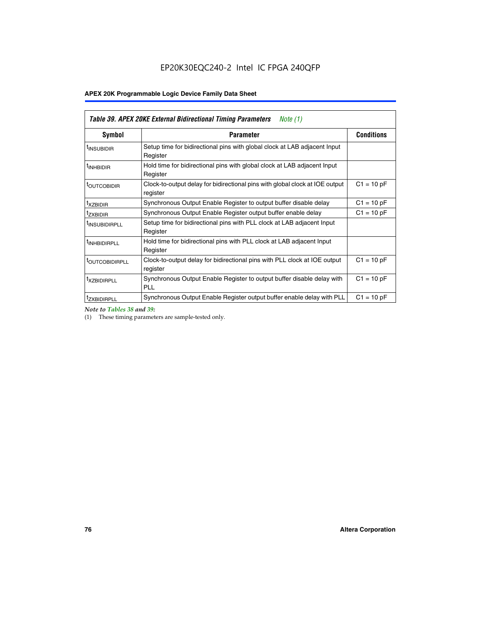### **APEX 20K Programmable Logic Device Family Data Sheet**

| Table 39. APEX 20KE External Bidirectional Timing Parameters<br>Note (1) |                                                                                                          |                   |  |  |  |  |  |  |
|--------------------------------------------------------------------------|----------------------------------------------------------------------------------------------------------|-------------------|--|--|--|--|--|--|
| Symbol                                                                   | <b>Parameter</b>                                                                                         | <b>Conditions</b> |  |  |  |  |  |  |
| <sup>t</sup> INSUBIDIR                                                   | Setup time for bidirectional pins with global clock at LAB adjacent Input<br>Register                    |                   |  |  |  |  |  |  |
| <sup>t</sup> INHBIDIR                                                    | Hold time for bidirectional pins with global clock at LAB adjacent Input<br>Register                     |                   |  |  |  |  |  |  |
| <sup>t</sup> OUTCOBIDIR                                                  | $C1 = 10 pF$<br>Clock-to-output delay for bidirectional pins with global clock at IOE output<br>register |                   |  |  |  |  |  |  |
| t <sub>XZBIDIR</sub>                                                     | Synchronous Output Enable Register to output buffer disable delay                                        | $C1 = 10 pF$      |  |  |  |  |  |  |
| <sup>t</sup> zxbidir                                                     | Synchronous Output Enable Register output buffer enable delay                                            | $C1 = 10 pF$      |  |  |  |  |  |  |
| <sup>I</sup> INSUBIDIRPLL                                                | Setup time for bidirectional pins with PLL clock at LAB adjacent Input<br>Register                       |                   |  |  |  |  |  |  |
| <sup>t</sup> INHBIDIRPLL                                                 | Hold time for bidirectional pins with PLL clock at LAB adjacent Input<br>Register                        |                   |  |  |  |  |  |  |
| <sup>t</sup> OUTCOBIDIRPLL                                               | Clock-to-output delay for bidirectional pins with PLL clock at IOE output<br>register                    | $C1 = 10 pF$      |  |  |  |  |  |  |
| <sup>t</sup> xzbidirpll                                                  | Synchronous Output Enable Register to output buffer disable delay with<br><b>PLL</b>                     | $C1 = 10 pF$      |  |  |  |  |  |  |
| <sup>t</sup> ZXBIDIRPLL                                                  | Synchronous Output Enable Register output buffer enable delay with PLL                                   | $C1 = 10 pF$      |  |  |  |  |  |  |

*Note to Tables 38 and 39:*

(1) These timing parameters are sample-tested only.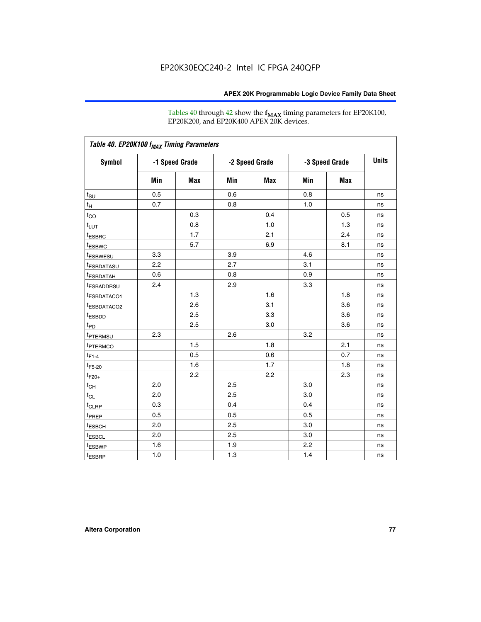Tables 40 through 42 show the **f<sub>MAX</sub>** timing parameters for EP20K100, EP20K200, and EP20K400 APEX 20K devices.

| Table 40. EP20K100 f <sub>MAX</sub> Timing Parameters |                |     |                |     |                |     |              |
|-------------------------------------------------------|----------------|-----|----------------|-----|----------------|-----|--------------|
| <b>Symbol</b>                                         | -1 Speed Grade |     | -2 Speed Grade |     | -3 Speed Grade |     | <b>Units</b> |
|                                                       | Min            | Max | Min            | Max | Min            | Max |              |
| $t_{\text{SU}}$                                       | 0.5            |     | 0.6            |     | 0.8            |     | ns           |
| $t_H$                                                 | 0.7            |     | 0.8            |     | 1.0            |     | ns           |
| $t_{\underline{CO}}$                                  |                | 0.3 |                | 0.4 |                | 0.5 | ns           |
| $t_{LUT}$                                             |                | 0.8 |                | 1.0 |                | 1.3 | ns           |
| <sup>t</sup> ESBRC                                    |                | 1.7 |                | 2.1 |                | 2.4 | ns           |
| <sup>t</sup> ESBWC                                    |                | 5.7 |                | 6.9 |                | 8.1 | ns           |
| t <sub>ESBWESU</sub>                                  | 3.3            |     | 3.9            |     | 4.6            |     | ns           |
| <sup>t</sup> ESBDATASU                                | 2.2            |     | 2.7            |     | 3.1            |     | ns           |
| t <sub>ESBDATAH</sub>                                 | 0.6            |     | 0.8            |     | 0.9            |     | ns           |
| t <sub>ESBADDRSU</sub>                                | 2.4            |     | 2.9            |     | 3.3            |     | ns           |
| t <sub>ESBDATACO1</sub>                               |                | 1.3 |                | 1.6 |                | 1.8 | ns           |
| t <sub>ESBDATACO2</sub>                               |                | 2.6 |                | 3.1 |                | 3.6 | ns           |
| <sup>t</sup> ESBDD                                    |                | 2.5 |                | 3.3 |                | 3.6 | ns           |
| t <sub>PD</sub>                                       |                | 2.5 |                | 3.0 |                | 3.6 | ns           |
| <sup>t</sup> PTERMSU                                  | 2.3            |     | 2.6            |     | 3.2            |     | ns           |
| t <sub>PTERMCO</sub>                                  |                | 1.5 |                | 1.8 |                | 2.1 | ns           |
| $t_{F1-4}$                                            |                | 0.5 |                | 0.6 |                | 0.7 | ns           |
| $t_{F5-20}$                                           |                | 1.6 |                | 1.7 |                | 1.8 | ns           |
| $t_{F20+}$                                            |                | 2.2 |                | 2.2 |                | 2.3 | ns           |
| $t_{\mathsf{CH}}$                                     | 2.0            |     | 2.5            |     | 3.0            |     | ns           |
| $t_{CL}$                                              | 2.0            |     | 2.5            |     | 3.0            |     | ns           |
| t <sub>CLRP</sub>                                     | 0.3            |     | 0.4            |     | 0.4            |     | ns           |
| t <sub>PREP</sub>                                     | 0.5            |     | 0.5            |     | 0.5            |     | ns           |
| t <sub>ESBCH</sub>                                    | 2.0            |     | 2.5            |     | 3.0            |     | ns           |
| <sup>t</sup> ESBCL                                    | 2.0            |     | 2.5            |     | 3.0            |     | ns           |
| t <sub>ESBWP</sub>                                    | 1.6            |     | 1.9            |     | 2.2            |     | ns           |
| $t_{ESBRP}$                                           | 1.0            |     | 1.3            |     | 1.4            |     | ns           |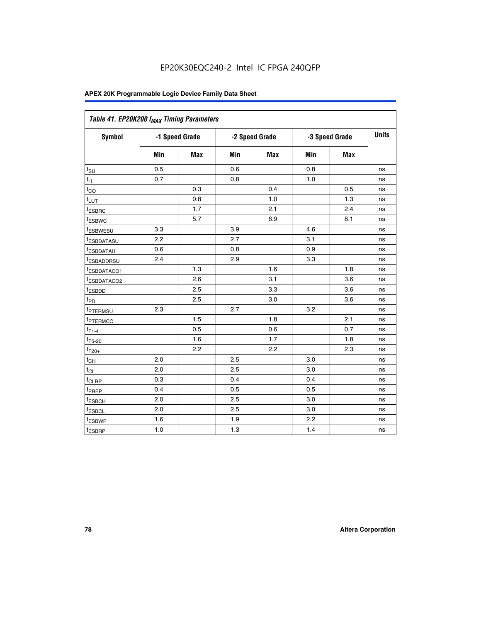| Table 41. EP20K200 f <sub>MAX</sub> Timing Parameters |                |            |     |                |     |                |    |
|-------------------------------------------------------|----------------|------------|-----|----------------|-----|----------------|----|
| <b>Symbol</b>                                         | -1 Speed Grade |            |     | -2 Speed Grade |     | -3 Speed Grade |    |
|                                                       | Min            | <b>Max</b> | Min | Max            | Min | Max            |    |
| $t_{\text{SU}}$                                       | 0.5            |            | 0.6 |                | 0.8 |                | ns |
| $t_H$                                                 | 0.7            |            | 0.8 |                | 1.0 |                | ns |
| $t_{CO}$                                              |                | 0.3        |     | 0.4            |     | 0.5            | ns |
| $t_{LUT}$                                             |                | 0.8        |     | 1.0            |     | 1.3            | ns |
| <sup>t</sup> ESBRC                                    |                | 1.7        |     | 2.1            |     | 2.4            | ns |
| t <sub>ESBWC</sub>                                    |                | 5.7        |     | 6.9            |     | 8.1            | ns |
| t <sub>ESBWESU</sub>                                  | 3.3            |            | 3.9 |                | 4.6 |                | ns |
| t <sub>ESBDATASU</sub>                                | 2.2            |            | 2.7 |                | 3.1 |                | ns |
| <sup>t</sup> ESBDATAH                                 | 0.6            |            | 0.8 |                | 0.9 |                | ns |
| <sup>t</sup> ESBADDRSU                                | 2.4            |            | 2.9 |                | 3.3 |                | ns |
| <u>t<sub>ESBDATACO1</sub></u>                         |                | 1.3        |     | 1.6            |     | 1.8            | ns |
| <u>tesbdataco2</u>                                    |                | 2.6        |     | 3.1            |     | 3.6            | ns |
| <sup>t</sup> ESBDD                                    |                | 2.5        |     | 3.3            |     | 3.6            | ns |
| $t_{P\underline{D}}$                                  |                | 2.5        |     | 3.0            |     | 3.6            | ns |
| t <sub>PTERMSU</sub>                                  | 2.3            |            | 2.7 |                | 3.2 |                | ns |
| t <sub>PTERMCO</sub>                                  |                | 1.5        |     | 1.8            |     | 2.1            | ns |
| $t_{F1-4}$                                            |                | 0.5        |     | 0.6            |     | 0.7            | ns |
| $t_{F5-20}$                                           |                | 1.6        |     | 1.7            |     | 1.8            | ns |
| $t_{F20+}$                                            |                | 2.2        |     | 2.2            |     | 2.3            | ns |
| $\textnormal{t}_{\textnormal{CH}}$                    | 2.0            |            | 2.5 |                | 3.0 |                | ns |
| $t_{CL}$                                              | 2.0            |            | 2.5 |                | 3.0 |                | ns |
| t <sub>CLRP</sub>                                     | 0.3            |            | 0.4 |                | 0.4 |                | ns |
| t <sub>PREP</sub>                                     | 0.4            |            | 0.5 |                | 0.5 |                | ns |
| t <sub>ESBCH</sub>                                    | 2.0            |            | 2.5 |                | 3.0 |                | ns |
| t <sub>ESBCL</sub>                                    | 2.0            |            | 2.5 |                | 3.0 |                | ns |
| t <sub>ESBWP</sub>                                    | 1.6            |            | 1.9 |                | 2.2 |                | ns |
| t <sub>ESBRP</sub>                                    | 1.0            |            | 1.3 |                | 1.4 |                | ns |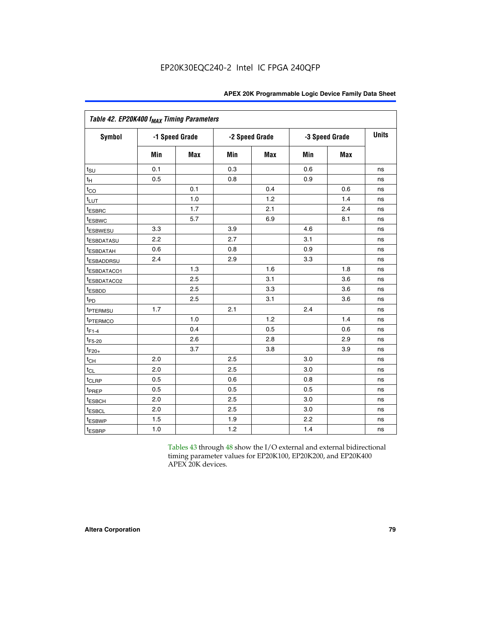| Table 42. EP20K400 f <sub>MAX</sub> Timing Parameters |     |                |     |                |     |                |              |
|-------------------------------------------------------|-----|----------------|-----|----------------|-----|----------------|--------------|
| <b>Symbol</b>                                         |     | -1 Speed Grade |     | -2 Speed Grade |     | -3 Speed Grade | <b>Units</b> |
|                                                       | Min | Max            | Min | <b>Max</b>     | Min | <b>Max</b>     |              |
| $t_{\text{SU}}$                                       | 0.1 |                | 0.3 |                | 0.6 |                | ns           |
| $t_H$                                                 | 0.5 |                | 0.8 |                | 0.9 |                | ns           |
| $t_{CO}$                                              |     | 0.1            |     | 0.4            |     | 0.6            | ns           |
| $t_{LUT}$                                             |     | 1.0            |     | 1.2            |     | 1.4            | ns           |
| t <sub>ESBRC</sub>                                    |     | 1.7            |     | 2.1            |     | 2.4            | ns           |
| t <sub>ESBWC</sub>                                    |     | 5.7            |     | 6.9            |     | 8.1            | ns           |
| <i>t</i> ESBWESU                                      | 3.3 |                | 3.9 |                | 4.6 |                | ns           |
| <i>t</i> ESBDATASU                                    | 2.2 |                | 2.7 |                | 3.1 |                | ns           |
| <sup>t</sup> ESBDATAH                                 | 0.6 |                | 0.8 |                | 0.9 |                | ns           |
| <sup>t</sup> ESBADDRSU                                | 2.4 |                | 2.9 |                | 3.3 |                | ns           |
| t <sub>ESBDATACO1</sub>                               |     | 1.3            |     | 1.6            |     | 1.8            | ns           |
| t <sub>ESBDATACO2</sub>                               |     | 2.5            |     | 3.1            |     | 3.6            | ns           |
| t <sub>ESBDD</sub>                                    |     | 2.5            |     | 3.3            |     | 3.6            | ns           |
| t <sub>PD</sub>                                       |     | 2.5            |     | 3.1            |     | 3.6            | ns           |
| t <sub>PTERMSU</sub>                                  | 1.7 |                | 2.1 |                | 2.4 |                | ns           |
| <sup>t</sup> PTERMCO                                  |     | 1.0            |     | 1.2            |     | 1.4            | ns           |
| $t_{F1-4}$                                            |     | 0.4            |     | 0.5            |     | 0.6            | ns           |
| $t_{F5-20}$                                           |     | 2.6            |     | 2.8            |     | 2.9            | ns           |
| $t_{F20+}$                                            |     | 3.7            |     | 3.8            |     | 3.9            | ns           |
| $t_{\text{CH}}$                                       | 2.0 |                | 2.5 |                | 3.0 |                | ns           |
| $t_{CL}$                                              | 2.0 |                | 2.5 |                | 3.0 |                | ns           |
| $t_{CLRP}$                                            | 0.5 |                | 0.6 |                | 0.8 |                | ns           |
| t <sub>PREP</sub>                                     | 0.5 |                | 0.5 |                | 0.5 |                | ns           |
| <sup>t</sup> ESBCH                                    | 2.0 |                | 2.5 |                | 3.0 |                | ns           |
| t <sub>ESBCL</sub>                                    | 2.0 |                | 2.5 |                | 3.0 |                | ns           |
| t <sub>ESBWP</sub>                                    | 1.5 |                | 1.9 |                | 2.2 |                | ns           |
| t <sub>ESBRP</sub>                                    | 1.0 |                | 1.2 |                | 1.4 |                | ns           |

Tables 43 through 48 show the I/O external and external bidirectional timing parameter values for EP20K100, EP20K200, and EP20K400 APEX 20K devices.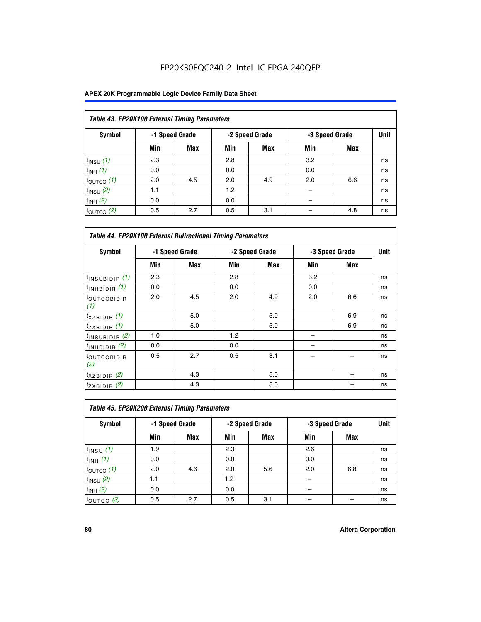|                       | Table 43. EP20K100 External Timing Parameters |                |     |                |     |                |             |  |  |  |  |  |
|-----------------------|-----------------------------------------------|----------------|-----|----------------|-----|----------------|-------------|--|--|--|--|--|
| Symbol                |                                               | -1 Speed Grade |     | -2 Speed Grade |     | -3 Speed Grade | <b>Unit</b> |  |  |  |  |  |
|                       | Min                                           | Max            | Min | <b>Max</b>     | Min | <b>Max</b>     |             |  |  |  |  |  |
| $t_{INSU}$ (1)        | 2.3                                           |                | 2.8 |                | 3.2 |                | ns          |  |  |  |  |  |
| $t_{INH}$ (1)         | 0.0                                           |                | 0.0 |                | 0.0 |                | ns          |  |  |  |  |  |
| $t_{\text{OUTCO}}(1)$ | 2.0                                           | 4.5            | 2.0 | 4.9            | 2.0 | 6.6            | ns          |  |  |  |  |  |
| $t_{INSU}$ (2)        | 1.1                                           |                | 1.2 |                |     |                | ns          |  |  |  |  |  |
| $t_{INH}$ (2)         | 0.0                                           |                | 0.0 |                |     |                | ns          |  |  |  |  |  |
| $t_{\text{OUTCO}}(2)$ | 0.5                                           | 2.7            | 0.5 | 3.1            |     | 4.8            | ns          |  |  |  |  |  |

|                                | <b>Table 44. EP20K100 External Bidirectional Timing Parameters</b> |     |     |                |     |                |    |  |  |  |  |
|--------------------------------|--------------------------------------------------------------------|-----|-----|----------------|-----|----------------|----|--|--|--|--|
| Symbol                         | -1 Speed Grade                                                     |     |     | -2 Speed Grade |     | -3 Speed Grade |    |  |  |  |  |
|                                | Min                                                                | Max | Min | Max            | Min | Max            |    |  |  |  |  |
| $t_{\text{INSUBIDIR}}(1)$      | 2.3                                                                |     | 2.8 |                | 3.2 |                | ns |  |  |  |  |
| $t_{INHBIDIR}$ (1)             | 0.0                                                                |     | 0.0 |                | 0.0 |                | ns |  |  |  |  |
| <sup>t</sup> OUTCOBIDIR<br>(1) | 2.0                                                                | 4.5 | 2.0 | 4.9            | 2.0 | 6.6            | ns |  |  |  |  |
| $t_{XZBIDIR}$ (1)              |                                                                    | 5.0 |     | 5.9            |     | 6.9            | ns |  |  |  |  |
| $t_{ZXBIDIR}$ (1)              |                                                                    | 5.0 |     | 5.9            |     | 6.9            | ns |  |  |  |  |
| $t_{INSUBIDIR}$ (2)            | 1.0                                                                |     | 1.2 |                |     |                | ns |  |  |  |  |
| $t_{INHBIDIR}$ (2)             | 0.0                                                                |     | 0.0 |                |     |                | ns |  |  |  |  |
| <sup>t</sup> OUTCOBIDIR<br>(2) | 0.5                                                                | 2.7 | 0.5 | 3.1            |     |                | ns |  |  |  |  |
| $t_{XZBIDIR}$ (2)              |                                                                    | 4.3 |     | 5.0            |     |                | ns |  |  |  |  |
| $t_{ZXBIDIR}$ (2)              |                                                                    | 4.3 |     | 5.0            |     |                | ns |  |  |  |  |

| Table 45. EP20K200 External Timing Parameters |     |                |     |                |     |                |      |  |  |  |  |
|-----------------------------------------------|-----|----------------|-----|----------------|-----|----------------|------|--|--|--|--|
| Symbol                                        |     | -1 Speed Grade |     | -2 Speed Grade |     | -3 Speed Grade | Unit |  |  |  |  |
|                                               | Min | Max            | Min | <b>Max</b>     | Min | <b>Max</b>     |      |  |  |  |  |
| $t_{INSU}$ (1)                                | 1.9 |                | 2.3 |                | 2.6 |                | ns   |  |  |  |  |
| $t_{INH}$ (1)                                 | 0.0 |                | 0.0 |                | 0.0 |                | ns   |  |  |  |  |
| $t_{\text{OUTCO}}(1)$                         | 2.0 | 4.6            | 2.0 | 5.6            | 2.0 | 6.8            | ns   |  |  |  |  |
| $t_{INSU}$ (2)                                | 1.1 |                | 1.2 |                |     |                | ns   |  |  |  |  |
| $t_{INH}$ (2)                                 | 0.0 |                | 0.0 |                |     |                | ns   |  |  |  |  |
| $t_{\text{OUTCO}}$ (2)                        | 0.5 | 2.7            | 0.5 | 3.1            |     |                | ns   |  |  |  |  |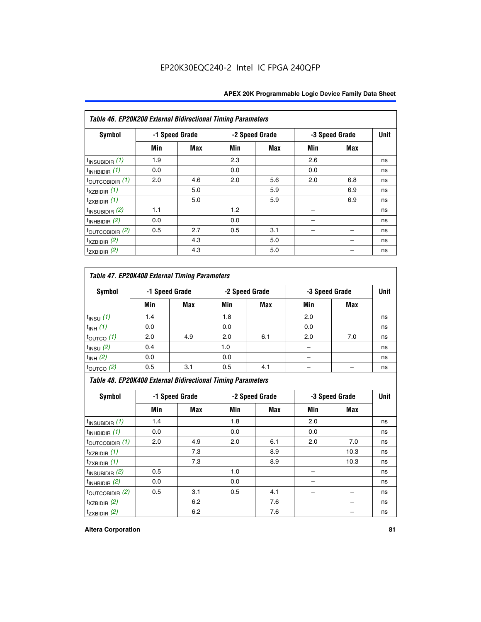|                             | Table 46. EP20K200 External Bidirectional Timing Parameters |                |     |                |     |                |             |  |  |  |  |
|-----------------------------|-------------------------------------------------------------|----------------|-----|----------------|-----|----------------|-------------|--|--|--|--|
| <b>Symbol</b>               |                                                             | -1 Speed Grade |     | -2 Speed Grade |     | -3 Speed Grade | <b>Unit</b> |  |  |  |  |
|                             | Min                                                         | Max            | Min | Max            | Min | Max            |             |  |  |  |  |
| $t_{\text{INSUBIDIR}}(1)$   | 1.9                                                         |                | 2.3 |                | 2.6 |                | ns          |  |  |  |  |
| $t_{INHBIDIR}$ (1)          | 0.0                                                         |                | 0.0 |                | 0.0 |                | ns          |  |  |  |  |
| $t_{\text{OUTCOBIDIR}}(1)$  | 2.0                                                         | 4.6            | 2.0 | 5.6            | 2.0 | 6.8            | ns          |  |  |  |  |
| $t_{XZBIDIR}$ (1)           |                                                             | 5.0            |     | 5.9            |     | 6.9            | ns          |  |  |  |  |
| $t_{ZXBIDIR}$ (1)           |                                                             | 5.0            |     | 5.9            |     | 6.9            | ns          |  |  |  |  |
| $t_{\text{INSUBIDIR}}(2)$   | 1.1                                                         |                | 1.2 |                |     |                | ns          |  |  |  |  |
| $t_{\text{INHBIDIR}}(2)$    | 0.0                                                         |                | 0.0 |                |     |                | ns          |  |  |  |  |
| $t_{\text{OUTCOBIDIR}}$ (2) | 0.5                                                         | 2.7            | 0.5 | 3.1            |     |                | ns          |  |  |  |  |
| $t_{XZBIDIR}$ $(2)$         |                                                             | 4.3            |     | 5.0            |     |                | ns          |  |  |  |  |
| $t_{ZXBIDIR}$ (2)           |                                                             | 4.3            |     | 5.0            |     |                | ns          |  |  |  |  |

### *Table 47. EP20K400 External Timing Parameters*

| Symbol                | -1 Speed Grade |            | -2 Speed Grade |            | -3 Speed Grade | <b>Unit</b> |    |
|-----------------------|----------------|------------|----------------|------------|----------------|-------------|----|
|                       | Min            | <b>Max</b> | Min            | <b>Max</b> | Min            | <b>Max</b>  |    |
| $t_{INSU}$ (1)        | 1.4            |            | 1.8            |            | 2.0            |             | ns |
| $t_{INH}$ (1)         | 0.0            |            | 0.0            |            | 0.0            |             | ns |
| $t_{\text{OUTCO}}(1)$ | 2.0            | 4.9        | 2.0            | 6.1        | 2.0            | 7.0         | ns |
| $t_{INSU}$ (2)        | 0.4            |            | 1.0            |            |                |             | ns |
| $t_{INH}$ (2)         | 0.0            |            | 0.0            |            | -              |             | ns |
| $t_{\text{OUTCO}}(2)$ | 0.5            | 3.1        | 0.5            | 4.1        |                |             | ns |

*Table 48. EP20K400 External Bidirectional Timing Parameters*

| Symbol                      | -1 Speed Grade |     |     | -2 Speed Grade |     | -3 Speed Grade | <b>Unit</b> |
|-----------------------------|----------------|-----|-----|----------------|-----|----------------|-------------|
|                             | Min            | Max | Min | Max            | Min | Max            |             |
| $t_{\text{INSUBIDIR}}(1)$   | 1.4            |     | 1.8 |                | 2.0 |                | ns          |
| $t_{INHBIDIR}$ (1)          | 0.0            |     | 0.0 |                | 0.0 |                | ns          |
| $t_{\text{OUTCOBIDIR}}(1)$  | 2.0            | 4.9 | 2.0 | 6.1            | 2.0 | 7.0            | ns          |
| $t_{XZBIDIR}$ (1)           |                | 7.3 |     | 8.9            |     | 10.3           | ns          |
| $t_{ZXBIDIR}$ (1)           |                | 7.3 |     | 8.9            |     | 10.3           | ns          |
| $t_{\text{INSUBIDIR}}(2)$   | 0.5            |     | 1.0 |                |     |                | ns          |
| $t_{INHBIDIR}$ (2)          | 0.0            |     | 0.0 |                |     |                | ns          |
| $t_{\text{OUTCOBIDIR}}$ (2) | 0.5            | 3.1 | 0.5 | 4.1            |     |                | ns          |
| $t_{XZBIDIR}$ $(2)$         |                | 6.2 |     | 7.6            |     |                | ns          |
| $t_{ZXBIDIR}$ (2)           |                | 6.2 |     | 7.6            |     |                | ns          |

#### **Altera Corporation 81**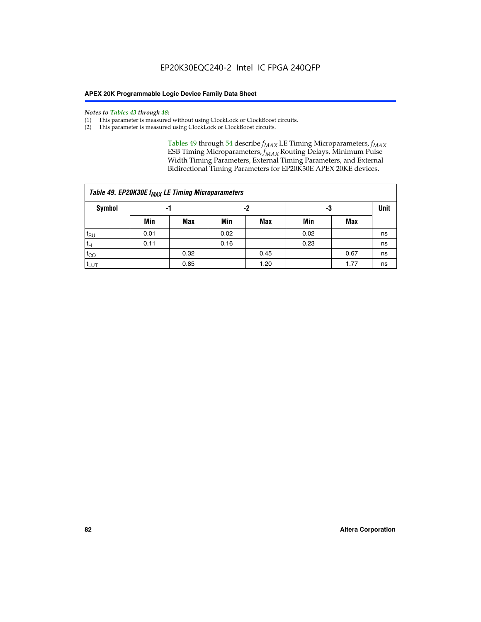#### *Notes to Tables 43 through 48:*

- (1) This parameter is measured without using ClockLock or ClockBoost circuits.
- (2) This parameter is measured using ClockLock or ClockBoost circuits.

Tables 49 through 54 describe  $f_{MAX}$  LE Timing Microparameters,  $f_{MAX}$ ESB Timing Microparameters, *f<sub>MAX</sub>* Routing Delays, Minimum Pulse Width Timing Parameters, External Timing Parameters, and External Bidirectional Timing Parameters for EP20K30E APEX 20KE devices.

| Table 49. EP20K30E f <sub>MAX</sub> LE Timing Microparameters |      |      |      |            |      |             |    |  |  |  |  |
|---------------------------------------------------------------|------|------|------|------------|------|-------------|----|--|--|--|--|
| <b>Symbol</b>                                                 |      | -1   |      | -2         | -3   | <b>Unit</b> |    |  |  |  |  |
|                                                               | Min  | Max  | Min  | <b>Max</b> | Min  | Max         |    |  |  |  |  |
| $t_{\text{SU}}$                                               | 0.01 |      | 0.02 |            | 0.02 |             | ns |  |  |  |  |
| $t_H$                                                         | 0.11 |      | 0.16 |            | 0.23 |             | ns |  |  |  |  |
| $t_{CO}$                                                      |      | 0.32 |      | 0.45       |      | 0.67        | ns |  |  |  |  |
| $t_{LUT}$                                                     |      | 0.85 |      | 1.20       |      | 1.77        | ns |  |  |  |  |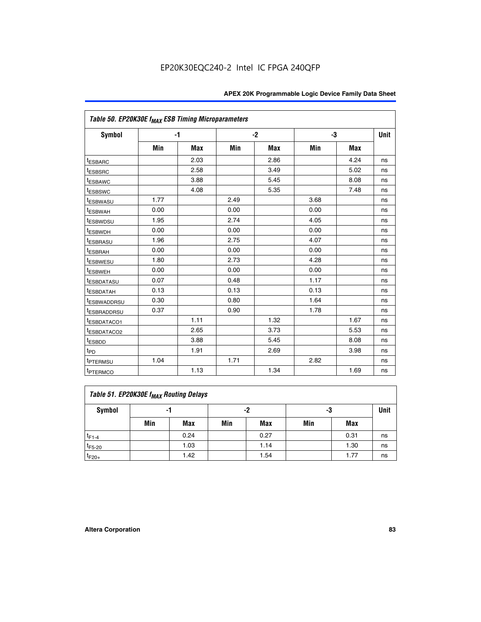| Table 50. EP20K30E f <sub>MAX</sub> ESB Timing Microparameters |      |      |      |      |      |            |             |
|----------------------------------------------------------------|------|------|------|------|------|------------|-------------|
| Symbol                                                         |      | $-1$ |      | $-2$ |      | -3         | <b>Unit</b> |
|                                                                | Min  | Max  | Min  | Max  | Min  | <b>Max</b> |             |
| <sup>t</sup> ESBARC                                            |      | 2.03 |      | 2.86 |      | 4.24       | ns          |
| <sup>t</sup> ESBSRC                                            |      | 2.58 |      | 3.49 |      | 5.02       | ns          |
| <sup>t</sup> ESBAWC                                            |      | 3.88 |      | 5.45 |      | 8.08       | ns          |
| t <sub>ESBSWC</sub>                                            |      | 4.08 |      | 5.35 |      | 7.48       | ns          |
| <sup>t</sup> ESBWASU                                           | 1.77 |      | 2.49 |      | 3.68 |            | ns          |
| <sup>t</sup> ESBWAH                                            | 0.00 |      | 0.00 |      | 0.00 |            | ns          |
| t <sub>ESBWDSU</sub>                                           | 1.95 |      | 2.74 |      | 4.05 |            | ns          |
| <sup>t</sup> ESBWDH                                            | 0.00 |      | 0.00 |      | 0.00 |            | ns          |
| <sup>t</sup> ESBRASU                                           | 1.96 |      | 2.75 |      | 4.07 |            | ns          |
| <sup>t</sup> ESBRAH                                            | 0.00 |      | 0.00 |      | 0.00 |            | ns          |
| <i>t</i> ESBWESU                                               | 1.80 |      | 2.73 |      | 4.28 |            | ns          |
| <sup>t</sup> ESBWEH                                            | 0.00 |      | 0.00 |      | 0.00 |            | ns          |
| <sup>t</sup> ESBDATASU                                         | 0.07 |      | 0.48 |      | 1.17 |            | ns          |
| <sup>t</sup> ESBDATAH                                          | 0.13 |      | 0.13 |      | 0.13 |            | ns          |
| <sup>t</sup> ESBWADDRSU                                        | 0.30 |      | 0.80 |      | 1.64 |            | ns          |
| <sup>t</sup> ESBRADDRSU                                        | 0.37 |      | 0.90 |      | 1.78 |            | ns          |
| <sup>t</sup> ESBDATACO1                                        |      | 1.11 |      | 1.32 |      | 1.67       | ns          |
| <sup>t</sup> ESBDATACO2                                        |      | 2.65 |      | 3.73 |      | 5.53       | ns          |
| t <sub>ESBDD</sub>                                             |      | 3.88 |      | 5.45 |      | 8.08       | ns          |
| t <sub>PD</sub>                                                |      | 1.91 |      | 2.69 |      | 3.98       | ns          |
| <sup>t</sup> PTERMSU                                           | 1.04 |      | 1.71 |      | 2.82 |            | ns          |
| t <sub>PTERMCO</sub>                                           |      | 1.13 |      | 1.34 |      | 1.69       | ns          |

### **Table 51. EP20K30E f<sub>MAX</sub> Routing Delays**

| Symbol      | .,  |            | -2  |            | -3  |            | Unit |
|-------------|-----|------------|-----|------------|-----|------------|------|
|             | Min | <b>Max</b> | Min | <b>Max</b> | Min | <b>Max</b> |      |
| $t_{F1-4}$  |     | 0.24       |     | 0.27       |     | 0.31       | ns   |
| $t_{F5-20}$ |     | 1.03       |     | 1.14       |     | 1.30       | ns   |
| $t_{F20+}$  |     | 1.42       |     | 1.54       |     | 1.77       | ns   |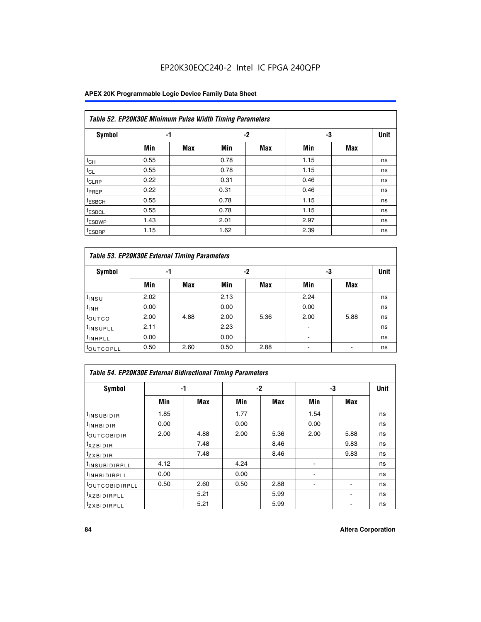### **APEX 20K Programmable Logic Device Family Data Sheet**

|                    | Table 52. EP20K30E Minimum Pulse Width Timing Parameters |            |      |            |      |     |             |  |  |  |  |  |
|--------------------|----------------------------------------------------------|------------|------|------------|------|-----|-------------|--|--|--|--|--|
| <b>Symbol</b>      | -1                                                       |            |      | $-2$       | -3   |     | <b>Unit</b> |  |  |  |  |  |
|                    | Min                                                      | <b>Max</b> | Min  | <b>Max</b> | Min  | Max |             |  |  |  |  |  |
| $t_{CH}$           | 0.55                                                     |            | 0.78 |            | 1.15 |     | ns          |  |  |  |  |  |
| $t_{CL}$           | 0.55                                                     |            | 0.78 |            | 1.15 |     | ns          |  |  |  |  |  |
| t <sub>CLRP</sub>  | 0.22                                                     |            | 0.31 |            | 0.46 |     | ns          |  |  |  |  |  |
| t <sub>PREP</sub>  | 0.22                                                     |            | 0.31 |            | 0.46 |     | ns          |  |  |  |  |  |
| <sup>t</sup> ESBCH | 0.55                                                     |            | 0.78 |            | 1.15 |     | ns          |  |  |  |  |  |
| <sup>t</sup> ESBCL | 0.55                                                     |            | 0.78 |            | 1.15 |     | ns          |  |  |  |  |  |
| <sup>t</sup> ESBWP | 1.43                                                     |            | 2.01 |            | 2.97 |     | ns          |  |  |  |  |  |
| <sup>t</sup> ESBRP | 1.15                                                     |            | 1.62 |            | 2.39 |     | ns          |  |  |  |  |  |

| Table 53. EP20K30E External Timing Parameters |      |            |      |            |                |            |             |  |  |  |  |
|-----------------------------------------------|------|------------|------|------------|----------------|------------|-------------|--|--|--|--|
| <b>Symbol</b>                                 | -1   |            |      | -2         |                | -3         | <b>Unit</b> |  |  |  |  |
|                                               | Min  | <b>Max</b> | Min  | <b>Max</b> | Min            | <b>Max</b> |             |  |  |  |  |
| $t_{INSU}$                                    | 2.02 |            | 2.13 |            | 2.24           |            | ns          |  |  |  |  |
| $t_{\rm INH}$                                 | 0.00 |            | 0.00 |            | 0.00           |            | ns          |  |  |  |  |
| <b>t</b> outco                                | 2.00 | 4.88       | 2.00 | 5.36       | 2.00           | 5.88       | ns          |  |  |  |  |
| <sup>t</sup> INSUPLL                          | 2.11 |            | 2.23 |            |                |            | ns          |  |  |  |  |
| <sup>t</sup> INHPLL                           | 0.00 |            | 0.00 |            | $\blacksquare$ |            | ns          |  |  |  |  |
| <b>LOUTCOPLL</b>                              | 0.50 | 2.60       | 0.50 | 2.88       | -              |            | ns          |  |  |  |  |

| Table 54. EP20K30E External Bidirectional Timing Parameters |      |      |      |      |                          |      |             |  |  |  |  |
|-------------------------------------------------------------|------|------|------|------|--------------------------|------|-------------|--|--|--|--|
| Symbol                                                      |      | -1   |      | $-2$ |                          | -3   | <b>Unit</b> |  |  |  |  |
|                                                             | Min  | Max  | Min  | Max  | Min                      | Max  |             |  |  |  |  |
| <sup>t</sup> INSUBIDIR                                      | 1.85 |      | 1.77 |      | 1.54                     |      | ns          |  |  |  |  |
| <b>INHBIDIR</b>                                             | 0.00 |      | 0.00 |      | 0.00                     |      | ns          |  |  |  |  |
| <b>LOUTCOBIDIR</b>                                          | 2.00 | 4.88 | 2.00 | 5.36 | 2.00                     | 5.88 | ns          |  |  |  |  |
| <sup>T</sup> XZBIDIR                                        |      | 7.48 |      | 8.46 |                          | 9.83 | ns          |  |  |  |  |
| <sup>t</sup> zxbidir                                        |      | 7.48 |      | 8.46 |                          | 9.83 | ns          |  |  |  |  |
| <sup>I</sup> INSUBIDIRPLL                                   | 4.12 |      | 4.24 |      | $\overline{\phantom{0}}$ |      | ns          |  |  |  |  |
| <b>INHBIDIRPLL</b>                                          | 0.00 |      | 0.00 |      |                          |      | ns          |  |  |  |  |
| <b><i>COUTCOBIDIRPLL</i></b>                                | 0.50 | 2.60 | 0.50 | 2.88 |                          |      | ns          |  |  |  |  |
| <sup>I</sup> XZBIDIRPLL                                     |      | 5.21 |      | 5.99 |                          |      | ns          |  |  |  |  |
| <sup>I</sup> ZXBIDIRPLL                                     |      | 5.21 |      | 5.99 |                          |      | ns          |  |  |  |  |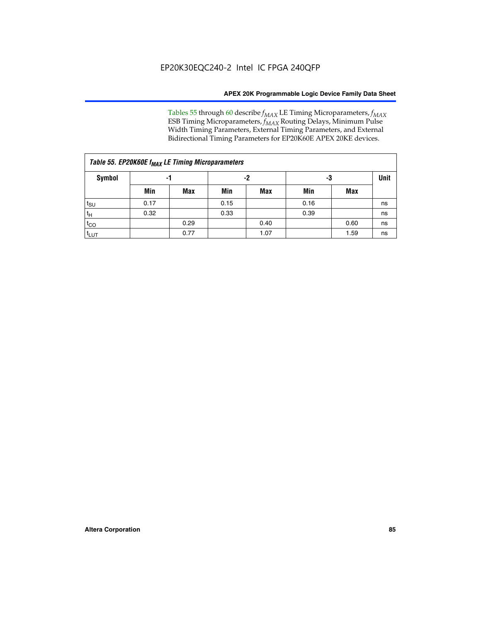Tables 55 through 60 describe *f<sub>MAX</sub>* LE Timing Microparameters, *f<sub>MAX</sub>* ESB Timing Microparameters, *f<sub>MAX</sub>* Routing Delays, Minimum Pulse Width Timing Parameters, External Timing Parameters, and External Bidirectional Timing Parameters for EP20K60E APEX 20KE devices.

| Table 55. EP20K60E f <sub>MAX</sub> LE Timing Microparameters |      |      |      |      |      |      |    |  |  |  |  |  |
|---------------------------------------------------------------|------|------|------|------|------|------|----|--|--|--|--|--|
| Symbol                                                        |      | -1   |      | -2   |      | -3   |    |  |  |  |  |  |
|                                                               | Min  | Max  | Min  | Max  | Min  | Max  |    |  |  |  |  |  |
| $t_{\text{SU}}$                                               | 0.17 |      | 0.15 |      | 0.16 |      | ns |  |  |  |  |  |
| $t_H$                                                         | 0.32 |      | 0.33 |      | 0.39 |      | ns |  |  |  |  |  |
| $t_{CO}$                                                      |      | 0.29 |      | 0.40 |      | 0.60 | ns |  |  |  |  |  |
| t <sub>lut</sub>                                              |      | 0.77 |      | 1.07 |      | 1.59 | ns |  |  |  |  |  |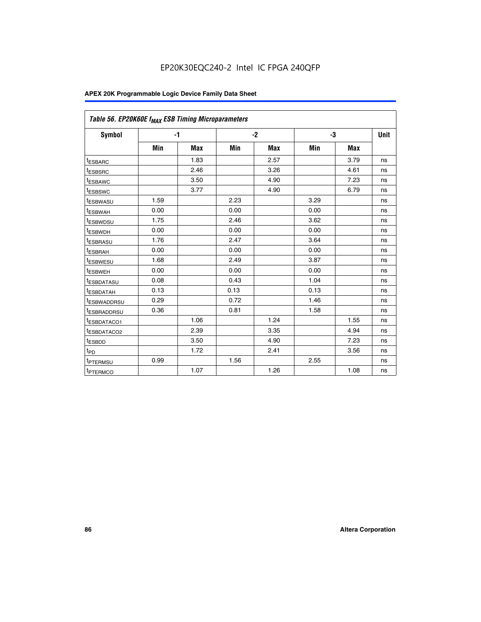| Table 56. EP20K60E f <sub>MAX</sub> ESB Timing Microparameters |      |            |      |            |      |            |             |
|----------------------------------------------------------------|------|------------|------|------------|------|------------|-------------|
| <b>Symbol</b>                                                  |      | $-1$       |      | $-2$       |      | -3         | <b>Unit</b> |
|                                                                | Min  | <b>Max</b> | Min  | <b>Max</b> | Min  | <b>Max</b> |             |
| <sup>t</sup> ESBARC                                            |      | 1.83       |      | 2.57       |      | 3.79       | ns          |
| t <sub>ESBSRC</sub>                                            |      | 2.46       |      | 3.26       |      | 4.61       | ns          |
| <sup>t</sup> ESBAWC                                            |      | 3.50       |      | 4.90       |      | 7.23       | ns          |
| <sup>t</sup> ESBSWC                                            |      | 3.77       |      | 4.90       |      | 6.79       | ns          |
| <sup>t</sup> ESBWASU                                           | 1.59 |            | 2.23 |            | 3.29 |            | ns          |
| <sup>t</sup> ESBWAH                                            | 0.00 |            | 0.00 |            | 0.00 |            | ns          |
| <sup>t</sup> ESBWDSU                                           | 1.75 |            | 2.46 |            | 3.62 |            | ns          |
| <sup>t</sup> ESBWDH                                            | 0.00 |            | 0.00 |            | 0.00 |            | ns          |
| t <sub>ESBRASU</sub>                                           | 1.76 |            | 2.47 |            | 3.64 |            | ns          |
| <sup>t</sup> ESBRAH                                            | 0.00 |            | 0.00 |            | 0.00 |            | ns          |
| <sup>t</sup> ESBWESU                                           | 1.68 |            | 2.49 |            | 3.87 |            | ns          |
| t <sub>ESBWEH</sub>                                            | 0.00 |            | 0.00 |            | 0.00 |            | ns          |
| <sup>t</sup> ESBDATASU                                         | 0.08 |            | 0.43 |            | 1.04 |            | ns          |
| <sup>t</sup> ESBDATAH                                          | 0.13 |            | 0.13 |            | 0.13 |            | ns          |
| <sup>t</sup> ESBWADDRSU                                        | 0.29 |            | 0.72 |            | 1.46 |            | ns          |
| <sup>t</sup> ESBRADDRSU                                        | 0.36 |            | 0.81 |            | 1.58 |            | ns          |
| <sup>I</sup> ESBDATACO1                                        |      | 1.06       |      | 1.24       |      | 1.55       | ns          |
| <sup>t</sup> ESBDATACO2                                        |      | 2.39       |      | 3.35       |      | 4.94       | ns          |
| <sup>t</sup> ESBDD                                             |      | 3.50       |      | 4.90       |      | 7.23       | ns          |
| t <sub>PD</sub>                                                |      | 1.72       |      | 2.41       |      | 3.56       | ns          |
| <sup>t</sup> PTERMSU                                           | 0.99 |            | 1.56 |            | 2.55 |            | ns          |
| t <sub>PTERMCO</sub>                                           |      | 1.07       |      | 1.26       |      | 1.08       | ns          |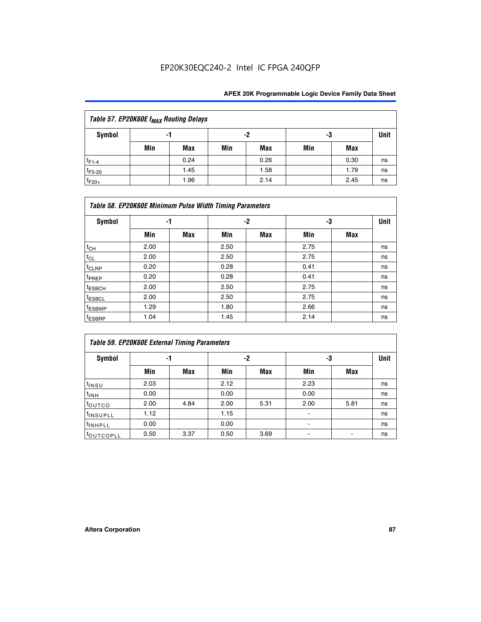| Table 57. EP20K60E f <sub>MAX</sub> Routing Delays |     |            |     |      |     |      |             |  |  |  |
|----------------------------------------------------|-----|------------|-----|------|-----|------|-------------|--|--|--|
| Symbol                                             |     | -1         |     | -2   |     | -3   | <b>Unit</b> |  |  |  |
|                                                    | Min | <b>Max</b> | Min | Max  | Min | Max  |             |  |  |  |
| $t_{F1-4}$                                         |     | 0.24       |     | 0.26 |     | 0.30 | ns          |  |  |  |
| $t_{F5-20}$                                        |     | 1.45       |     | 1.58 |     | 1.79 | ns          |  |  |  |
| $t_{F20+}$                                         |     | 1.96       |     | 2.14 |     | 2.45 | ns          |  |  |  |

| Table 58. EP20K60E Minimum Pulse Width Timing Parameters |      |            |      |     |      |     |             |  |  |  |  |
|----------------------------------------------------------|------|------------|------|-----|------|-----|-------------|--|--|--|--|
| Symbol                                                   |      | -1         |      | -2  |      | -3  | <b>Unit</b> |  |  |  |  |
|                                                          | Min  | <b>Max</b> | Min  | Max | Min  | Max |             |  |  |  |  |
| $t_{CH}$                                                 | 2.00 |            | 2.50 |     | 2.75 |     | ns          |  |  |  |  |
| $t_{CL}$                                                 | 2.00 |            | 2.50 |     | 2.75 |     | ns          |  |  |  |  |
| $t_{CLRP}$                                               | 0.20 |            | 0.28 |     | 0.41 |     | ns          |  |  |  |  |
| t <sub>PREP</sub>                                        | 0.20 |            | 0.28 |     | 0.41 |     | ns          |  |  |  |  |
| <sup>t</sup> ESBCH                                       | 2.00 |            | 2.50 |     | 2.75 |     | ns          |  |  |  |  |
| <sup>t</sup> ESBCL                                       | 2.00 |            | 2.50 |     | 2.75 |     | ns          |  |  |  |  |
| <sup>t</sup> ESBWP                                       | 1.29 |            | 1.80 |     | 2.66 |     | ns          |  |  |  |  |
| <sup>t</sup> ESBRP                                       | 1.04 |            | 1.45 |     | 2.14 |     | ns          |  |  |  |  |

| Table 59. EP20K60E External Timing Parameters |      |      |      |      |      |      |      |  |  |  |  |
|-----------------------------------------------|------|------|------|------|------|------|------|--|--|--|--|
| Symbol                                        | -1   |      |      | -2   | -3   |      | Unit |  |  |  |  |
|                                               | Min  | Max  | Min  | Max  | Min  | Max  |      |  |  |  |  |
| $t_{INSU}$                                    | 2.03 |      | 2.12 |      | 2.23 |      | ns   |  |  |  |  |
| $t_{\mathsf{INH}}$                            | 0.00 |      | 0.00 |      | 0.00 |      | ns   |  |  |  |  |
| toutco                                        | 2.00 | 4.84 | 2.00 | 5.31 | 2.00 | 5.81 | ns   |  |  |  |  |
| <sup>t</sup> INSUPLL                          | 1.12 |      | 1.15 |      |      |      | ns   |  |  |  |  |
| <sup>t</sup> INHPLL                           | 0.00 |      | 0.00 |      | ۰    |      | ns   |  |  |  |  |
| toutcopll                                     | 0.50 | 3.37 | 0.50 | 3.69 |      |      | ns   |  |  |  |  |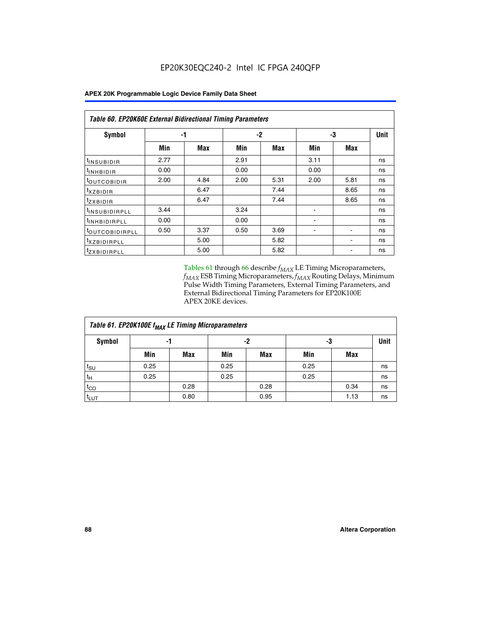| Table 60. EP20K60E External Bidirectional Timing Parameters |      |      |      |      |      |                          |      |
|-------------------------------------------------------------|------|------|------|------|------|--------------------------|------|
| Symbol                                                      |      | -1   |      | $-2$ |      | -3                       | Unit |
|                                                             | Min  | Max  | Min  | Max  | Min  | <b>Max</b>               |      |
| <sup>t</sup> INSUBIDIR                                      | 2.77 |      | 2.91 |      | 3.11 |                          | ns   |
| $t_{\rm INHBIDIR}$                                          | 0.00 |      | 0.00 |      | 0.00 |                          | ns   |
| <sup>t</sup> OUTCOBIDIR                                     | 2.00 | 4.84 | 2.00 | 5.31 | 2.00 | 5.81                     | ns   |
| $t_{XZBIDIR}$                                               |      | 6.47 |      | 7.44 |      | 8.65                     | ns   |
| $t_{Z}$ <i>x</i> BIDIR                                      |      | 6.47 |      | 7.44 |      | 8.65                     | ns   |
| <sup>t</sup> INSUBIDIRPLL                                   | 3.44 |      | 3.24 |      |      |                          | ns   |
| <sup>t</sup> INHBIDIRPLL                                    | 0.00 |      | 0.00 |      |      |                          | ns   |
| <sup>t</sup> OUTCOBIDIRPLL                                  | 0.50 | 3.37 | 0.50 | 3.69 |      | $\overline{\phantom{a}}$ | ns   |
| <sup>t</sup> XZBIDIRPLL                                     |      | 5.00 |      | 5.82 |      |                          | ns   |
| <sup>t</sup> zxbidirpll                                     |      | 5.00 |      | 5.82 |      |                          | ns   |

Tables 61 through 66 describe  $f_{MAX}$  LE Timing Microparameters, *fMAX* ESB Timing Microparameters, *fMAX* Routing Delays, Minimum Pulse Width Timing Parameters, External Timing Parameters, and External Bidirectional Timing Parameters for EP20K100E APEX 20KE devices.

| Table 61. EP20K100E f <sub>MAX</sub> LE Timing Microparameters |      |            |      |            |      |            |    |  |  |  |  |
|----------------------------------------------------------------|------|------------|------|------------|------|------------|----|--|--|--|--|
| <b>Symbol</b>                                                  |      | -1         |      | -2         |      | -3         |    |  |  |  |  |
|                                                                | Min  | <b>Max</b> | Min  | <b>Max</b> | Min  | <b>Max</b> |    |  |  |  |  |
| $t_{\text{SU}}$                                                | 0.25 |            | 0.25 |            | 0.25 |            | ns |  |  |  |  |
| tμ                                                             | 0.25 |            | 0.25 |            | 0.25 |            | ns |  |  |  |  |
| $t_{CO}$                                                       |      | 0.28       |      | 0.28       |      | 0.34       | ns |  |  |  |  |
| t <sub>LUT</sub>                                               |      | 0.80       |      | 0.95       |      | 1.13       | ns |  |  |  |  |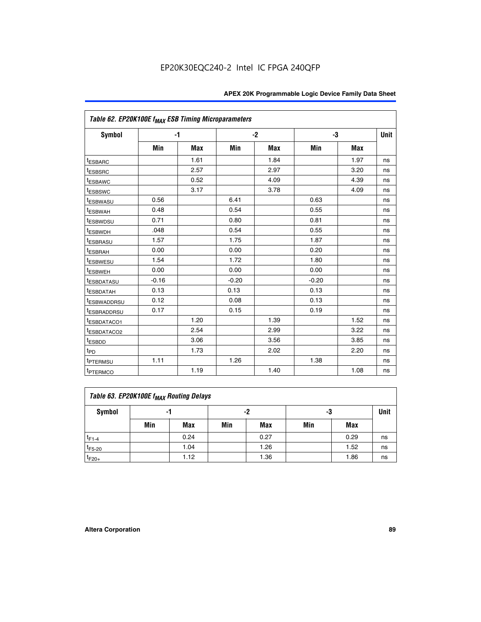| Table 62. EP20K100E f <sub>MAX</sub> ESB Timing Microparameters |         |            |         |            |         |            |             |
|-----------------------------------------------------------------|---------|------------|---------|------------|---------|------------|-------------|
| <b>Symbol</b>                                                   |         | $-1$       |         | $-2$       |         | -3         | <b>Unit</b> |
|                                                                 | Min     | <b>Max</b> | Min     | <b>Max</b> | Min     | <b>Max</b> |             |
| <sup>t</sup> ESBARC                                             |         | 1.61       |         | 1.84       |         | 1.97       | ns          |
| t <sub>ESBSRC</sub>                                             |         | 2.57       |         | 2.97       |         | 3.20       | ns          |
| <sup>t</sup> ESBAWC                                             |         | 0.52       |         | 4.09       |         | 4.39       | ns          |
| <sup>t</sup> ESBSWC                                             |         | 3.17       |         | 3.78       |         | 4.09       | ns          |
| <sup>t</sup> ESBWASU                                            | 0.56    |            | 6.41    |            | 0.63    |            | ns          |
| <b><i>ESBWAH</i></b>                                            | 0.48    |            | 0.54    |            | 0.55    |            | ns          |
| <sup>t</sup> ESBWDSU                                            | 0.71    |            | 0.80    |            | 0.81    |            | ns          |
| <sup>t</sup> ESBWDH                                             | .048    |            | 0.54    |            | 0.55    |            | ns          |
| <sup>t</sup> ESBRASU                                            | 1.57    |            | 1.75    |            | 1.87    |            | ns          |
| t <sub>ESBRAH</sub>                                             | 0.00    |            | 0.00    |            | 0.20    |            | ns          |
| t <sub>ESBWESU</sub>                                            | 1.54    |            | 1.72    |            | 1.80    |            | ns          |
| <sup>I</sup> ESBWEH                                             | 0.00    |            | 0.00    |            | 0.00    |            | ns          |
| <sup>t</sup> ESBDATASU                                          | $-0.16$ |            | $-0.20$ |            | $-0.20$ |            | ns          |
| <sup>t</sup> ESBDATAH                                           | 0.13    |            | 0.13    |            | 0.13    |            | ns          |
| <sup>t</sup> ESBWADDRSU                                         | 0.12    |            | 0.08    |            | 0.13    |            | ns          |
| <sup>t</sup> ESBRADDRSU                                         | 0.17    |            | 0.15    |            | 0.19    |            | ns          |
| ESBDATACO1                                                      |         | 1.20       |         | 1.39       |         | 1.52       | ns          |
| <sup>t</sup> ESBDATACO2                                         |         | 2.54       |         | 2.99       |         | 3.22       | ns          |
| <sup>t</sup> ESBDD                                              |         | 3.06       |         | 3.56       |         | 3.85       | ns          |
| t <sub>PD</sub>                                                 |         | 1.73       |         | 2.02       |         | 2.20       | ns          |
| t <sub>PTERMSU</sub>                                            | 1.11    |            | 1.26    |            | 1.38    |            | ns          |
| t <sub>PTERMCO</sub>                                            |         | 1.19       |         | 1.40       |         | 1.08       | ns          |

| Table 63. EP20K100E f <sub>MAX</sub> Routing Delays |                |      |     |      |     |      |    |  |  |  |  |
|-----------------------------------------------------|----------------|------|-----|------|-----|------|----|--|--|--|--|
| Symbol                                              | -2<br>-3<br>-1 |      |     |      |     |      |    |  |  |  |  |
|                                                     | Min            | Max  | Min | Max  | Min | Max  |    |  |  |  |  |
| $t_{F1-4}$                                          |                | 0.24 |     | 0.27 |     | 0.29 | ns |  |  |  |  |
| $t_{F5-20}$                                         |                | 1.04 |     | 1.26 |     | 1.52 | ns |  |  |  |  |
| $t_{F20+}$                                          |                | 1.12 |     | 1.36 |     | 1.86 | ns |  |  |  |  |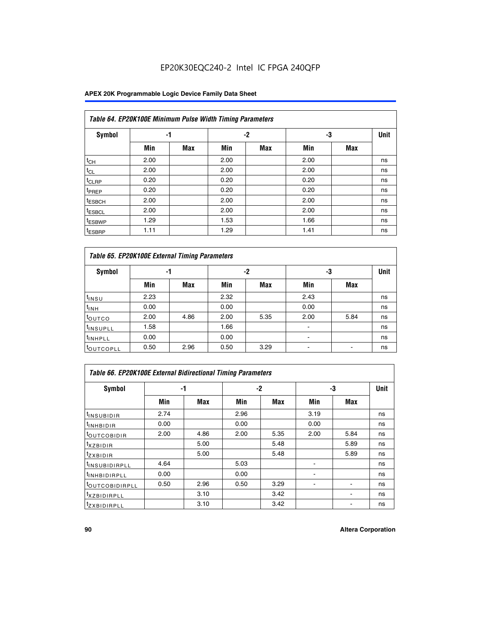### **APEX 20K Programmable Logic Device Family Data Sheet**

|                    | Table 64. EP20K100E Minimum Pulse Width Timing Parameters |            |      |      |      |     |             |  |  |  |  |  |
|--------------------|-----------------------------------------------------------|------------|------|------|------|-----|-------------|--|--|--|--|--|
| <b>Symbol</b>      | -1                                                        |            |      | $-2$ | -3   |     | <b>Unit</b> |  |  |  |  |  |
|                    | Min                                                       | <b>Max</b> | Min  | Max  | Min  | Max |             |  |  |  |  |  |
| $t_{CH}$           | 2.00                                                      |            | 2.00 |      | 2.00 |     | ns          |  |  |  |  |  |
| $t_{CL}$           | 2.00                                                      |            | 2.00 |      | 2.00 |     | ns          |  |  |  |  |  |
| <sup>t</sup> CLRP  | 0.20                                                      |            | 0.20 |      | 0.20 |     | ns          |  |  |  |  |  |
| <sup>t</sup> PREP  | 0.20                                                      |            | 0.20 |      | 0.20 |     | ns          |  |  |  |  |  |
| <sup>t</sup> ESBCH | 2.00                                                      |            | 2.00 |      | 2.00 |     | ns          |  |  |  |  |  |
| <sup>t</sup> ESBCL | 2.00                                                      |            | 2.00 |      | 2.00 |     | ns          |  |  |  |  |  |
| <sup>t</sup> ESBWP | 1.29                                                      |            | 1.53 |      | 1.66 |     | ns          |  |  |  |  |  |
| <sup>t</sup> ESBRP | 1.11                                                      |            | 1.29 |      | 1.41 |     | ns          |  |  |  |  |  |

|                      | Table 65. EP20K100E External Timing Parameters |            |      |            |                          |            |             |  |  |  |  |  |
|----------------------|------------------------------------------------|------------|------|------------|--------------------------|------------|-------------|--|--|--|--|--|
| <b>Symbol</b>        | -1                                             |            |      | -2         | -3                       |            | <b>Unit</b> |  |  |  |  |  |
|                      | Min                                            | <b>Max</b> | Min  | <b>Max</b> | Min                      | <b>Max</b> |             |  |  |  |  |  |
| t <sub>INSU</sub>    | 2.23                                           |            | 2.32 |            | 2.43                     |            | ns          |  |  |  |  |  |
| $t_{\rm INH}$        | 0.00                                           |            | 0.00 |            | 0.00                     |            | ns          |  |  |  |  |  |
| toutco               | 2.00                                           | 4.86       | 2.00 | 5.35       | 2.00                     | 5.84       | ns          |  |  |  |  |  |
| <sup>t</sup> INSUPLL | 1.58                                           |            | 1.66 |            |                          |            | ns          |  |  |  |  |  |
| <sup>t</sup> INHPLL  | 0.00                                           |            | 0.00 |            | $\overline{\phantom{a}}$ |            | ns          |  |  |  |  |  |
| <b>LOUTCOPLL</b>     | 0.50                                           | 2.96       | 0.50 | 3.29       | -                        |            | ns          |  |  |  |  |  |

|                              | Table 66. EP20K100E External Bidirectional Timing Parameters |      |      |      |      |            |      |  |  |  |  |
|------------------------------|--------------------------------------------------------------|------|------|------|------|------------|------|--|--|--|--|
| Symbol                       |                                                              | -1   |      | $-2$ |      | -3         | Unit |  |  |  |  |
|                              | Min                                                          | Max  | Min  | Max  | Min  | <b>Max</b> |      |  |  |  |  |
| <sup>t</sup> INSUBIDIR       | 2.74                                                         |      | 2.96 |      | 3.19 |            | ns   |  |  |  |  |
| <b>TINHBIDIR</b>             | 0.00                                                         |      | 0.00 |      | 0.00 |            | ns   |  |  |  |  |
| <b>LOUTCOBIDIR</b>           | 2.00                                                         | 4.86 | 2.00 | 5.35 | 2.00 | 5.84       | ns   |  |  |  |  |
| <sup>T</sup> XZBIDIR         |                                                              | 5.00 |      | 5.48 |      | 5.89       | ns   |  |  |  |  |
| $I_{Z}$ XBIDIR               |                                                              | 5.00 |      | 5.48 |      | 5.89       | ns   |  |  |  |  |
| <sup>t</sup> INSUBIDIRPLL    | 4.64                                                         |      | 5.03 |      |      |            | ns   |  |  |  |  |
| <sup>I</sup> INHBIDIRPLL     | 0.00                                                         |      | 0.00 |      |      |            | ns   |  |  |  |  |
| <b><i>COUTCOBIDIRPLL</i></b> | 0.50                                                         | 2.96 | 0.50 | 3.29 |      |            | ns   |  |  |  |  |
| <sup>I</sup> XZBIDIRPLL      |                                                              | 3.10 |      | 3.42 |      |            | ns   |  |  |  |  |
| <sup>I</sup> ZXBIDIRPLL      |                                                              | 3.10 |      | 3.42 |      |            | ns   |  |  |  |  |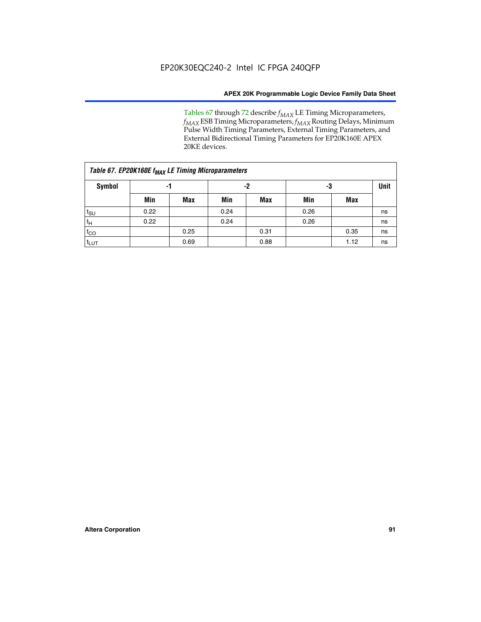Tables 67 through 72 describe *f<sub>MAX</sub>* LE Timing Microparameters, *f<sub>MAX</sub>* ESB Timing Microparameters, *f<sub>MAX</sub>* Routing Delays, Minimum Pulse Width Timing Parameters, External Timing Parameters, and External Bidirectional Timing Parameters for EP20K160E APEX 20KE devices.

| Table 67. EP20K160E f <sub>MAX</sub> LE Timing Microparameters |      |      |      |            |      |             |    |  |  |  |  |
|----------------------------------------------------------------|------|------|------|------------|------|-------------|----|--|--|--|--|
| <b>Symbol</b>                                                  |      | -1   |      | -2         | -3   | <b>Unit</b> |    |  |  |  |  |
|                                                                | Min  | Max  | Min  | <b>Max</b> | Min  | Max         |    |  |  |  |  |
| $t_{\text{SU}}$                                                | 0.22 |      | 0.24 |            | 0.26 |             | ns |  |  |  |  |
| $t_H$                                                          | 0.22 |      | 0.24 |            | 0.26 |             | ns |  |  |  |  |
| $t_{CO}$                                                       |      | 0.25 |      | 0.31       |      | 0.35        | ns |  |  |  |  |
| t <sub>lut</sub>                                               |      | 0.69 |      | 0.88       |      | 1.12        | ns |  |  |  |  |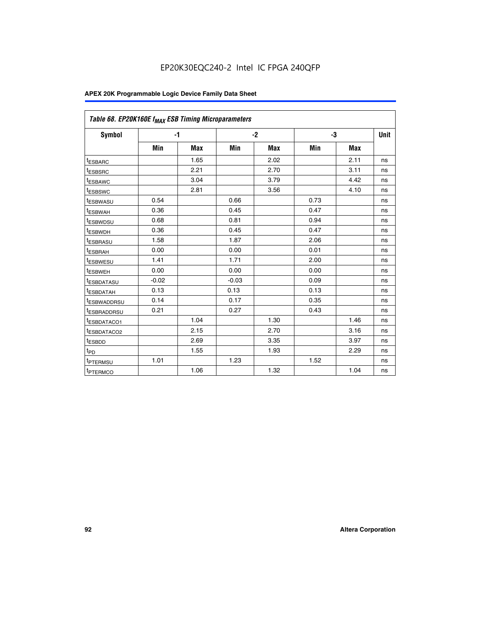| Table 68. EP20K160E f <sub>MAX</sub> ESB Timing Microparameters |         |            |         |            |      |            |      |
|-----------------------------------------------------------------|---------|------------|---------|------------|------|------------|------|
| <b>Symbol</b>                                                   | $-1$    |            |         | $-2$       |      | -3         | Unit |
|                                                                 | Min     | <b>Max</b> | Min     | <b>Max</b> | Min  | <b>Max</b> |      |
| <sup>t</sup> ESBARC                                             |         | 1.65       |         | 2.02       |      | 2.11       | ns   |
| <sup>t</sup> ESBSRC                                             |         | 2.21       |         | 2.70       |      | 3.11       | ns   |
| <sup>t</sup> ESBAWC                                             |         | 3.04       |         | 3.79       |      | 4.42       | ns   |
| <sup>T</sup> ESBSWC                                             |         | 2.81       |         | 3.56       |      | 4.10       | ns   |
| <sup>T</sup> ESBWASU                                            | 0.54    |            | 0.66    |            | 0.73 |            | ns   |
| <sup>t</sup> ESBWAH                                             | 0.36    |            | 0.45    |            | 0.47 |            | ns   |
| <sup>T</sup> ESBWDSU                                            | 0.68    |            | 0.81    |            | 0.94 |            | ns   |
| t <sub>ESBWDH</sub>                                             | 0.36    |            | 0.45    |            | 0.47 |            | ns   |
| <sup>t</sup> ESBRASU                                            | 1.58    |            | 1.87    |            | 2.06 |            | ns   |
| <sup>t</sup> ESBRAH                                             | 0.00    |            | 0.00    |            | 0.01 |            | ns   |
| <sup>t</sup> ESBWESU                                            | 1.41    |            | 1.71    |            | 2.00 |            | ns   |
| <sup>t</sup> ESBWEH                                             | 0.00    |            | 0.00    |            | 0.00 |            | ns   |
| <sup>t</sup> ESBDATASU                                          | $-0.02$ |            | $-0.03$ |            | 0.09 |            | ns   |
| <sup>I</sup> ESBDATAH                                           | 0.13    |            | 0.13    |            | 0.13 |            | ns   |
| <sup>t</sup> ESBWADDRSU                                         | 0.14    |            | 0.17    |            | 0.35 |            | ns   |
| <sup>t</sup> ESBRADDRSU                                         | 0.21    |            | 0.27    |            | 0.43 |            | ns   |
| <sup>t</sup> ESBDATACO1                                         |         | 1.04       |         | 1.30       |      | 1.46       | ns   |
| <sup>t</sup> ESBDATACO2                                         |         | 2.15       |         | 2.70       |      | 3.16       | ns   |
| <sup>t</sup> ESBDD                                              |         | 2.69       |         | 3.35       |      | 3.97       | ns   |
| t <sub>PD</sub>                                                 |         | 1.55       |         | 1.93       |      | 2.29       | ns   |
| <b>TPTERMSU</b>                                                 | 1.01    |            | 1.23    |            | 1.52 |            | ns   |
| t <sub>PTERMCO</sub>                                            |         | 1.06       |         | 1.32       |      | 1.04       | ns   |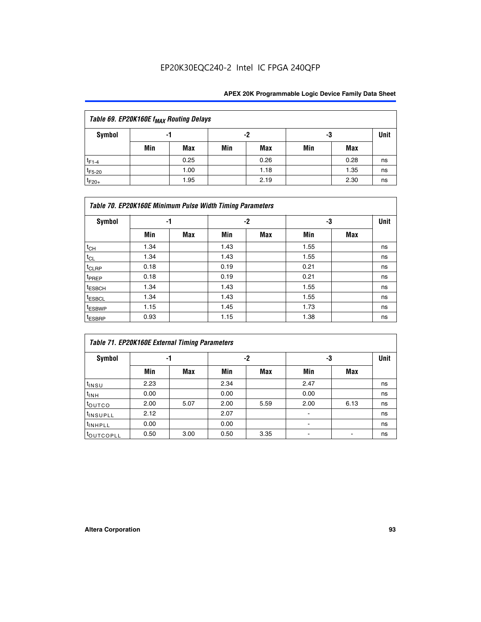| Table 69. EP20K160E f <sub>MAX</sub> Routing Delays |                |            |     |            |     |      |    |  |  |  |
|-----------------------------------------------------|----------------|------------|-----|------------|-----|------|----|--|--|--|
| Symbol                                              | -2<br>-3<br>-1 |            |     |            |     |      |    |  |  |  |
|                                                     | Min            | <b>Max</b> | Min | <b>Max</b> | Min | Max  |    |  |  |  |
| $t_{F1-4}$                                          |                | 0.25       |     | 0.26       |     | 0.28 | ns |  |  |  |
| $t_{F5-20}$                                         |                | 1.00       |     | 1.18       |     | 1.35 | ns |  |  |  |
| $t_{F20+}$                                          |                | 1.95       |     | 2.19       |     | 2.30 | ns |  |  |  |

| Table 70. EP20K160E Minimum Pulse Width Timing Parameters |      |            |      |            |      |     |             |  |  |  |
|-----------------------------------------------------------|------|------------|------|------------|------|-----|-------------|--|--|--|
| <b>Symbol</b>                                             | -1   |            |      | -2         |      | -3  | <b>Unit</b> |  |  |  |
|                                                           | Min  | <b>Max</b> | Min  | <b>Max</b> | Min  | Max |             |  |  |  |
| $t_{CH}$                                                  | 1.34 |            | 1.43 |            | 1.55 |     | ns          |  |  |  |
| $t_{CL}$                                                  | 1.34 |            | 1.43 |            | 1.55 |     | ns          |  |  |  |
| $t_{CLRP}$                                                | 0.18 |            | 0.19 |            | 0.21 |     | ns          |  |  |  |
| t <sub>PREP</sub>                                         | 0.18 |            | 0.19 |            | 0.21 |     | ns          |  |  |  |
| <sup>t</sup> ESBCH                                        | 1.34 |            | 1.43 |            | 1.55 |     | ns          |  |  |  |
| <sup>t</sup> ESBCL                                        | 1.34 |            | 1.43 |            | 1.55 |     | ns          |  |  |  |
| <sup>t</sup> ESBWP                                        | 1.15 |            | 1.45 |            | 1.73 |     | ns          |  |  |  |
| <sup>t</sup> ESBRP                                        | 0.93 |            | 1.15 |            | 1.38 |     | ns          |  |  |  |

|                      | Table 71. EP20K160E External Timing Parameters |      |      |      |      |      |      |  |  |  |  |  |
|----------------------|------------------------------------------------|------|------|------|------|------|------|--|--|--|--|--|
| Symbol               | -1                                             |      |      | -2   | -3   |      | Unit |  |  |  |  |  |
|                      | Min                                            | Max  | Min  | Max  | Min  | Max  |      |  |  |  |  |  |
| $t_{INSU}$           | 2.23                                           |      | 2.34 |      | 2.47 |      | ns   |  |  |  |  |  |
| $t_{INH}$            | 0.00                                           |      | 0.00 |      | 0.00 |      | ns   |  |  |  |  |  |
| toutco               | 2.00                                           | 5.07 | 2.00 | 5.59 | 2.00 | 6.13 | ns   |  |  |  |  |  |
| <sup>t</sup> INSUPLL | 2.12                                           |      | 2.07 |      | ۰    |      | ns   |  |  |  |  |  |
| <sup>t</sup> INHPLL  | 0.00                                           |      | 0.00 |      | ۰    |      | ns   |  |  |  |  |  |
| toutcopll            | 0.50                                           | 3.00 | 0.50 | 3.35 |      |      | ns   |  |  |  |  |  |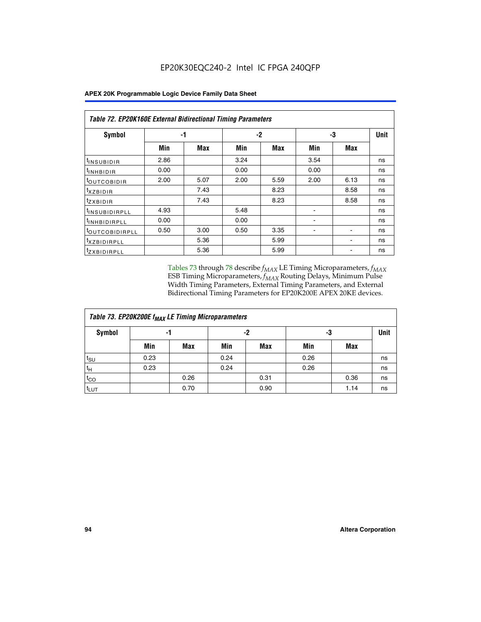| Symbol                       | -1   |      |      | $-2$ | -3   | <b>Unit</b> |    |
|------------------------------|------|------|------|------|------|-------------|----|
|                              | Min  | Max  | Min  | Max  | Min  | Max         |    |
| <sup>t</sup> INSUBIDIR       | 2.86 |      | 3.24 |      | 3.54 |             | ns |
| <b>UNHBIDIR</b>              | 0.00 |      | 0.00 |      | 0.00 |             | ns |
| <b>LOUTCOBIDIR</b>           | 2.00 | 5.07 | 2.00 | 5.59 | 2.00 | 6.13        | ns |
| <sup>T</sup> XZBIDIR         |      | 7.43 |      | 8.23 |      | 8.58        | ns |
| <sup>t</sup> zxbidir         |      | 7.43 |      | 8.23 |      | 8.58        | ns |
| <sup>I</sup> INSUBIDIRPLL    | 4.93 |      | 5.48 |      |      |             | ns |
| <b>INHBIDIRPLL</b>           | 0.00 |      | 0.00 |      |      |             | ns |
| <b><i>LOUTCOBIDIRPLL</i></b> | 0.50 | 3.00 | 0.50 | 3.35 |      |             | ns |
| <sup>I</sup> XZBIDIRPLL      |      | 5.36 |      | 5.99 |      |             | ns |
| <sup>t</sup> ZXBIDIRPLL      |      | 5.36 |      | 5.99 |      |             | ns |

Tables 73 through 78 describe  $f_{MAX}$  LE Timing Microparameters,  $f_{MAX}$ ESB Timing Microparameters, *f<sub>MAX</sub>* Routing Delays, Minimum Pulse Width Timing Parameters, External Timing Parameters, and External Bidirectional Timing Parameters for EP20K200E APEX 20KE devices.

| Table 73. EP20K200E f <sub>MAX</sub> LE Timing Microparameters |      |      |      |      |      |      |    |  |  |  |  |
|----------------------------------------------------------------|------|------|------|------|------|------|----|--|--|--|--|
| <b>Symbol</b>                                                  |      | -1   |      | -2   | -3   | Unit |    |  |  |  |  |
|                                                                | Min  | Max  | Min  | Max  | Min  | Max  |    |  |  |  |  |
| $t_{\text{SU}}$                                                | 0.23 |      | 0.24 |      | 0.26 |      | ns |  |  |  |  |
| tμ                                                             | 0.23 |      | 0.24 |      | 0.26 |      | ns |  |  |  |  |
| $t_{CO}$                                                       |      | 0.26 |      | 0.31 |      | 0.36 | ns |  |  |  |  |
| t <sub>LUT</sub>                                               |      | 0.70 |      | 0.90 |      | 1.14 | ns |  |  |  |  |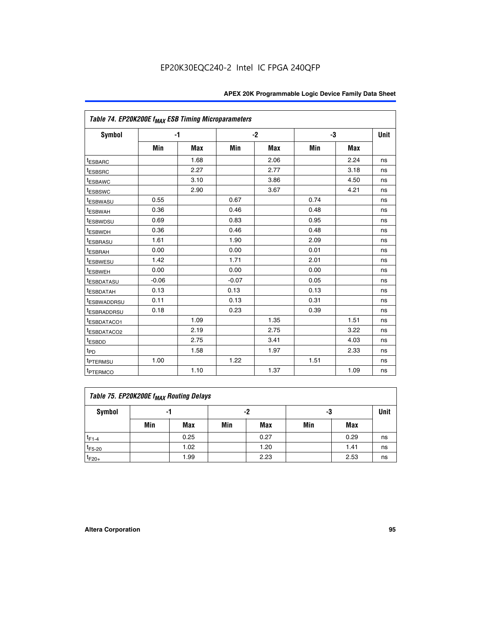| Table 74. EP20K200E f <sub>MAX</sub> ESB Timing Microparameters |         |      |         |            |      |            |             |
|-----------------------------------------------------------------|---------|------|---------|------------|------|------------|-------------|
| Symbol                                                          |         | $-1$ |         | $-2$       | -3   |            | <b>Unit</b> |
|                                                                 | Min     | Max  | Min     | <b>Max</b> | Min  | <b>Max</b> |             |
| <sup>t</sup> ESBARC                                             |         | 1.68 |         | 2.06       |      | 2.24       | ns          |
| t <sub>ESBSRC</sub>                                             |         | 2.27 |         | 2.77       |      | 3.18       | ns          |
| <sup>t</sup> ESBAWC                                             |         | 3.10 |         | 3.86       |      | 4.50       | ns          |
| <sup>t</sup> ESBSWC                                             |         | 2.90 |         | 3.67       |      | 4.21       | ns          |
| <sup>t</sup> ESBWASU                                            | 0.55    |      | 0.67    |            | 0.74 |            | ns          |
| <b><i>ESBWAH</i></b>                                            | 0.36    |      | 0.46    |            | 0.48 |            | ns          |
| <sup>t</sup> ESBWDSU                                            | 0.69    |      | 0.83    |            | 0.95 |            | ns          |
| <sup>t</sup> ESBWDH                                             | 0.36    |      | 0.46    |            | 0.48 |            | ns          |
| <sup>t</sup> ESBRASU                                            | 1.61    |      | 1.90    |            | 2.09 |            | ns          |
| <sup>t</sup> ESBRAH                                             | 0.00    |      | 0.00    |            | 0.01 |            | ns          |
| <i>t</i> <sub>ESBWESU</sub>                                     | 1.42    |      | 1.71    |            | 2.01 |            | ns          |
| <sup>I</sup> ESBWEH                                             | 0.00    |      | 0.00    |            | 0.00 |            | ns          |
| t <sub>ESBDATASU</sub>                                          | $-0.06$ |      | $-0.07$ |            | 0.05 |            | ns          |
| <sup>t</sup> ESBDATAH                                           | 0.13    |      | 0.13    |            | 0.13 |            | ns          |
| <sup>t</sup> ESBWADDRSU                                         | 0.11    |      | 0.13    |            | 0.31 |            | ns          |
| <sup>t</sup> ESBRADDRSU                                         | 0.18    |      | 0.23    |            | 0.39 |            | ns          |
| ESBDATACO1                                                      |         | 1.09 |         | 1.35       |      | 1.51       | ns          |
| <sup>t</sup> ESBDATACO2                                         |         | 2.19 |         | 2.75       |      | 3.22       | ns          |
| t <sub>ESBDD</sub>                                              |         | 2.75 |         | 3.41       |      | 4.03       | ns          |
| t <sub>PD</sub>                                                 |         | 1.58 |         | 1.97       |      | 2.33       | ns          |
| t <sub>PTERMSU</sub>                                            | 1.00    |      | 1.22    |            | 1.51 |            | ns          |
| t <sub>PTERMCO</sub>                                            |         | 1.10 |         | 1.37       |      | 1.09       | ns          |

| Table 75. EP20K200E f <sub>MAX</sub> Routing Delays |                |      |     |      |     |      |    |  |  |  |
|-----------------------------------------------------|----------------|------|-----|------|-----|------|----|--|--|--|
| Symbol                                              | -2<br>-3<br>-1 |      |     |      |     |      |    |  |  |  |
|                                                     | Min            | Max  | Min | Max  | Min | Max  |    |  |  |  |
| $t_{F1-4}$                                          |                | 0.25 |     | 0.27 |     | 0.29 | ns |  |  |  |
| $t_{F5-20}$                                         |                | 1.02 |     | 1.20 |     | 1.41 | ns |  |  |  |
| $t_{F20+}$                                          |                | 1.99 |     | 2.23 |     | 2.53 | ns |  |  |  |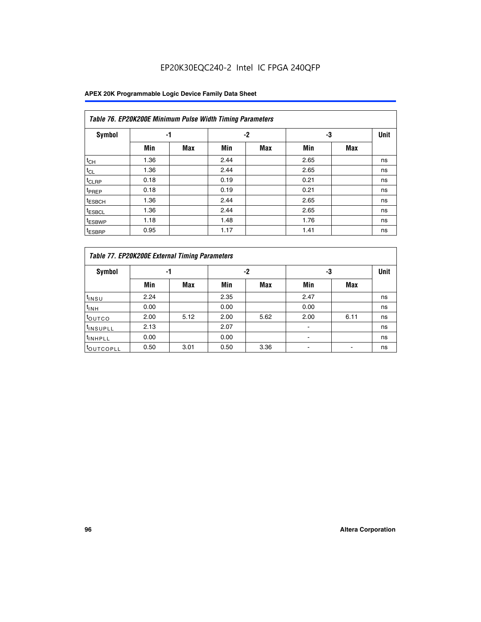|                    | Table 76. EP20K200E Minimum Pulse Width Timing Parameters |            |      |      |      |     |             |  |  |  |  |
|--------------------|-----------------------------------------------------------|------------|------|------|------|-----|-------------|--|--|--|--|
| <b>Symbol</b>      | -1                                                        |            |      | $-2$ | -3   |     | <b>Unit</b> |  |  |  |  |
|                    | Min                                                       | <b>Max</b> | Min  | Max  | Min  | Max |             |  |  |  |  |
| $t_{CH}$           | 1.36                                                      |            | 2.44 |      | 2.65 |     | ns          |  |  |  |  |
| $t_{CL}$           | 1.36                                                      |            | 2.44 |      | 2.65 |     | ns          |  |  |  |  |
| t <sub>CLRP</sub>  | 0.18                                                      |            | 0.19 |      | 0.21 |     | ns          |  |  |  |  |
| <sup>t</sup> PREP  | 0.18                                                      |            | 0.19 |      | 0.21 |     | ns          |  |  |  |  |
| <sup>t</sup> ESBCH | 1.36                                                      |            | 2.44 |      | 2.65 |     | ns          |  |  |  |  |
| <sup>t</sup> ESBCL | 1.36                                                      |            | 2.44 |      | 2.65 |     | ns          |  |  |  |  |
| <sup>t</sup> ESBWP | 1.18                                                      |            | 1.48 |      | 1.76 |     | ns          |  |  |  |  |
| <sup>t</sup> ESBRP | 0.95                                                      |            | 1.17 |      | 1.41 |     | ns          |  |  |  |  |

|                      | Table 77. EP20K200E External Timing Parameters |      |      |      |      |      |      |  |  |  |  |  |
|----------------------|------------------------------------------------|------|------|------|------|------|------|--|--|--|--|--|
| Symbol               |                                                | -1   |      | $-2$ | -3   |      | Unit |  |  |  |  |  |
|                      | Min                                            | Max  | Min  | Max  | Min  | Max  |      |  |  |  |  |  |
| <sup>t</sup> insu    | 2.24                                           |      | 2.35 |      | 2.47 |      | ns   |  |  |  |  |  |
| $t_{\rm INH}$        | 0.00                                           |      | 0.00 |      | 0.00 |      | ns   |  |  |  |  |  |
| toutco               | 2.00                                           | 5.12 | 2.00 | 5.62 | 2.00 | 6.11 | ns   |  |  |  |  |  |
| <sup>t</sup> INSUPLL | 2.13                                           |      | 2.07 |      |      |      | ns   |  |  |  |  |  |
| <sup>t</sup> INHPLL  | 0.00                                           |      | 0.00 |      | -    |      | ns   |  |  |  |  |  |
| <b>LOUTCOPLL</b>     | 0.50                                           | 3.01 | 0.50 | 3.36 |      |      | ns   |  |  |  |  |  |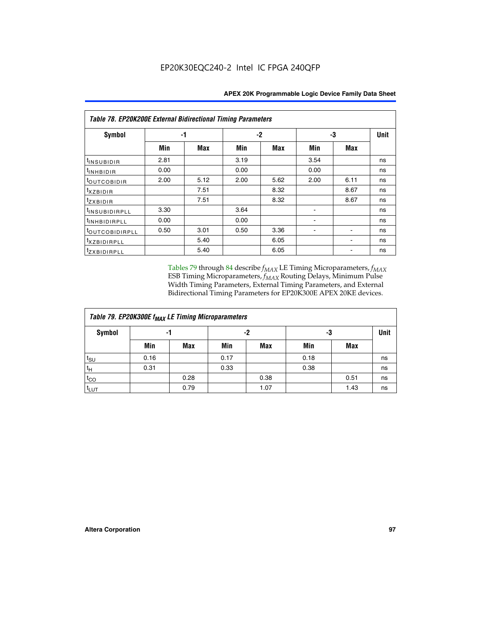|                           | <b>Table 78. EP20K200E External Bidirectional Timing Parameters</b> |      |      |            |      |      |             |  |  |  |  |  |
|---------------------------|---------------------------------------------------------------------|------|------|------------|------|------|-------------|--|--|--|--|--|
| Symbol                    |                                                                     | -1   |      | -3<br>$-2$ |      |      | <b>Unit</b> |  |  |  |  |  |
|                           | Min                                                                 | Max  | Min  | Max        | Min  | Max  |             |  |  |  |  |  |
| t <sub>INSUBIDIR</sub>    | 2.81                                                                |      | 3.19 |            | 3.54 |      | ns          |  |  |  |  |  |
| <sup>t</sup> INHBIDIR     | 0.00                                                                |      | 0.00 |            | 0.00 |      | ns          |  |  |  |  |  |
| toutcobidir               | 2.00                                                                | 5.12 | 2.00 | 5.62       | 2.00 | 6.11 | ns          |  |  |  |  |  |
| <i>txzbidir</i>           |                                                                     | 7.51 |      | 8.32       |      | 8.67 | ns          |  |  |  |  |  |
| tzxbidir                  |                                                                     | 7.51 |      | 8.32       |      | 8.67 | ns          |  |  |  |  |  |
| <sup>t</sup> INSUBIDIRPLL | 3.30                                                                |      | 3.64 |            |      |      | ns          |  |  |  |  |  |
| tINHBIDIRPLL              | 0.00                                                                |      | 0.00 |            |      |      | ns          |  |  |  |  |  |
| toutcobidirpll            | 0.50                                                                | 3.01 | 0.50 | 3.36       |      |      | ns          |  |  |  |  |  |
| <i>txzBIDIRPLL</i>        |                                                                     | 5.40 |      | 6.05       |      |      | ns          |  |  |  |  |  |
| tzxBIDIRPLL               |                                                                     | 5.40 |      | 6.05       |      |      | ns          |  |  |  |  |  |

Tables 79 through 84 describe  $f_{MAX}$  LE Timing Microparameters,  $f_{MAX}$ ESB Timing Microparameters, *f<sub>MAX</sub>* Routing Delays, Minimum Pulse Width Timing Parameters, External Timing Parameters, and External Bidirectional Timing Parameters for EP20K300E APEX 20KE devices.

| Table 79. EP20K300E f <sub>MAX</sub> LE Timing Microparameters |      |            |      |      |      |      |      |  |  |  |  |
|----------------------------------------------------------------|------|------------|------|------|------|------|------|--|--|--|--|
| <b>Symbol</b>                                                  |      | -1         |      | -2   |      | -3   | Unit |  |  |  |  |
|                                                                | Min  | <b>Max</b> | Min  | Max  | Min  | Max  |      |  |  |  |  |
| $t_{\text{SU}}$                                                | 0.16 |            | 0.17 |      | 0.18 |      | ns   |  |  |  |  |
| $t_H$                                                          | 0.31 |            | 0.33 |      | 0.38 |      | ns   |  |  |  |  |
| $t_{CO}$                                                       |      | 0.28       |      | 0.38 |      | 0.51 | ns   |  |  |  |  |
| $t_{LUT}$                                                      |      | 0.79       |      | 1.07 |      | 1.43 | ns   |  |  |  |  |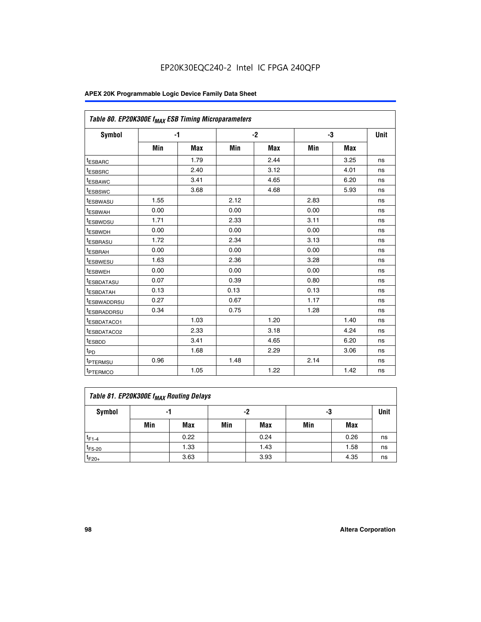| Table 80. EP20K300E f <sub>MAX</sub> ESB Timing Microparameters |      |      |      |      |      |      |      |
|-----------------------------------------------------------------|------|------|------|------|------|------|------|
| <b>Symbol</b>                                                   |      | $-1$ |      | $-2$ |      | -3   | Unit |
|                                                                 | Min  | Max  | Min  | Max  | Min  | Max  |      |
| <sup>t</sup> ESBARC                                             |      | 1.79 |      | 2.44 |      | 3.25 | ns   |
| t <sub>ESBSRC</sub>                                             |      | 2.40 |      | 3.12 |      | 4.01 | ns   |
| t <sub>ESBAWC</sub>                                             |      | 3.41 |      | 4.65 |      | 6.20 | ns   |
| <sup>t</sup> ESBSWC                                             |      | 3.68 |      | 4.68 |      | 5.93 | ns   |
| t <sub>ESBWASU</sub>                                            | 1.55 |      | 2.12 |      | 2.83 |      | ns   |
| t <sub>ESBWAH</sub>                                             | 0.00 |      | 0.00 |      | 0.00 |      | ns   |
| <sup>t</sup> ESBWDSU                                            | 1.71 |      | 2.33 |      | 3.11 |      | ns   |
| <sup>t</sup> ESBWDH                                             | 0.00 |      | 0.00 |      | 0.00 |      | ns   |
| t <sub>ESBRASU</sub>                                            | 1.72 |      | 2.34 |      | 3.13 |      | ns   |
| <sup>t</sup> ESBRAH                                             | 0.00 |      | 0.00 |      | 0.00 |      | ns   |
| t <sub>ESBWESU</sub>                                            | 1.63 |      | 2.36 |      | 3.28 |      | ns   |
| <sup>t</sup> ESBWEH                                             | 0.00 |      | 0.00 |      | 0.00 |      | ns   |
| <sup>t</sup> ESBDATASU                                          | 0.07 |      | 0.39 |      | 0.80 |      | ns   |
| <sup>t</sup> ESBDATAH                                           | 0.13 |      | 0.13 |      | 0.13 |      | ns   |
| <sup>t</sup> ESBWADDRSU                                         | 0.27 |      | 0.67 |      | 1.17 |      | ns   |
| tESBRADDRSU                                                     | 0.34 |      | 0.75 |      | 1.28 |      | ns   |
| <sup>I</sup> ESBDATACO1                                         |      | 1.03 |      | 1.20 |      | 1.40 | ns   |
| <sup>t</sup> ESBDATACO2                                         |      | 2.33 |      | 3.18 |      | 4.24 | ns   |
| <sup>t</sup> ESBDD                                              |      | 3.41 |      | 4.65 |      | 6.20 | ns   |
| t <sub>PD</sub>                                                 |      | 1.68 |      | 2.29 |      | 3.06 | ns   |
| t <sub>PTERMSU</sub>                                            | 0.96 |      | 1.48 |      | 2.14 |      | ns   |
| t <sub>PTERMCO</sub>                                            |      | 1.05 |      | 1.22 |      | 1.42 | ns   |

| Table 81. EP20K300E f <sub>MAX</sub> Routing Delays |     |      |     |            |     |      |    |  |  |  |  |
|-----------------------------------------------------|-----|------|-----|------------|-----|------|----|--|--|--|--|
| Symbol                                              |     | -1   |     | -2         |     | -3   |    |  |  |  |  |
|                                                     | Min | Max  | Min | <b>Max</b> | Min | Max  |    |  |  |  |  |
| $t_{F1-4}$                                          |     | 0.22 |     | 0.24       |     | 0.26 | ns |  |  |  |  |
| $t_{F5-20}$                                         |     | 1.33 |     | 1.43       |     | 1.58 | ns |  |  |  |  |
| $t_{F20+}$                                          |     | 3.63 |     | 3.93       |     | 4.35 | ns |  |  |  |  |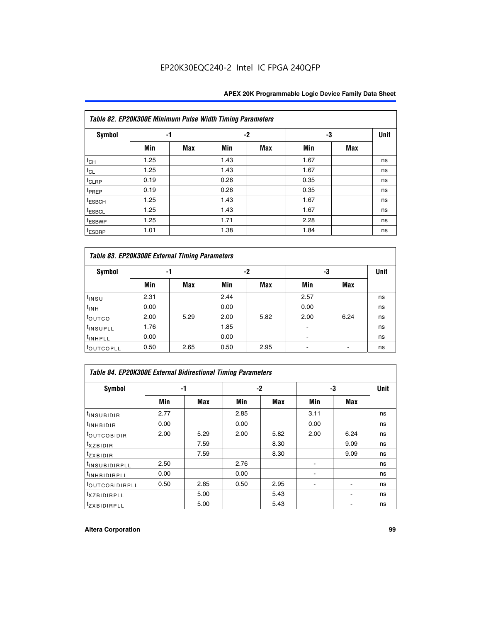| Table 82. EP20K300E Minimum Pulse Width Timing Parameters |      |            |      |      |      |     |      |  |  |  |  |
|-----------------------------------------------------------|------|------------|------|------|------|-----|------|--|--|--|--|
| Symbol                                                    | -1   |            |      | $-2$ |      | -3  | Unit |  |  |  |  |
|                                                           | Min  | <b>Max</b> | Min  | Max  | Min  | Max |      |  |  |  |  |
| $t_{CH}$                                                  | 1.25 |            | 1.43 |      | 1.67 |     | ns   |  |  |  |  |
| $t_{CL}$                                                  | 1.25 |            | 1.43 |      | 1.67 |     | ns   |  |  |  |  |
| t <sub>CLRP</sub>                                         | 0.19 |            | 0.26 |      | 0.35 |     | ns   |  |  |  |  |
| t <sub>PREP</sub>                                         | 0.19 |            | 0.26 |      | 0.35 |     | ns   |  |  |  |  |
| <sup>t</sup> ESBCH                                        | 1.25 |            | 1.43 |      | 1.67 |     | ns   |  |  |  |  |
| <sup>t</sup> ESBCL                                        | 1.25 |            | 1.43 |      | 1.67 |     | ns   |  |  |  |  |
| t <sub>ESBWP</sub>                                        | 1.25 |            | 1.71 |      | 2.28 |     | ns   |  |  |  |  |
| <sup>t</sup> ESBRP                                        | 1.01 |            | 1.38 |      | 1.84 |     | ns   |  |  |  |  |

| Table 83. EP20K300E External Timing Parameters |      |      |      |      |      |            |             |  |  |  |  |
|------------------------------------------------|------|------|------|------|------|------------|-------------|--|--|--|--|
| Symbol                                         |      | -1   |      | -2   |      | -3         | <b>Unit</b> |  |  |  |  |
|                                                | Min  | Max  | Min  | Max  | Min  | <b>Max</b> |             |  |  |  |  |
| t <sub>INSU</sub>                              | 2.31 |      | 2.44 |      | 2.57 |            | ns          |  |  |  |  |
| $t_{INH}$                                      | 0.00 |      | 0.00 |      | 0.00 |            | ns          |  |  |  |  |
| toutco                                         | 2.00 | 5.29 | 2.00 | 5.82 | 2.00 | 6.24       | ns          |  |  |  |  |
| <sup>t</sup> INSUPLL                           | 1.76 |      | 1.85 |      |      |            | ns          |  |  |  |  |
| <sup>t</sup> INHPLL                            | 0.00 |      | 0.00 |      | -    |            | ns          |  |  |  |  |
| <sup>t</sup> OUTCOPLL                          | 0.50 | 2.65 | 0.50 | 2.95 | -    |            | ns          |  |  |  |  |

| Table 84. EP20K300E External Bidirectional Timing Parameters |      |      |      |      |      |      |             |  |  |  |  |
|--------------------------------------------------------------|------|------|------|------|------|------|-------------|--|--|--|--|
| Symbol                                                       |      | -1   | $-2$ |      |      | -3   | <b>Unit</b> |  |  |  |  |
|                                                              | Min  | Max  | Min  | Max  | Min  | Max  |             |  |  |  |  |
| <sup>t</sup> INSUBIDIR                                       | 2.77 |      | 2.85 |      | 3.11 |      | ns          |  |  |  |  |
| <b>TINHBIDIR</b>                                             | 0.00 |      | 0.00 |      | 0.00 |      | ns          |  |  |  |  |
| <sup>t</sup> OUTCOBIDIR                                      | 2.00 | 5.29 | 2.00 | 5.82 | 2.00 | 6.24 | ns          |  |  |  |  |
| KZBIDIR                                                      |      | 7.59 |      | 8.30 |      | 9.09 | ns          |  |  |  |  |
| $t_{Z}$ <i>x</i> BIDIR                                       |      | 7.59 |      | 8.30 |      | 9.09 | ns          |  |  |  |  |
| <sup>I</sup> INSUBIDIRPLL                                    | 2.50 |      | 2.76 |      |      |      | ns          |  |  |  |  |
| <sup>t</sup> INHBIDIRPLL                                     | 0.00 |      | 0.00 |      |      |      | ns          |  |  |  |  |
| <b><i>LOUTCOBIDIRPLL</i></b>                                 | 0.50 | 2.65 | 0.50 | 2.95 |      |      | ns          |  |  |  |  |
| <sup>T</sup> XZBIDIRPLL                                      |      | 5.00 |      | 5.43 |      |      | ns          |  |  |  |  |
| <sup>t</sup> ZXBIDIRPLL                                      |      | 5.00 |      | 5.43 |      |      | ns          |  |  |  |  |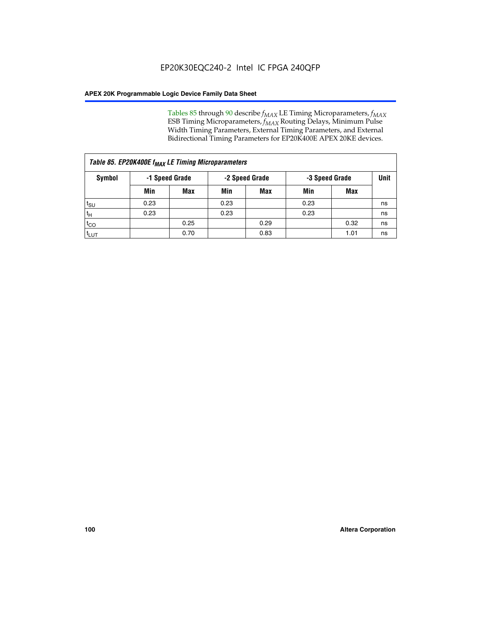Tables 85 through 90 describe  $f_{MAX}$  LE Timing Microparameters,  $f_{MAX}$ ESB Timing Microparameters, *f<sub>MAX</sub>* Routing Delays, Minimum Pulse Width Timing Parameters, External Timing Parameters, and External Bidirectional Timing Parameters for EP20K400E APEX 20KE devices.

| Table 85. EP20K400E f <sub>MAX</sub> LE Timing Microparameters |      |                                                    |      |            |      |      |    |  |  |  |  |
|----------------------------------------------------------------|------|----------------------------------------------------|------|------------|------|------|----|--|--|--|--|
| Symbol                                                         |      | -1 Speed Grade<br>-2 Speed Grade<br>-3 Speed Grade |      |            |      | Unit |    |  |  |  |  |
|                                                                | Min  | <b>Max</b>                                         | Min  | <b>Max</b> | Min  | Max  |    |  |  |  |  |
| $t_{\text{SU}}$                                                | 0.23 |                                                    | 0.23 |            | 0.23 |      | ns |  |  |  |  |
| $t_H$                                                          | 0.23 |                                                    | 0.23 |            | 0.23 |      | ns |  |  |  |  |
| $t_{CO}$                                                       |      | 0.25                                               |      | 0.29       |      | 0.32 | ns |  |  |  |  |
| ι <sup>t</sup> ιυτ                                             |      | 0.70                                               |      | 0.83       |      | 1.01 | ns |  |  |  |  |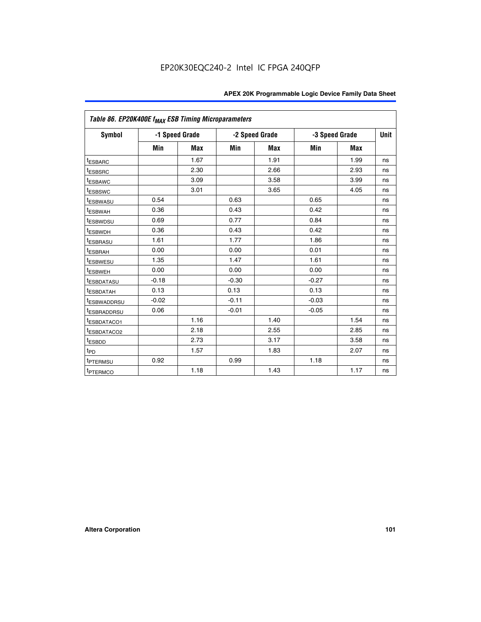|                         | Table 86. EP20K400E f <sub>MAX</sub> ESB Timing Microparameters |                |         |                |                |            |      |  |  |  |  |
|-------------------------|-----------------------------------------------------------------|----------------|---------|----------------|----------------|------------|------|--|--|--|--|
| <b>Symbol</b>           |                                                                 | -1 Speed Grade |         | -2 Speed Grade | -3 Speed Grade |            | Unit |  |  |  |  |
|                         | Min                                                             | <b>Max</b>     | Min     | Max            | Min            | <b>Max</b> |      |  |  |  |  |
| <b>tESBARC</b>          |                                                                 | 1.67           |         | 1.91           |                | 1.99       | ns   |  |  |  |  |
| <sup>t</sup> ESBSRC     |                                                                 | 2.30           |         | 2.66           |                | 2.93       | ns   |  |  |  |  |
| <sup>t</sup> ESBAWC     |                                                                 | 3.09           |         | 3.58           |                | 3.99       | ns   |  |  |  |  |
| <sup>t</sup> ESBSWC     |                                                                 | 3.01           |         | 3.65           |                | 4.05       | ns   |  |  |  |  |
| <sup>t</sup> ESBWASU    | 0.54                                                            |                | 0.63    |                | 0.65           |            | ns   |  |  |  |  |
| t <sub>ESBWAH</sub>     | 0.36                                                            |                | 0.43    |                | 0.42           |            | ns   |  |  |  |  |
| <sup>t</sup> ESBWDSU    | 0.69                                                            |                | 0.77    |                | 0.84           |            | ns   |  |  |  |  |
| <sup>I</sup> ESBWDH     | 0.36                                                            |                | 0.43    |                | 0.42           |            | ns   |  |  |  |  |
| t <sub>ESBRASU</sub>    | 1.61                                                            |                | 1.77    |                | 1.86           |            | ns   |  |  |  |  |
| t <sub>ESBRAH</sub>     | 0.00                                                            |                | 0.00    |                | 0.01           |            | ns   |  |  |  |  |
| <sup>t</sup> ESBWESU    | 1.35                                                            |                | 1.47    |                | 1.61           |            | ns   |  |  |  |  |
| t <sub>ESBWEH</sub>     | 0.00                                                            |                | 0.00    |                | 0.00           |            | ns   |  |  |  |  |
| <sup>I</sup> ESBDATASU  | $-0.18$                                                         |                | $-0.30$ |                | $-0.27$        |            | ns   |  |  |  |  |
| <b>ESBDATAH</b>         | 0.13                                                            |                | 0.13    |                | 0.13           |            | ns   |  |  |  |  |
| <sup>T</sup> ESBWADDRSU | $-0.02$                                                         |                | $-0.11$ |                | $-0.03$        |            | ns   |  |  |  |  |
| <sup>T</sup> ESBRADDRSU | 0.06                                                            |                | $-0.01$ |                | $-0.05$        |            | ns   |  |  |  |  |
| <sup>t</sup> ESBDATACO1 |                                                                 | 1.16           |         | 1.40           |                | 1.54       | ns   |  |  |  |  |
| <sup>t</sup> ESBDATACO2 |                                                                 | 2.18           |         | 2.55           |                | 2.85       | ns   |  |  |  |  |
| <sup>t</sup> ESBDD      |                                                                 | 2.73           |         | 3.17           |                | 3.58       | ns   |  |  |  |  |
| $t_{P\underline{D}}$    |                                                                 | 1.57           |         | 1.83           |                | 2.07       | ns   |  |  |  |  |
| t <sub>PTERMSU</sub>    | 0.92                                                            |                | 0.99    |                | 1.18           |            | ns   |  |  |  |  |
| <sup>t</sup> PTERMCO    |                                                                 | 1.18           |         | 1.43           |                | 1.17       | ns   |  |  |  |  |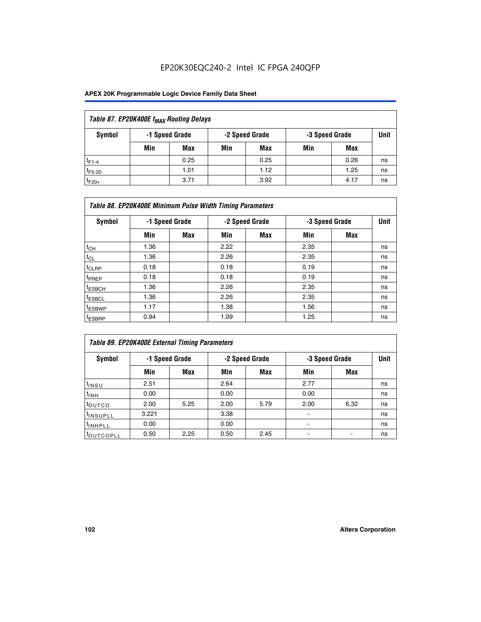| Table 87. EP20K400E f <sub>MAX</sub> Routing Delays |     |                                                    |     |      |     |      |             |  |  |  |
|-----------------------------------------------------|-----|----------------------------------------------------|-----|------|-----|------|-------------|--|--|--|
| Symbol                                              |     | -2 Speed Grade<br>-1 Speed Grade<br>-3 Speed Grade |     |      |     |      | <b>Unit</b> |  |  |  |
|                                                     | Min | <b>Max</b>                                         | Min | Max  | Min | Max  |             |  |  |  |
| $t_{F1-4}$                                          |     | 0.25                                               |     | 0.25 |     | 0.26 | ns          |  |  |  |
| $t_{F5-20}$                                         |     | 1.01                                               |     | 1.12 |     | 1.25 | ns          |  |  |  |
| $t_{F20+}$                                          |     | 3.71                                               |     | 3.92 |     | 4.17 | ns          |  |  |  |

|                    | Table 88. EP20K400E Minimum Pulse Width Timing Parameters |            |      |                |                |     |             |  |  |  |  |  |
|--------------------|-----------------------------------------------------------|------------|------|----------------|----------------|-----|-------------|--|--|--|--|--|
| Symbol             | -1 Speed Grade                                            |            |      | -2 Speed Grade | -3 Speed Grade |     | <b>Unit</b> |  |  |  |  |  |
|                    | Min                                                       | <b>Max</b> | Min  | <b>Max</b>     | Min            | Max |             |  |  |  |  |  |
| $t_{CH}$           | 1.36                                                      |            | 2.22 |                | 2.35           |     | ns          |  |  |  |  |  |
| $t_{CL}$           | 1.36                                                      |            | 2.26 |                | 2.35           |     | ns          |  |  |  |  |  |
| $t_{CLRP}$         | 0.18                                                      |            | 0.18 |                | 0.19           |     | ns          |  |  |  |  |  |
| t <sub>PREP</sub>  | 0.18                                                      |            | 0.18 |                | 0.19           |     | ns          |  |  |  |  |  |
| t <sub>ESBCH</sub> | 1.36                                                      |            | 2.26 |                | 2.35           |     | ns          |  |  |  |  |  |
| <sup>t</sup> ESBCL | 1.36                                                      |            | 2.26 |                | 2.35           |     | ns          |  |  |  |  |  |
| <sup>t</sup> ESBWP | 1.17                                                      |            | 1.38 |                | 1.56           |     | ns          |  |  |  |  |  |
| <sup>t</sup> ESBRP | 0.94                                                      |            | 1.09 |                | 1.25           |     | ns          |  |  |  |  |  |

| Table 89. EP20K400E External Timing Parameters |                |            |      |                |      |                |             |  |  |  |  |
|------------------------------------------------|----------------|------------|------|----------------|------|----------------|-------------|--|--|--|--|
| Symbol                                         | -1 Speed Grade |            |      | -2 Speed Grade |      | -3 Speed Grade | <b>Unit</b> |  |  |  |  |
|                                                | Min            | <b>Max</b> | Min  | <b>Max</b>     | Min  | Max            |             |  |  |  |  |
| t <sub>insu</sub>                              | 2.51           |            | 2.64 |                | 2.77 |                | ns          |  |  |  |  |
| $t_{INH}$                                      | 0.00           |            | 0.00 |                | 0.00 |                | ns          |  |  |  |  |
| toutco                                         | 2.00           | 5.25       | 2.00 | 5.79           | 2.00 | 6.32           | ns          |  |  |  |  |
| <sup>t</sup> INSUPLL                           | 3.221          |            | 3.38 |                | -    |                | ns          |  |  |  |  |
| I <sup>t</sup> INHPLL                          | 0.00           |            | 0.00 |                | -    |                | ns          |  |  |  |  |
| toutcopll                                      | 0.50           | 2.25       | 0.50 | 2.45           |      |                | ns          |  |  |  |  |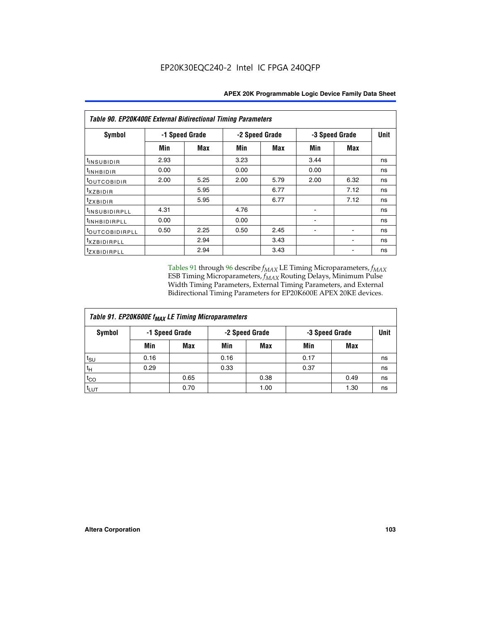| Table 90. EP20K400E External Bidirectional Timing Parameters |      |                |                |      |                |             |    |  |  |  |  |
|--------------------------------------------------------------|------|----------------|----------------|------|----------------|-------------|----|--|--|--|--|
| Symbol                                                       |      | -1 Speed Grade | -2 Speed Grade |      | -3 Speed Grade | <b>Unit</b> |    |  |  |  |  |
|                                                              | Min  | Max            | Min            | Max  | Min            | Max         |    |  |  |  |  |
| I <sup>t</sup> INSUB <u>IDIR</u>                             | 2.93 |                | 3.23           |      | 3.44           |             | ns |  |  |  |  |
| $t_{\rm INHBIDIR}$                                           | 0.00 |                | 0.00           |      | 0.00           |             | ns |  |  |  |  |
| <sup>t</sup> OUTCOBIDIR                                      | 2.00 | 5.25           | 2.00           | 5.79 | 2.00           | 6.32        | ns |  |  |  |  |
| $t_{XZBIDIR}$                                                |      | 5.95           |                | 6.77 |                | 7.12        | ns |  |  |  |  |
| tzxbidir                                                     |      | 5.95           |                | 6.77 |                | 7.12        | ns |  |  |  |  |
| <sup>t</sup> insubidirpll                                    | 4.31 |                | 4.76           |      |                |             | ns |  |  |  |  |
| <sup>t</sup> inhbidirpll                                     | 0.00 |                | 0.00           |      |                |             | ns |  |  |  |  |
| <sup>t</sup> OUTCOBIDIRPLL                                   | 0.50 | 2.25           | 0.50           | 2.45 |                |             | ns |  |  |  |  |
| <sup>t</sup> xzbidirpll                                      |      | 2.94           |                | 3.43 |                |             | ns |  |  |  |  |
| tzxBIDIRPLL                                                  |      | 2.94           |                | 3.43 |                |             | ns |  |  |  |  |

Tables 91 through 96 describe  $f_{MAX}$  LE Timing Microparameters,  $f_{MAX}$ ESB Timing Microparameters, *f<sub>MAX</sub>* Routing Delays, Minimum Pulse Width Timing Parameters, External Timing Parameters, and External Bidirectional Timing Parameters for EP20K600E APEX 20KE devices.

| Table 91. EP20K600E f <sub>MAX</sub> LE Timing Microparameters |      |                |                |      |                |      |      |  |  |  |  |
|----------------------------------------------------------------|------|----------------|----------------|------|----------------|------|------|--|--|--|--|
| Symbol                                                         |      | -1 Speed Grade | -2 Speed Grade |      | -3 Speed Grade |      | Unit |  |  |  |  |
|                                                                | Min  | Max            | Min            | Max  | Min            | Max  |      |  |  |  |  |
| $t_{\text{SU}}$                                                | 0.16 |                | 0.16           |      | 0.17           |      | ns   |  |  |  |  |
| $t_H$                                                          | 0.29 |                | 0.33           |      | 0.37           |      | ns   |  |  |  |  |
| $t_{CO}$                                                       |      | 0.65           |                | 0.38 |                | 0.49 | ns   |  |  |  |  |
| $t_{LUT}$                                                      |      | 0.70           |                | 1.00 |                | 1.30 | ns   |  |  |  |  |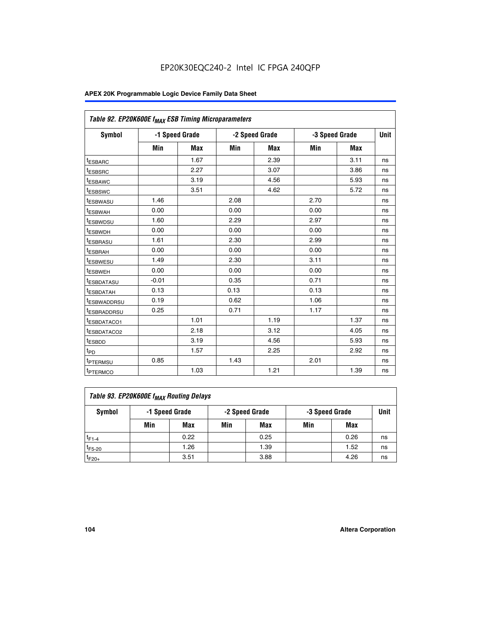| Table 92. EP20K600E f <sub>MAX</sub> ESB Timing Microparameters |         |                |      |                |                |      |             |
|-----------------------------------------------------------------|---------|----------------|------|----------------|----------------|------|-------------|
| <b>Symbol</b>                                                   |         | -1 Speed Grade |      | -2 Speed Grade | -3 Speed Grade |      | <b>Unit</b> |
|                                                                 | Min     | Max            | Min  | Max            | Min            | Max  |             |
| <sup>t</sup> ESBARC                                             |         | 1.67           |      | 2.39           |                | 3.11 | ns          |
| t <sub>ESBSRC</sub>                                             |         | 2.27           |      | 3.07           |                | 3.86 | ns          |
| <sup>t</sup> ESBAWC                                             |         | 3.19           |      | 4.56           |                | 5.93 | ns          |
| <sup>t</sup> ESBSWC                                             |         | 3.51           |      | 4.62           |                | 5.72 | ns          |
| <sup>t</sup> ESBWASU                                            | 1.46    |                | 2.08 |                | 2.70           |      | ns          |
| t <sub>ESBWAH</sub>                                             | 0.00    |                | 0.00 |                | 0.00           |      | ns          |
| t <sub>ESBWDSU</sub>                                            | 1.60    |                | 2.29 |                | 2.97           |      | ns          |
| t <sub>ESBWDH</sub>                                             | 0.00    |                | 0.00 |                | 0.00           |      | ns          |
| <sup>t</sup> ESBRASU                                            | 1.61    |                | 2.30 |                | 2.99           |      | ns          |
| <sup>t</sup> ESBRAH                                             | 0.00    |                | 0.00 |                | 0.00           |      | ns          |
| <sup>t</sup> ESBWESU                                            | 1.49    |                | 2.30 |                | 3.11           |      | ns          |
| t <sub>ESBWEH</sub>                                             | 0.00    |                | 0.00 |                | 0.00           |      | ns          |
| t <sub>ESBDATASU</sub>                                          | $-0.01$ |                | 0.35 |                | 0.71           |      | ns          |
| <sup>t</sup> ESBDATAH                                           | 0.13    |                | 0.13 |                | 0.13           |      | ns          |
| <sup>t</sup> ESBWADDRSU                                         | 0.19    |                | 0.62 |                | 1.06           |      | ns          |
| <sup>t</sup> ESBRADDRSU                                         | 0.25    |                | 0.71 |                | 1.17           |      | ns          |
| <sup>t</sup> ESBDATACO1                                         |         | 1.01           |      | 1.19           |                | 1.37 | ns          |
| <sup>t</sup> ESBDATACO2                                         |         | 2.18           |      | 3.12           |                | 4.05 | ns          |
| <sup>t</sup> ESBDD                                              |         | 3.19           |      | 4.56           |                | 5.93 | ns          |
| t <sub>PD</sub>                                                 |         | 1.57           |      | 2.25           |                | 2.92 | ns          |
| t <sub>PTERMSU</sub>                                            | 0.85    |                | 1.43 |                | 2.01           |      | ns          |
| t <sub>PTERMCO</sub>                                            |         | 1.03           |      | 1.21           |                | 1.39 | ns          |

| Table 93. EP20K600E f <sub>MAX</sub> Routing Delays |                |      |                |            |                |      |      |  |  |  |  |  |
|-----------------------------------------------------|----------------|------|----------------|------------|----------------|------|------|--|--|--|--|--|
| Symbol                                              | -1 Speed Grade |      | -2 Speed Grade |            | -3 Speed Grade |      | Unit |  |  |  |  |  |
|                                                     | Min            | Max  | Min            | <b>Max</b> | Min            | Max  |      |  |  |  |  |  |
| $t_{F1-4}$                                          |                | 0.22 |                | 0.25       |                | 0.26 | ns   |  |  |  |  |  |
| $t_{F5-20}$                                         |                | 1.26 |                | 1.39       |                | 1.52 | ns   |  |  |  |  |  |
| $t_{F20+}$                                          |                | 3.51 |                | 3.88       |                | 4.26 | ns   |  |  |  |  |  |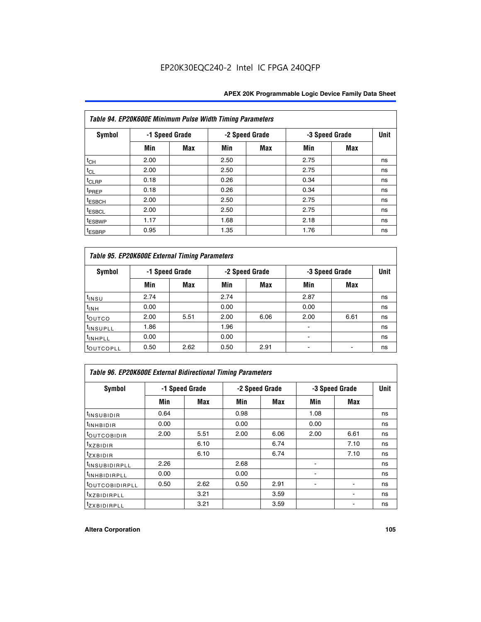| Table 94. EP20K600E Minimum Pulse Width Timing Parameters |      |                |      |                |      |                |             |  |  |  |  |
|-----------------------------------------------------------|------|----------------|------|----------------|------|----------------|-------------|--|--|--|--|
| Symbol                                                    |      | -1 Speed Grade |      | -2 Speed Grade |      | -3 Speed Grade | <b>Unit</b> |  |  |  |  |
|                                                           | Min  | <b>Max</b>     | Min  | Max            | Min  | <b>Max</b>     |             |  |  |  |  |
| $t_{CH}$                                                  | 2.00 |                | 2.50 |                | 2.75 |                | ns          |  |  |  |  |
| $t_{CL}$                                                  | 2.00 |                | 2.50 |                | 2.75 |                | ns          |  |  |  |  |
| $t_{CLRP}$                                                | 0.18 |                | 0.26 |                | 0.34 |                | ns          |  |  |  |  |
| t <sub>PREP</sub>                                         | 0.18 |                | 0.26 |                | 0.34 |                | ns          |  |  |  |  |
| <sup>t</sup> ESBCH                                        | 2.00 |                | 2.50 |                | 2.75 |                | ns          |  |  |  |  |
| <sup>t</sup> ESBCL                                        | 2.00 |                | 2.50 |                | 2.75 |                | ns          |  |  |  |  |
| <sup>t</sup> ESBWP                                        | 1.17 |                | 1.68 |                | 2.18 |                | ns          |  |  |  |  |
| <sup>t</sup> ESBRP                                        | 0.95 |                | 1.35 |                | 1.76 |                | ns          |  |  |  |  |

| Table 95. EP20K600E External Timing Parameters |      |                |      |                |                          |                |    |  |  |  |  |  |
|------------------------------------------------|------|----------------|------|----------------|--------------------------|----------------|----|--|--|--|--|--|
| Symbol                                         |      | -1 Speed Grade |      | -2 Speed Grade |                          | -3 Speed Grade |    |  |  |  |  |  |
|                                                | Min  | Max            | Min  | Max            | Min                      | Max            |    |  |  |  |  |  |
| t <sub>insu</sub>                              | 2.74 |                | 2.74 |                | 2.87                     |                | ns |  |  |  |  |  |
| $t_{INH}$                                      | 0.00 |                | 0.00 |                | 0.00                     |                | ns |  |  |  |  |  |
| toutco                                         | 2.00 | 5.51           | 2.00 | 6.06           | 2.00                     | 6.61           | ns |  |  |  |  |  |
| <sup>t</sup> INSUPLL                           | 1.86 |                | 1.96 |                |                          |                | ns |  |  |  |  |  |
| <sup>t</sup> INHPLL                            | 0.00 |                | 0.00 |                | $\overline{\phantom{a}}$ |                | ns |  |  |  |  |  |
| <b>LOUTCOPLL</b>                               | 0.50 | 2.62           | 0.50 | 2.91           |                          |                | ns |  |  |  |  |  |

| Table 96. EP20K600E External Bidirectional Timing Parameters |                |      |      |                |                |             |    |  |  |  |  |
|--------------------------------------------------------------|----------------|------|------|----------------|----------------|-------------|----|--|--|--|--|
| Symbol                                                       | -1 Speed Grade |      |      | -2 Speed Grade | -3 Speed Grade | <b>Unit</b> |    |  |  |  |  |
|                                                              | Min            | Max  | Min  | Max            | Min            | <b>Max</b>  |    |  |  |  |  |
| <sup>t</sup> INSUBIDIR                                       | 0.64           |      | 0.98 |                | 1.08           |             | ns |  |  |  |  |
| <sup>t</sup> INHBIDIR                                        | 0.00           |      | 0.00 |                | 0.00           |             | ns |  |  |  |  |
| <sup>t</sup> OUTCOBIDIR                                      | 2.00           | 5.51 | 2.00 | 6.06           | 2.00           | 6.61        | ns |  |  |  |  |
| $t_{XZBIDIR}$                                                |                | 6.10 |      | 6.74           |                | 7.10        | ns |  |  |  |  |
| $t_{ZXBIDIR}$                                                |                | 6.10 |      | 6.74           |                | 7.10        | ns |  |  |  |  |
| <sup>t</sup> INSUBIDIRPLL                                    | 2.26           |      | 2.68 |                |                |             | ns |  |  |  |  |
| <sup>t</sup> INHBIDIRPLL                                     | 0.00           |      | 0.00 |                |                |             | ns |  |  |  |  |
| <b><i>LOUTCOBIDIRPLL</i></b>                                 | 0.50           | 2.62 | 0.50 | 2.91           |                |             | ns |  |  |  |  |
| <sup>t</sup> xzbidirpll                                      |                | 3.21 |      | 3.59           |                |             | ns |  |  |  |  |
| <i>t</i> zxbidirpll                                          |                | 3.21 |      | 3.59           |                | ٠           | ns |  |  |  |  |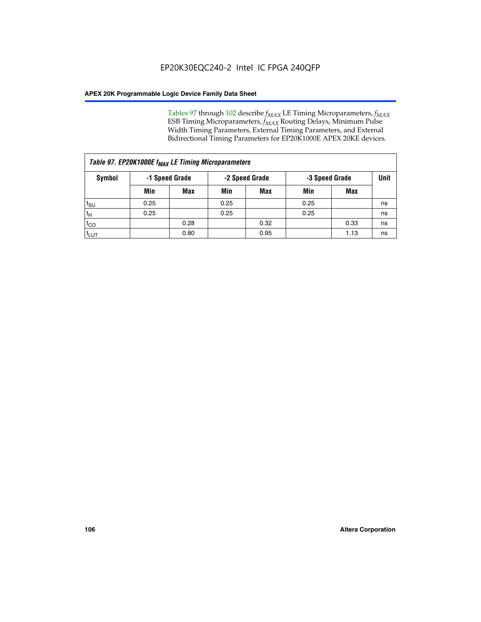Tables 97 through 102 describe  $f_{MAX}$  LE Timing Microparameters,  $f_{MAX}$ ESB Timing Microparameters, *f<sub>MAX</sub>* Routing Delays, Minimum Pulse Width Timing Parameters, External Timing Parameters, and External Bidirectional Timing Parameters for EP20K1000E APEX 20KE devices.

| Table 97. EP20K1000E f <sub>MAX</sub> LE Timing Microparameters |                |            |                |            |                |      |      |  |  |  |  |
|-----------------------------------------------------------------|----------------|------------|----------------|------------|----------------|------|------|--|--|--|--|
| Symbol                                                          | -1 Speed Grade |            | -2 Speed Grade |            | -3 Speed Grade |      | Unit |  |  |  |  |
|                                                                 | Min            | <b>Max</b> | Min            | <b>Max</b> | Min            | Max  |      |  |  |  |  |
| $t_{\text{SU}}$                                                 | 0.25           |            | 0.25           |            | 0.25           |      | ns   |  |  |  |  |
| $t_H$                                                           | 0.25           |            | 0.25           |            | 0.25           |      | ns   |  |  |  |  |
| $t_{CO}$                                                        |                | 0.28       |                | 0.32       |                | 0.33 | ns   |  |  |  |  |
| t <sub>LUT</sub>                                                |                | 0.80       |                | 0.95       |                | 1.13 | ns   |  |  |  |  |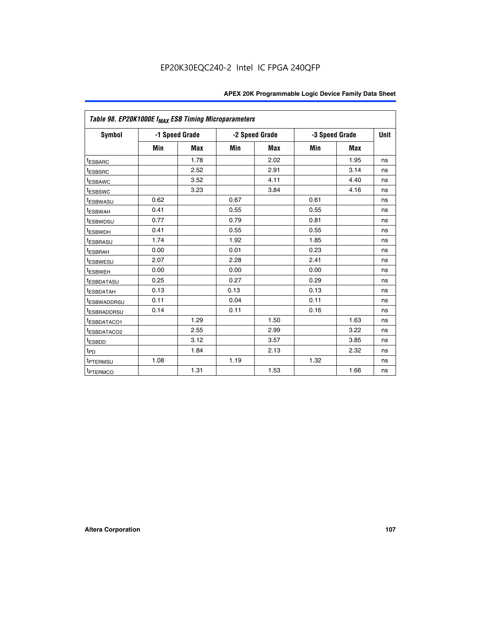| Table 98. EP20K1000E f <sub>MAX</sub> ESB Timing Microparameters |      |                |      |                                  |      |            |             |  |  |  |
|------------------------------------------------------------------|------|----------------|------|----------------------------------|------|------------|-------------|--|--|--|
| <b>Symbol</b>                                                    |      | -1 Speed Grade |      | -2 Speed Grade<br>-3 Speed Grade |      |            | <b>Unit</b> |  |  |  |
|                                                                  | Min  | <b>Max</b>     | Min  | <b>Max</b>                       | Min  | <b>Max</b> |             |  |  |  |
| <sup>t</sup> ESBARC                                              |      | 1.78           |      | 2.02                             |      | 1.95       | ns          |  |  |  |
| <sup>t</sup> ESBSRC                                              |      | 2.52           |      | 2.91                             |      | 3.14       | ns          |  |  |  |
| <sup>t</sup> ESBAWC                                              |      | 3.52           |      | 4.11                             |      | 4.40       | ns          |  |  |  |
| <sup>t</sup> ESBSWC                                              |      | 3.23           |      | 3.84                             |      | 4.16       | ns          |  |  |  |
| <sup>t</sup> ESBWASU                                             | 0.62 |                | 0.67 |                                  | 0.61 |            | ns          |  |  |  |
| t <sub>ESBWAH</sub>                                              | 0.41 |                | 0.55 |                                  | 0.55 |            | ns          |  |  |  |
| <sup>t</sup> ESBWDSU                                             | 0.77 |                | 0.79 |                                  | 0.81 |            | ns          |  |  |  |
| <sup>t</sup> ESBWDH                                              | 0.41 |                | 0.55 |                                  | 0.55 |            | ns          |  |  |  |
| <i><b>LESBRASU</b></i>                                           | 1.74 |                | 1.92 |                                  | 1.85 |            | ns          |  |  |  |
| <sup>t</sup> ESBRAH                                              | 0.00 |                | 0.01 |                                  | 0.23 |            | ns          |  |  |  |
| <sup>t</sup> ESBWESU                                             | 2.07 |                | 2.28 |                                  | 2.41 |            | ns          |  |  |  |
| <sup>t</sup> ESBWEH                                              | 0.00 |                | 0.00 |                                  | 0.00 |            | ns          |  |  |  |
| <sup>t</sup> ESBDATASU                                           | 0.25 |                | 0.27 |                                  | 0.29 |            | ns          |  |  |  |
| <sup>t</sup> ESBDATAH                                            | 0.13 |                | 0.13 |                                  | 0.13 |            | ns          |  |  |  |
| <sup>T</sup> ESBWADDRSU                                          | 0.11 |                | 0.04 |                                  | 0.11 |            | ns          |  |  |  |
| <sup>t</sup> ESBRADDRSU                                          | 0.14 |                | 0.11 |                                  | 0.16 |            | ns          |  |  |  |
| <sup>t</sup> ESBDATACO1                                          |      | 1.29           |      | 1.50                             |      | 1.63       | ns          |  |  |  |
| <sup>t</sup> ESBDATACO2                                          |      | 2.55           |      | 2.99                             |      | 3.22       | ns          |  |  |  |
| <sup>t</sup> ESBDD                                               |      | 3.12           |      | 3.57                             |      | 3.85       | ns          |  |  |  |
| t <sub>PD</sub>                                                  |      | 1.84           |      | 2.13                             |      | 2.32       | ns          |  |  |  |
| <sup>t</sup> PTERMSU                                             | 1.08 |                | 1.19 |                                  | 1.32 |            | ns          |  |  |  |
| <sup>t</sup> PTERMCO                                             |      | 1.31           |      | 1.53                             |      | 1.66       | ns          |  |  |  |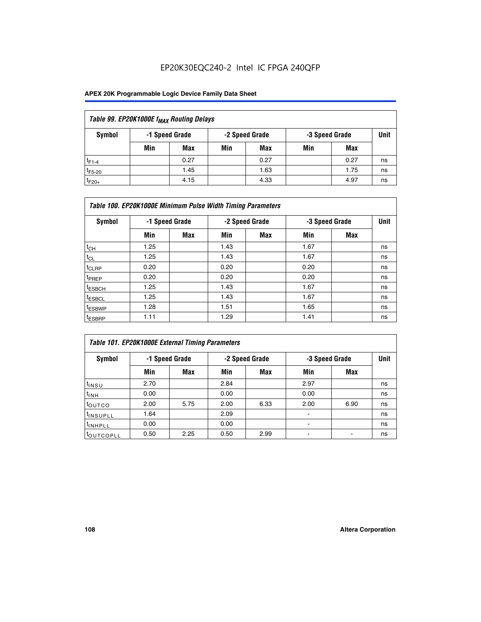### EP20K30EQC240-2 Intel IC FPGA 240QFP

### **APEX 20K Programmable Logic Device Family Data Sheet**

| Table 99. EP20K1000E f <sub>MAX</sub> Routing Delays |     |                |     |                                  |     |      |      |  |  |  |
|------------------------------------------------------|-----|----------------|-----|----------------------------------|-----|------|------|--|--|--|
| Symbol                                               |     | -1 Speed Grade |     | -2 Speed Grade<br>-3 Speed Grade |     |      | Unit |  |  |  |
|                                                      | Min | Max            | Min | Max                              | Min | Max  |      |  |  |  |
| $t_{F1-4}$                                           |     | 0.27           |     | 0.27                             |     | 0.27 | ns   |  |  |  |
| $t_{F5-20}$                                          |     | 1.45           |     | 1.63                             |     | 1.75 | ns   |  |  |  |
| $t_{F20+}$                                           |     | 4.15           |     | 4.33                             |     | 4.97 | ns   |  |  |  |

|                    | Table 100. EP20K1000E Minimum Pulse Width Timing Parameters |                |      |                |      |                |    |  |  |  |  |  |
|--------------------|-------------------------------------------------------------|----------------|------|----------------|------|----------------|----|--|--|--|--|--|
| Symbol             |                                                             | -1 Speed Grade |      | -2 Speed Grade |      | -3 Speed Grade |    |  |  |  |  |  |
|                    | Min                                                         | Max            | Min  | Max            | Min  | Max            |    |  |  |  |  |  |
| $t_{CH}$           | 1.25                                                        |                | 1.43 |                | 1.67 |                | ns |  |  |  |  |  |
| $t_{CL}$           | 1.25                                                        |                | 1.43 |                | 1.67 |                | ns |  |  |  |  |  |
| $t_{CLRP}$         | 0.20                                                        |                | 0.20 |                | 0.20 |                | ns |  |  |  |  |  |
| t <sub>PREP</sub>  | 0.20                                                        |                | 0.20 |                | 0.20 |                | ns |  |  |  |  |  |
| <sup>t</sup> ESBCH | 1.25                                                        |                | 1.43 |                | 1.67 |                | ns |  |  |  |  |  |
| <sup>t</sup> ESBCL | 1.25                                                        |                | 1.43 |                | 1.67 |                | ns |  |  |  |  |  |
| <sup>t</sup> ESBWP | 1.28                                                        |                | 1.51 |                | 1.65 |                | ns |  |  |  |  |  |
| <sup>t</sup> ESBRP | 1.11                                                        |                | 1.29 |                | 1.41 |                | ns |  |  |  |  |  |

|                       | Table 101. EP20K1000E External Timing Parameters |                |      |                |      |                |    |  |  |  |  |  |  |
|-----------------------|--------------------------------------------------|----------------|------|----------------|------|----------------|----|--|--|--|--|--|--|
| Symbol                |                                                  | -1 Speed Grade |      | -2 Speed Grade |      | -3 Speed Grade |    |  |  |  |  |  |  |
|                       | Min                                              | <b>Max</b>     | Min  | Max            | Min  | Max            |    |  |  |  |  |  |  |
| t <sub>INSU</sub>     | 2.70                                             |                | 2.84 |                | 2.97 |                | ns |  |  |  |  |  |  |
| $t_{INH}$             | 0.00                                             |                | 0.00 |                | 0.00 |                | ns |  |  |  |  |  |  |
| toutco                | 2.00                                             | 5.75           | 2.00 | 6.33           | 2.00 | 6.90           | ns |  |  |  |  |  |  |
| <sup>t</sup> INSUPLL  | 1.64                                             |                | 2.09 |                | -    |                | ns |  |  |  |  |  |  |
| I <sup>t</sup> INHPLL | 0.00                                             |                | 0.00 |                | -    |                | ns |  |  |  |  |  |  |
| toutcopll             | 0.50                                             | 2.25           | 0.50 | 2.99           | -    |                | ns |  |  |  |  |  |  |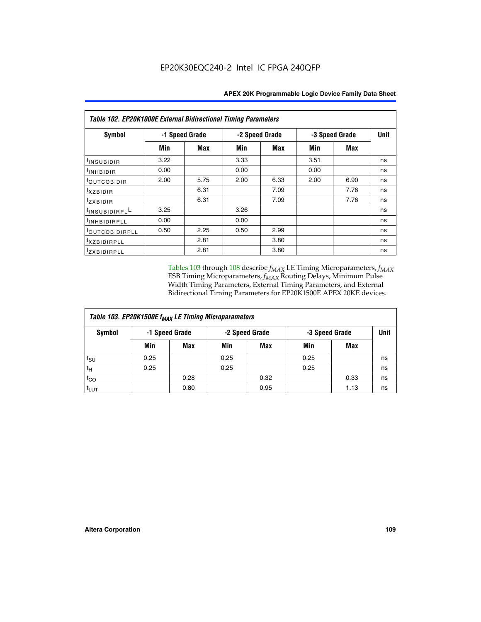| Table 102. EP20K1000E External Bidirectional Timing Parameters |                |      |                |      |                |             |    |  |  |  |
|----------------------------------------------------------------|----------------|------|----------------|------|----------------|-------------|----|--|--|--|
| Symbol                                                         | -1 Speed Grade |      | -2 Speed Grade |      | -3 Speed Grade | <b>Unit</b> |    |  |  |  |
|                                                                | Min            | Max  | Min            | Max  | Min            | Max         |    |  |  |  |
| t <sub>INSUBIDIR</sub>                                         | 3.22           |      | 3.33           |      | 3.51           |             | ns |  |  |  |
| $t_{\rm INHBIDIR}$                                             | 0.00           |      | 0.00           |      | 0.00           |             | ns |  |  |  |
| <sup>t</sup> OUTCOBIDIR                                        | 2.00           | 5.75 | 2.00           | 6.33 | 2.00           | 6.90        | ns |  |  |  |
| $t_{XZBIDIR}$                                                  |                | 6.31 |                | 7.09 |                | 7.76        | ns |  |  |  |
| tzxbidir                                                       |                | 6.31 |                | 7.09 |                | 7.76        | ns |  |  |  |
| <sup>1</sup> INSUBIDIRPL <sup>L</sup>                          | 3.25           |      | 3.26           |      |                |             | ns |  |  |  |
| <sup>t</sup> INHBIDIRPLL                                       | 0.00           |      | 0.00           |      |                |             | ns |  |  |  |
| <b>COUTCOBIDIRPLL</b>                                          | 0.50           | 2.25 | 0.50           | 2.99 |                |             | ns |  |  |  |
| <sup>t</sup> xzBIDIRPLL                                        |                | 2.81 |                | 3.80 |                |             | ns |  |  |  |
| <sup>t</sup> zxbidirpll                                        |                | 2.81 |                | 3.80 |                |             | ns |  |  |  |

Tables 103 through 108 describe  $f_{MAX}$  LE Timing Microparameters,  $f_{MAX}$ ESB Timing Microparameters, *f<sub>MAX</sub>* Routing Delays, Minimum Pulse Width Timing Parameters, External Timing Parameters, and External Bidirectional Timing Parameters for EP20K1500E APEX 20KE devices.

| Table 103. EP20K1500E f <sub>MAX</sub> LE Timing Microparameters |      |                                  |      |                |      |      |    |  |  |  |
|------------------------------------------------------------------|------|----------------------------------|------|----------------|------|------|----|--|--|--|
| Symbol                                                           |      | -1 Speed Grade<br>-2 Speed Grade |      | -3 Speed Grade |      | Unit |    |  |  |  |
|                                                                  | Min  | <b>Max</b>                       | Min  | <b>Max</b>     | Min  | Max  |    |  |  |  |
| $t_{\text{SU}}$                                                  | 0.25 |                                  | 0.25 |                | 0.25 |      | ns |  |  |  |
| $t_H$                                                            | 0.25 |                                  | 0.25 |                | 0.25 |      | ns |  |  |  |
| $t_{CO}$                                                         |      | 0.28                             |      | 0.32           |      | 0.33 | ns |  |  |  |
| t <sub>lut</sub>                                                 |      | 0.80                             |      | 0.95           |      | 1.13 | ns |  |  |  |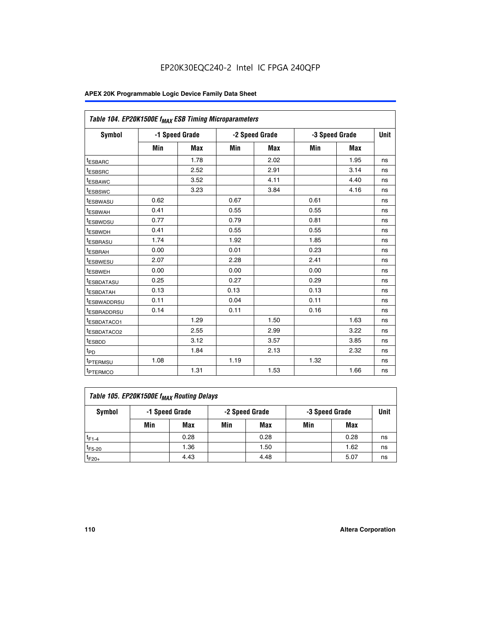| Table 104. EP20K1500E f <sub>MAX</sub> ESB Timing Microparameters |      |                |      |                |      |                |             |
|-------------------------------------------------------------------|------|----------------|------|----------------|------|----------------|-------------|
| <b>Symbol</b>                                                     |      | -1 Speed Grade |      | -2 Speed Grade |      | -3 Speed Grade | <b>Unit</b> |
|                                                                   | Min  | <b>Max</b>     | Min  | <b>Max</b>     | Min  | <b>Max</b>     |             |
| t <sub>ESBARC</sub>                                               |      | 1.78           |      | 2.02           |      | 1.95           | ns          |
| t <sub>ESBSRC</sub>                                               |      | 2.52           |      | 2.91           |      | 3.14           | ns          |
| <sup>t</sup> ESBAWC                                               |      | 3.52           |      | 4.11           |      | 4.40           | ns          |
| t <sub>ESBSWC</sub>                                               |      | 3.23           |      | 3.84           |      | 4.16           | ns          |
| <sup>t</sup> ESBWASU                                              | 0.62 |                | 0.67 |                | 0.61 |                | ns          |
| t <sub>ESBWAH</sub>                                               | 0.41 |                | 0.55 |                | 0.55 |                | ns          |
| t <sub>ESBWDSU</sub>                                              | 0.77 |                | 0.79 |                | 0.81 |                | ns          |
| <sup>t</sup> ESBWDH                                               | 0.41 |                | 0.55 |                | 0.55 |                | ns          |
| t <sub>ESBRASU</sub>                                              | 1.74 |                | 1.92 |                | 1.85 |                | ns          |
| t <sub>ESBRAH</sub>                                               | 0.00 |                | 0.01 |                | 0.23 |                | ns          |
| t <sub>ESBWESU</sub>                                              | 2.07 |                | 2.28 |                | 2.41 |                | ns          |
| <sup>t</sup> ESBWEH                                               | 0.00 |                | 0.00 |                | 0.00 |                | ns          |
| t <sub>ESBDATASU</sub>                                            | 0.25 |                | 0.27 |                | 0.29 |                | ns          |
| <sup>t</sup> ESBDATAH                                             | 0.13 |                | 0.13 |                | 0.13 |                | ns          |
| <sup>t</sup> ESBWADDRSU                                           | 0.11 |                | 0.04 |                | 0.11 |                | ns          |
| <sup>t</sup> ESBRADDRSU                                           | 0.14 |                | 0.11 |                | 0.16 |                | ns          |
| <sup>I</sup> ESBDATACO1                                           |      | 1.29           |      | 1.50           |      | 1.63           | ns          |
| <sup>t</sup> ESBDATACO2                                           |      | 2.55           |      | 2.99           |      | 3.22           | ns          |
| <sup>t</sup> ESBDD                                                |      | 3.12           |      | 3.57           |      | 3.85           | ns          |
| t <sub>PD</sub>                                                   |      | 1.84           |      | 2.13           |      | 2.32           | ns          |
| t <sub>PTERMSU</sub>                                              | 1.08 |                | 1.19 |                | 1.32 |                | ns          |
| t <sub>PTERMCO</sub>                                              |      | 1.31           |      | 1.53           |      | 1.66           | ns          |

| Table 105. EP20K1500E f <sub>MAX</sub> Routing Delays |     |                |     |                |                |      |      |  |  |  |
|-------------------------------------------------------|-----|----------------|-----|----------------|----------------|------|------|--|--|--|
| Symbol                                                |     | -1 Speed Grade |     | -2 Speed Grade | -3 Speed Grade |      | Unit |  |  |  |
|                                                       | Min | Max            | Min | Max            | Min            | Max  |      |  |  |  |
| $t_{F1-4}$                                            |     | 0.28           |     | 0.28           |                | 0.28 | ns   |  |  |  |
| $t_{F5-20}$                                           |     | 1.36           |     | 1.50           |                | 1.62 | ns   |  |  |  |
| $t_{F20+}$                                            |     | 4.43           |     | 4.48           |                | 5.07 | ns   |  |  |  |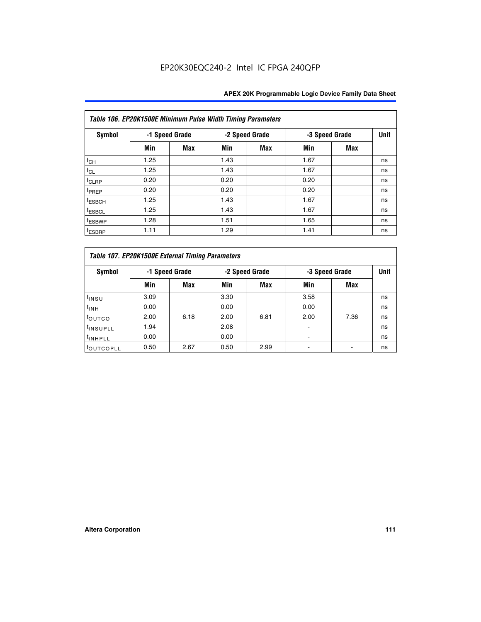|                    | Table 106. EP20K1500E Minimum Pulse Width Timing Parameters |            |      |                |                |            |             |  |  |  |  |  |
|--------------------|-------------------------------------------------------------|------------|------|----------------|----------------|------------|-------------|--|--|--|--|--|
| Symbol             | -1 Speed Grade                                              |            |      | -2 Speed Grade | -3 Speed Grade |            | <b>Unit</b> |  |  |  |  |  |
|                    | Min                                                         | <b>Max</b> | Min  | Max            | Min            | <b>Max</b> |             |  |  |  |  |  |
| $t_{CH}$           | 1.25                                                        |            | 1.43 |                | 1.67           |            | ns          |  |  |  |  |  |
| $t_{CL}$           | 1.25                                                        |            | 1.43 |                | 1.67           |            | ns          |  |  |  |  |  |
| $t_{CLRP}$         | 0.20                                                        |            | 0.20 |                | 0.20           |            | ns          |  |  |  |  |  |
| t <sub>PREP</sub>  | 0.20                                                        |            | 0.20 |                | 0.20           |            | ns          |  |  |  |  |  |
| <sup>t</sup> ESBCH | 1.25                                                        |            | 1.43 |                | 1.67           |            | ns          |  |  |  |  |  |
| <sup>t</sup> ESBCL | 1.25                                                        |            | 1.43 |                | 1.67           |            | ns          |  |  |  |  |  |
| <sup>t</sup> ESBWP | 1.28                                                        |            | 1.51 |                | 1.65           |            | ns          |  |  |  |  |  |
| <sup>t</sup> ESBRP | 1.11                                                        |            | 1.29 |                | 1.41           |            | ns          |  |  |  |  |  |

|                       | Table 107. EP20K1500E External Timing Parameters |      |      |                |      |                |             |  |  |  |  |  |
|-----------------------|--------------------------------------------------|------|------|----------------|------|----------------|-------------|--|--|--|--|--|
| Symbol                | -1 Speed Grade                                   |      |      | -2 Speed Grade |      | -3 Speed Grade | <b>Unit</b> |  |  |  |  |  |
|                       | Min                                              | Max  | Min  | Max            | Min  | Max            |             |  |  |  |  |  |
| t <sub>insu</sub>     | 3.09                                             |      | 3.30 |                | 3.58 |                | ns          |  |  |  |  |  |
| $t_{INH}$             | 0.00                                             |      | 0.00 |                | 0.00 |                | ns          |  |  |  |  |  |
| toutco                | 2.00                                             | 6.18 | 2.00 | 6.81           | 2.00 | 7.36           | ns          |  |  |  |  |  |
| <sup>t</sup> INSUPLL  | 1.94                                             |      | 2.08 |                |      |                | ns          |  |  |  |  |  |
| <sup>t</sup> INHPLL   | 0.00                                             |      | 0.00 |                |      |                | ns          |  |  |  |  |  |
| <sup>t</sup> OUTCOPLL | 0.50                                             | 2.67 | 0.50 | 2.99           |      |                | ns          |  |  |  |  |  |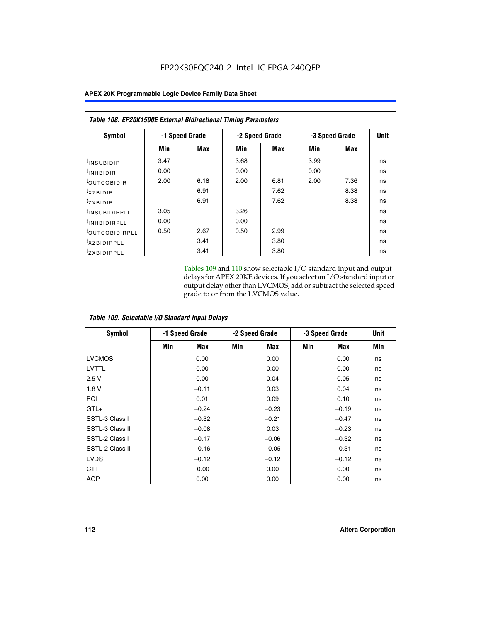|                            | <b>Table 108. EP20K1500E External Bidirectional Timing Parameters</b> |                |      |                |                |             |    |  |  |  |  |  |
|----------------------------|-----------------------------------------------------------------------|----------------|------|----------------|----------------|-------------|----|--|--|--|--|--|
| Symbol                     |                                                                       | -1 Speed Grade |      | -2 Speed Grade | -3 Speed Grade | <b>Unit</b> |    |  |  |  |  |  |
|                            | Min                                                                   | Max            | Min  | Max            | Min            | Max         |    |  |  |  |  |  |
| <sup>t</sup> INSUBIDIR     | 3.47                                                                  |                | 3.68 |                | 3.99           |             | ns |  |  |  |  |  |
| <sup>t</sup> INHBIDIR      | 0.00                                                                  |                | 0.00 |                | 0.00           |             | ns |  |  |  |  |  |
| <b><i>LOUTCOBIDIR</i></b>  | 2.00                                                                  | 6.18           | 2.00 | 6.81           | 2.00           | 7.36        | ns |  |  |  |  |  |
| $t_{XZBIDIR}$              |                                                                       | 6.91           |      | 7.62           |                | 8.38        | ns |  |  |  |  |  |
| $t_{Z}$ <i>x</i> BIDIR     |                                                                       | 6.91           |      | 7.62           |                | 8.38        | ns |  |  |  |  |  |
| <sup>t</sup> INSUBIDIRPLL  | 3.05                                                                  |                | 3.26 |                |                |             | ns |  |  |  |  |  |
| <sup>t</sup> INHBIDIRPLL   | 0.00                                                                  |                | 0.00 |                |                |             | ns |  |  |  |  |  |
| <sup>t</sup> OUTCOBIDIRPLL | 0.50                                                                  | 2.67           | 0.50 | 2.99           |                |             | ns |  |  |  |  |  |
| <sup>t</sup> XZBIDIRPLL    |                                                                       | 3.41           |      | 3.80           |                |             | ns |  |  |  |  |  |
| <sup>t</sup> zxbidirpll    |                                                                       | 3.41           |      | 3.80           |                |             | ns |  |  |  |  |  |

Tables 109 and 110 show selectable I/O standard input and output delays for APEX 20KE devices. If you select an I/O standard input or output delay other than LVCMOS, add or subtract the selected speed grade to or from the LVCMOS value.

| Table 109. Selectable I/O Standard Input Delays |                |         |                |         |                |         |             |  |  |  |
|-------------------------------------------------|----------------|---------|----------------|---------|----------------|---------|-------------|--|--|--|
| <b>Symbol</b>                                   | -1 Speed Grade |         | -2 Speed Grade |         | -3 Speed Grade |         | <b>Unit</b> |  |  |  |
|                                                 | Min            | Max     | Min            | Max     | Min            | Max     | Min         |  |  |  |
| <b>LVCMOS</b>                                   |                | 0.00    |                | 0.00    |                | 0.00    | ns          |  |  |  |
| <b>LVTTL</b>                                    |                | 0.00    |                | 0.00    |                | 0.00    | ns          |  |  |  |
| 2.5V                                            |                | 0.00    |                | 0.04    |                | 0.05    | ns          |  |  |  |
| 1.8V                                            |                | $-0.11$ |                | 0.03    |                | 0.04    | ns          |  |  |  |
| <b>PCI</b>                                      |                | 0.01    |                | 0.09    |                | 0.10    | ns          |  |  |  |
| $GTL+$                                          |                | $-0.24$ |                | $-0.23$ |                | $-0.19$ | ns          |  |  |  |
| SSTL-3 Class I                                  |                | $-0.32$ |                | $-0.21$ |                | $-0.47$ | ns          |  |  |  |
| SSTL-3 Class II                                 |                | $-0.08$ |                | 0.03    |                | $-0.23$ | ns          |  |  |  |
| SSTL-2 Class I                                  |                | $-0.17$ |                | $-0.06$ |                | $-0.32$ | ns          |  |  |  |
| SSTL-2 Class II                                 |                | $-0.16$ |                | $-0.05$ |                | $-0.31$ | ns          |  |  |  |
| <b>LVDS</b>                                     |                | $-0.12$ |                | $-0.12$ |                | $-0.12$ | ns          |  |  |  |
| <b>CTT</b>                                      |                | 0.00    |                | 0.00    |                | 0.00    | ns          |  |  |  |
| <b>AGP</b>                                      |                | 0.00    |                | 0.00    |                | 0.00    | ns          |  |  |  |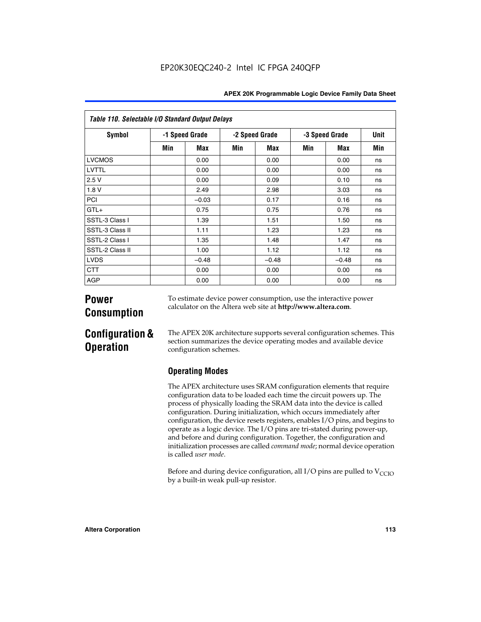|  | <b>APEX 20K Programmable Logic Device Family Data Sheet</b> |  |  |  |
|--|-------------------------------------------------------------|--|--|--|
|--|-------------------------------------------------------------|--|--|--|

| Table 110. Selectable I/O Standard Output Delays |                |         |                |         |                |         |             |
|--------------------------------------------------|----------------|---------|----------------|---------|----------------|---------|-------------|
| <b>Symbol</b>                                    | -1 Speed Grade |         | -2 Speed Grade |         | -3 Speed Grade |         | <b>Unit</b> |
|                                                  | Min            | Max     | Min            | Max     | Min            | Max     | Min         |
| <b>LVCMOS</b>                                    |                | 0.00    |                | 0.00    |                | 0.00    | ns          |
| <b>LVTTL</b>                                     |                | 0.00    |                | 0.00    |                | 0.00    | ns          |
| 2.5V                                             |                | 0.00    |                | 0.09    |                | 0.10    | ns          |
| 1.8V                                             |                | 2.49    |                | 2.98    |                | 3.03    | ns          |
| PCI                                              |                | $-0.03$ |                | 0.17    |                | 0.16    | ns          |
| $GTL+$                                           |                | 0.75    |                | 0.75    |                | 0.76    | ns          |
| SSTL-3 Class I                                   |                | 1.39    |                | 1.51    |                | 1.50    | ns          |
| SSTL-3 Class II                                  |                | 1.11    |                | 1.23    |                | 1.23    | ns          |
| SSTL-2 Class I                                   |                | 1.35    |                | 1.48    |                | 1.47    | ns          |
| SSTL-2 Class II                                  |                | 1.00    |                | 1.12    |                | 1.12    | ns          |
| <b>LVDS</b>                                      |                | $-0.48$ |                | $-0.48$ |                | $-0.48$ | ns          |
| <b>CTT</b>                                       |                | 0.00    |                | 0.00    |                | 0.00    | ns          |
| <b>AGP</b>                                       |                | 0.00    |                | 0.00    |                | 0.00    | ns          |

# **Power Consumption**

To estimate device power consumption, use the interactive power calculator on the Altera web site at **http://www.altera.com**.

# **Configuration & Operation**

The APEX 20K architecture supports several configuration schemes. This section summarizes the device operating modes and available device configuration schemes.

## **Operating Modes**

The APEX architecture uses SRAM configuration elements that require configuration data to be loaded each time the circuit powers up. The process of physically loading the SRAM data into the device is called configuration. During initialization, which occurs immediately after configuration, the device resets registers, enables I/O pins, and begins to operate as a logic device. The I/O pins are tri-stated during power-up, and before and during configuration. Together, the configuration and initialization processes are called *command mode*; normal device operation is called *user mode*.

Before and during device configuration, all  $I/O$  pins are pulled to  $V<sub>CCIO</sub>$ by a built-in weak pull-up resistor.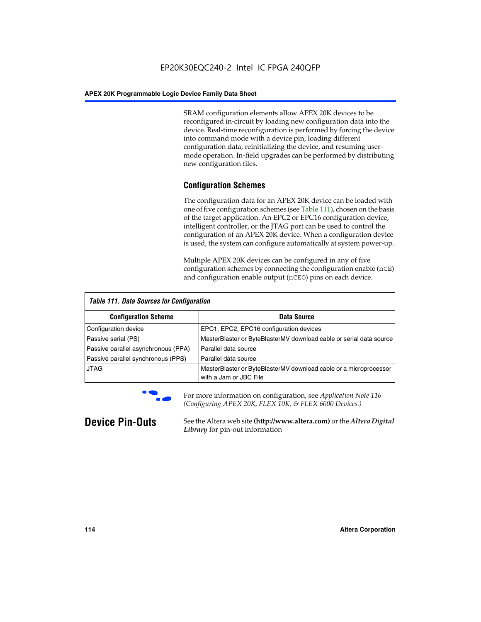SRAM configuration elements allow APEX 20K devices to be reconfigured in-circuit by loading new configuration data into the device. Real-time reconfiguration is performed by forcing the device into command mode with a device pin, loading different configuration data, reinitializing the device, and resuming usermode operation. In-field upgrades can be performed by distributing new configuration files.

### **Configuration Schemes**

The configuration data for an APEX 20K device can be loaded with one of five configuration schemes (see Table 111), chosen on the basis of the target application. An EPC2 or EPC16 configuration device, intelligent controller, or the JTAG port can be used to control the configuration of an APEX 20K device. When a configuration device is used, the system can configure automatically at system power-up.

Multiple APEX 20K devices can be configured in any of five configuration schemes by connecting the configuration enable (nCE) and configuration enable output (nCEO) pins on each device.

| <b>Table 111. Data Sources for Configuration</b> |                                                                                             |  |  |  |
|--------------------------------------------------|---------------------------------------------------------------------------------------------|--|--|--|
| <b>Configuration Scheme</b>                      | Data Source                                                                                 |  |  |  |
| Configuration device                             | EPC1, EPC2, EPC16 configuration devices                                                     |  |  |  |
| Passive serial (PS)                              | MasterBlaster or ByteBlasterMV download cable or serial data source                         |  |  |  |
| Passive parallel asynchronous (PPA)              | Parallel data source                                                                        |  |  |  |
| Passive parallel synchronous (PPS)               | Parallel data source                                                                        |  |  |  |
| <b>JTAG</b>                                      | MasterBlaster or ByteBlasterMV download cable or a microprocessor<br>with a Jam or JBC File |  |  |  |



**For more information on configuration, see Application Note 116** *(Configuring APEX 20K, FLEX 10K, & FLEX 6000 Devices.)*

**Device Pin-Outs** See the Altera web site **(http://www.altera.com)** or the *Altera Digital Library* for pin-out information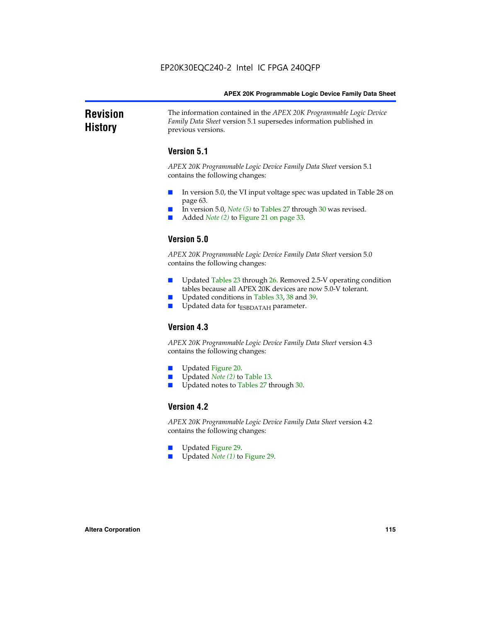#### **Revision History** The information contained in the *APEX 20K Programmable Logic Device Family Data Sheet* version 5.1 supersedes information published in previous versions.

### **Version 5.1**

*APEX 20K Programmable Logic Device Family Data Sheet* version 5.1 contains the following changes:

- In version 5.0, the VI input voltage spec was updated in Table 28 on page 63.
- In version 5.0, *Note* (5) to Tables 27 through 30 was revised.
- Added *Note* (2) to Figure 21 on page 33.

### **Version 5.0**

*APEX 20K Programmable Logic Device Family Data Sheet* version 5.0 contains the following changes:

- Updated Tables 23 through 26. Removed 2.5-V operating condition tables because all APEX 20K devices are now 5.0-V tolerant.
- Updated conditions in Tables 33, 38 and 39.
- Updated data for t<sub>ESBDATAH</sub> parameter.

### **Version 4.3**

*APEX 20K Programmable Logic Device Family Data Sheet* version 4.3 contains the following changes:

- Updated Figure 20.
- Updated *Note (2)* to Table 13.
- Updated notes to Tables 27 through 30.

### **Version 4.2**

*APEX 20K Programmable Logic Device Family Data Sheet* version 4.2 contains the following changes:

- Updated Figure 29.
- Updated *Note (1)* to Figure 29.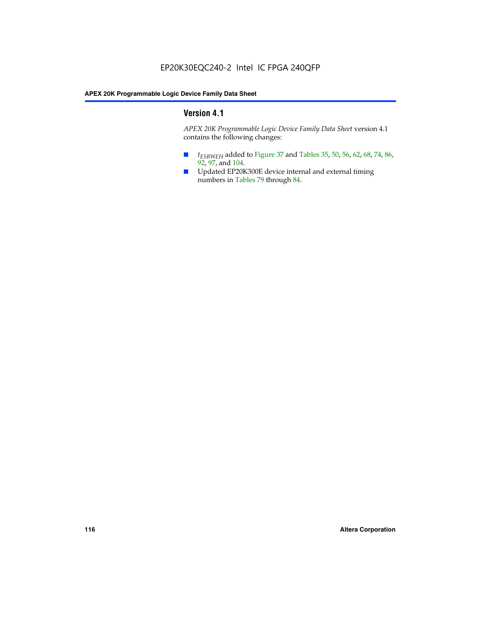### **Version 4.1**

*APEX 20K Programmable Logic Device Family Data Sheet* version 4.1 contains the following changes:

- *t<sub>ESBWEH</sub>* added to Figure 37 and Tables 35, 50, 56, 62, 68, 74, 86, 92, 97, and 104.
- Updated EP20K300E device internal and external timing numbers in Tables 79 through 84.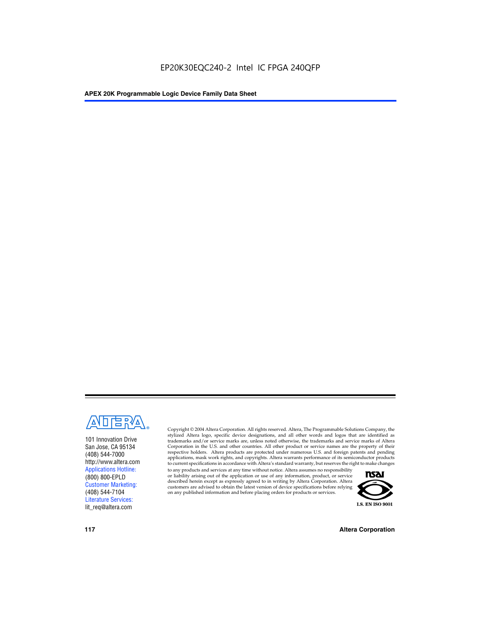

101 Innovation Drive San Jose, CA 95134 (408) 544-7000 http://www.altera.com Applications Hotline: (800) 800-EPLD Customer Marketing: (408) 544-7104 Literature Services: lit\_req@altera.com

Copyright © 2004 Altera Corporation. All rights reserved. Altera, The Programmable Solutions Company, the stylized Altera logo, specific device designations, and all other words and logos that are identified as trademarks and/or service marks are, unless noted otherwise, the trademarks and service marks of Altera Corporation in the U.S. and other countries. All other product or service names are the property of their respective holders. Altera products are protected under numerous U.S. and foreign patents and pending applications, mask work rights, and copyrights. Altera warrants performance of its semiconductor products to current specifications in accordance with Altera's standard warranty, but reserves the right to make changes

to any products and services at any time without notice. Altera assumes no responsibility or liability arising out of the application or use of any information, product, or service described herein except as expressly agreed to in writing by Altera Corporation. Altera customers are advised to obtain the latest version of device specifications before relying on any published information and before placing orders for products or services.



**117 Altera Corporation**